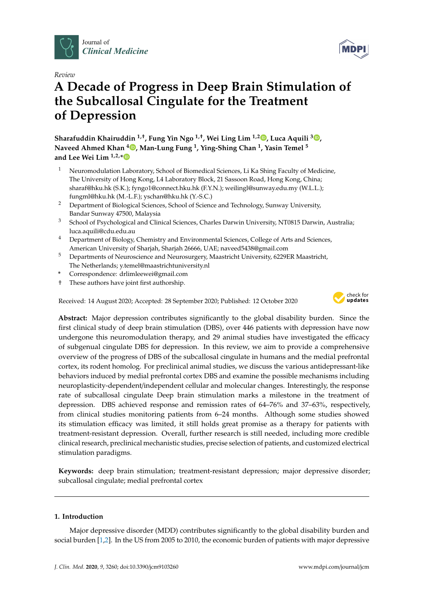

*Review*

# **MDP**

## **A Decade of Progress in Deep Brain Stimulation of the Subcallosal Cingulate for the Treatment of Depression**

**Sharafuddin Khairuddin 1,**† **, Fung Yin Ngo 1,**† **, Wei Ling Lim 1,2 [,](https://orcid.org/0000-0002-4342-9849) Luca Aquili <sup>3</sup> [,](https://orcid.org/0000-0003-4930-1536) Naveed Ahmed Khan <sup>4</sup> [,](https://orcid.org/0000-0001-7667-8553) Man-Lung Fung <sup>1</sup> , Ying-Shing Chan <sup>1</sup> , Yasin Temel <sup>5</sup> and Lee Wei Lim 1,2,[\\*](https://orcid.org/0000-0001-6692-6285)**

- <sup>1</sup> Neuromodulation Laboratory, School of Biomedical Sciences, Li Ka Shing Faculty of Medicine, The University of Hong Kong, L4 Laboratory Block, 21 Sassoon Road, Hong Kong, China; sharaf@hku.hk (S.K.); fyngo1@connect.hku.hk (F.Y.N.); weilingl@sunway.edu.my (W.L.L.); fungml@hku.hk (M.-L.F.); yschan@hku.hk (Y.-S.C.)
- <sup>2</sup> Department of Biological Sciences, School of Science and Technology, Sunway University, Bandar Sunway 47500, Malaysia
- <sup>3</sup> School of Psychological and Clinical Sciences, Charles Darwin University, NT0815 Darwin, Australia; luca.aquili@cdu.edu.au
- <sup>4</sup> Department of Biology, Chemistry and Environmental Sciences, College of Arts and Sciences, American University of Sharjah, Sharjah 26666, UAE; naveed5438@gmail.com
- <sup>5</sup> Departments of Neuroscience and Neurosurgery, Maastricht University, 6229ER Maastricht, The Netherlands; y.temel@maastrichtuniversity.nl
- **\*** Correspondence: drlimleewei@gmail.com
- † These authors have joint first authorship.

Received: 14 August 2020; Accepted: 28 September 2020; Published: 12 October 2020



**Abstract:** Major depression contributes significantly to the global disability burden. Since the first clinical study of deep brain stimulation (DBS), over 446 patients with depression have now undergone this neuromodulation therapy, and 29 animal studies have investigated the efficacy of subgenual cingulate DBS for depression. In this review, we aim to provide a comprehensive overview of the progress of DBS of the subcallosal cingulate in humans and the medial prefrontal cortex, its rodent homolog. For preclinical animal studies, we discuss the various antidepressant-like behaviors induced by medial prefrontal cortex DBS and examine the possible mechanisms including neuroplasticity-dependent/independent cellular and molecular changes. Interestingly, the response rate of subcallosal cingulate Deep brain stimulation marks a milestone in the treatment of depression. DBS achieved response and remission rates of 64–76% and 37–63%, respectively, from clinical studies monitoring patients from 6–24 months. Although some studies showed its stimulation efficacy was limited, it still holds great promise as a therapy for patients with treatment-resistant depression. Overall, further research is still needed, including more credible clinical research, preclinical mechanistic studies, precise selection of patients, and customized electrical stimulation paradigms.

**Keywords:** deep brain stimulation; treatment-resistant depression; major depressive disorder; subcallosal cingulate; medial prefrontal cortex

#### **1. Introduction**

Major depressive disorder (MDD) contributes significantly to the global disability burden and social burden [\[1](#page-40-0)[,2\]](#page-40-1). In the US from 2005 to 2010, the economic burden of patients with major depressive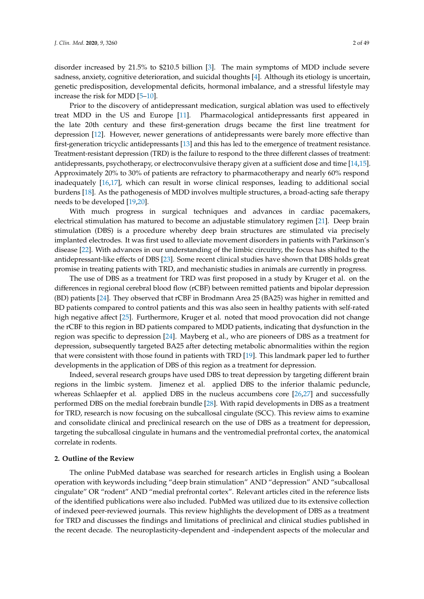disorder increased by 21.5% to \$210.5 billion [\[3\]](#page-40-2). The main symptoms of MDD include severe sadness, anxiety, cognitive deterioration, and suicidal thoughts [\[4\]](#page-40-3). Although its etiology is uncertain, genetic predisposition, developmental deficits, hormonal imbalance, and a stressful lifestyle may increase the risk for MDD [\[5–](#page-40-4)[10\]](#page-40-5).

Prior to the discovery of antidepressant medication, surgical ablation was used to effectively treat MDD in the US and Europe [\[11\]](#page-40-6). Pharmacological antidepressants first appeared in the late 20th century and these first-generation drugs became the first line treatment for depression [\[12\]](#page-40-7). However, newer generations of antidepressants were barely more effective than first-generation tricyclic antidepressants [\[13\]](#page-40-8) and this has led to the emergence of treatment resistance. Treatment-resistant depression (TRD) is the failure to respond to the three different classes of treatment: antidepressants, psychotherapy, or electroconvulsive therapy given at a sufficient dose and time [\[14](#page-40-9)[,15\]](#page-40-10). Approximately 20% to 30% of patients are refractory to pharmacotherapy and nearly 60% respond inadequately [\[16,](#page-41-0)[17\]](#page-41-1), which can result in worse clinical responses, leading to additional social burdens [\[18\]](#page-41-2). As the pathogenesis of MDD involves multiple structures, a broad-acting safe therapy needs to be developed [\[19](#page-41-3)[,20\]](#page-41-4).

With much progress in surgical techniques and advances in cardiac pacemakers, electrical stimulation has matured to become an adjustable stimulatory regimen [\[21\]](#page-41-5). Deep brain stimulation (DBS) is a procedure whereby deep brain structures are stimulated via precisely implanted electrodes. It was first used to alleviate movement disorders in patients with Parkinson's disease [\[22\]](#page-41-6). With advances in our understanding of the limbic circuitry, the focus has shifted to the antidepressant-like effects of DBS [\[23\]](#page-41-7). Some recent clinical studies have shown that DBS holds great promise in treating patients with TRD, and mechanistic studies in animals are currently in progress.

The use of DBS as a treatment for TRD was first proposed in a study by Kruger et al. on the differences in regional cerebral blood flow (rCBF) between remitted patients and bipolar depression (BD) patients [\[24\]](#page-41-8). They observed that rCBF in Brodmann Area 25 (BA25) was higher in remitted and BD patients compared to control patients and this was also seen in healthy patients with self-rated high negative affect [\[25\]](#page-41-9). Furthermore, Kruger et al. noted that mood provocation did not change the rCBF to this region in BD patients compared to MDD patients, indicating that dysfunction in the region was specific to depression [\[24\]](#page-41-8). Mayberg et al., who are pioneers of DBS as a treatment for depression, subsequently targeted BA25 after detecting metabolic abnormalities within the region that were consistent with those found in patients with TRD [\[19\]](#page-41-3). This landmark paper led to further developments in the application of DBS of this region as a treatment for depression.

Indeed, several research groups have used DBS to treat depression by targeting different brain regions in the limbic system. Jimenez et al. applied DBS to the inferior thalamic peduncle, whereas Schlaepfer et al. applied DBS in the nucleus accumbens core [\[26,](#page-41-10)[27\]](#page-41-11) and successfully performed DBS on the medial forebrain bundle [\[28\]](#page-41-12). With rapid developments in DBS as a treatment for TRD, research is now focusing on the subcallosal cingulate (SCC). This review aims to examine and consolidate clinical and preclinical research on the use of DBS as a treatment for depression, targeting the subcallosal cingulate in humans and the ventromedial prefrontal cortex, the anatomical correlate in rodents.

#### **2. Outline of the Review**

The online PubMed database was searched for research articles in English using a Boolean operation with keywords including "deep brain stimulation" AND "depression" AND "subcallosal cingulate" OR "rodent" AND "medial prefrontal cortex". Relevant articles cited in the reference lists of the identified publications were also included. PubMed was utilized due to its extensive collection of indexed peer-reviewed journals. This review highlights the development of DBS as a treatment for TRD and discusses the findings and limitations of preclinical and clinical studies published in the recent decade. The neuroplasticity-dependent and -independent aspects of the molecular and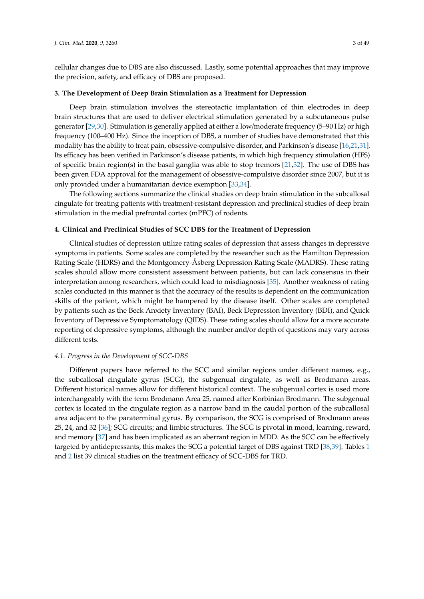cellular changes due to DBS are also discussed. Lastly, some potential approaches that may improve the precision, safety, and efficacy of DBS are proposed.

#### **3. The Development of Deep Brain Stimulation as a Treatment for Depression**

Deep brain stimulation involves the stereotactic implantation of thin electrodes in deep brain structures that are used to deliver electrical stimulation generated by a subcutaneous pulse generator [\[29](#page-41-13)[,30\]](#page-41-14). Stimulation is generally applied at either a low/moderate frequency (5–90 Hz) or high frequency (100–400 Hz). Since the inception of DBS, a number of studies have demonstrated that this modality has the ability to treat pain, obsessive-compulsive disorder, and Parkinson's disease [\[16](#page-41-0)[,21](#page-41-5)[,31\]](#page-41-15). Its efficacy has been verified in Parkinson's disease patients, in which high frequency stimulation (HFS) of specific brain region(s) in the basal ganglia was able to stop tremors [\[21](#page-41-5)[,32\]](#page-41-16). The use of DBS has been given FDA approval for the management of obsessive-compulsive disorder since 2007, but it is only provided under a humanitarian device exemption [\[33,](#page-41-17)[34\]](#page-41-18).

The following sections summarize the clinical studies on deep brain stimulation in the subcallosal cingulate for treating patients with treatment-resistant depression and preclinical studies of deep brain stimulation in the medial prefrontal cortex (mPFC) of rodents.

#### **4. Clinical and Preclinical Studies of SCC DBS for the Treatment of Depression**

Clinical studies of depression utilize rating scales of depression that assess changes in depressive symptoms in patients. Some scales are completed by the researcher such as the Hamilton Depression Rating Scale (HDRS) and the Montgomery-Åsberg Depression Rating Scale (MADRS). These rating scales should allow more consistent assessment between patients, but can lack consensus in their interpretation among researchers, which could lead to misdiagnosis [\[35\]](#page-41-19). Another weakness of rating scales conducted in this manner is that the accuracy of the results is dependent on the communication skills of the patient, which might be hampered by the disease itself. Other scales are completed by patients such as the Beck Anxiety Inventory (BAI), Beck Depression Inventory (BDI), and Quick Inventory of Depressive Symptomatology (QIDS). These rating scales should allow for a more accurate reporting of depressive symptoms, although the number and/or depth of questions may vary across different tests.

#### *4.1. Progress in the Development of SCC-DBS*

Different papers have referred to the SCC and similar regions under different names, e.g., the subcallosal cingulate gyrus (SCG), the subgenual cingulate, as well as Brodmann areas. Different historical names allow for different historical context. The subgenual cortex is used more interchangeably with the term Brodmann Area 25, named after Korbinian Brodmann. The subgenual cortex is located in the cingulate region as a narrow band in the caudal portion of the subcallosal area adjacent to the paraterminal gyrus. By comparison, the SCG is comprised of Brodmann areas 25, 24, and 32 [\[36\]](#page-41-20); SCG circuits; and limbic structures. The SCG is pivotal in mood, learning, reward, and memory [\[37\]](#page-42-0) and has been implicated as an aberrant region in MDD. As the SCC can be effectively targeted by antidepressants, this makes the SCG a potential target of DBS against TRD [\[38](#page-42-1)[,39\]](#page-42-2). Tables [1](#page-14-0) and [2](#page-15-0) list 39 clinical studies on the treatment efficacy of SCC-DBS for TRD.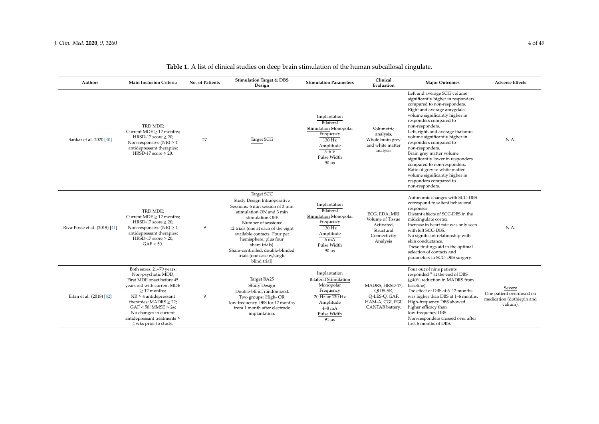| Authors                       | Main Inclusion Criteria                                                                                                                                                                                                                                                                                       | No. of Patients | <b>Stimulation Target &amp; DBS</b><br>Design                                                                                                                                                                                                                                                                                                         | <b>Stimulation Parameters</b>                                                                                                                                     | Clinical<br>Evaluation                                                                    | <b>Major Outcomes</b>                                                                                                                                                                                                                                                                                                                                                                                                                                                                                                                             | <b>Adverse Effects</b>                                                      |
|-------------------------------|---------------------------------------------------------------------------------------------------------------------------------------------------------------------------------------------------------------------------------------------------------------------------------------------------------------|-----------------|-------------------------------------------------------------------------------------------------------------------------------------------------------------------------------------------------------------------------------------------------------------------------------------------------------------------------------------------------------|-------------------------------------------------------------------------------------------------------------------------------------------------------------------|-------------------------------------------------------------------------------------------|---------------------------------------------------------------------------------------------------------------------------------------------------------------------------------------------------------------------------------------------------------------------------------------------------------------------------------------------------------------------------------------------------------------------------------------------------------------------------------------------------------------------------------------------------|-----------------------------------------------------------------------------|
| Sankar et al. 2020 [40]       | TRD MDE:<br>Current MDE $\geq$ 12 months;<br>HRSD-17 score $\geq$ 20;<br>Non-responsive $(NR) \geq 4$<br>antidepressant therapies;<br>$HRSD-17$ score $> 20$ .                                                                                                                                                | 27              | Target SCG                                                                                                                                                                                                                                                                                                                                            | Implantation<br>Bilateral<br>Stimulation Monopolar<br>Frequency<br>130 Hz<br>Amplitude<br>$3 - 6V$<br>Pulse Width<br>$90 \mu s$                                   | Volumetric<br>analysis,<br>Whole brain grey<br>and white matter<br>analysis               | Left and average SCG volume<br>significantly higher in responders<br>compared to non-responders.<br>Right and average amygdala<br>volume significantly higher in<br>responders compared to<br>non-responders.<br>Left, right, and average thalamus<br>volume significantly higher in<br>responders compared to<br>non-responders.<br>Brain grey matter volume<br>significantly lower in responders<br>compared to non-responders.<br>Ratio of grey to white matter<br>volume significantly higher in<br>responders compared to<br>non-responders. | N.A.                                                                        |
| Riva-Posse et al. (2019) [41] | TRD MDE;<br>Current MDE $\geq$ 12 months;<br>HRSD-17 score $\geq$ 20;<br>Non-responsive (NR) $\geq$ 4<br>antidepressant therapies;<br>HRSD-17 score $\geq$ 20;<br>$GAF < 50$ .                                                                                                                                | 9               | Target SCC<br>Study Design Intraoperative<br>Sessions: 6 min session of 3 min<br>stimulation ON and 3 min<br>stimulation OFF.<br>Number of sessions:<br>12 trials (one at each of the eight<br>available contacts. Four per<br>hemisphere, plus four<br>sham trials).<br>Sham-controlled, double-blinded<br>trials (one case w/single<br>blind trial) | Implantation<br>Bilateral<br>Stimulation Monopolar<br>Frequency<br>130 Hz<br>Amplitude<br>6mA<br>Pulse Width<br>$90 \text{ }\mu\text{s}$                          | ECG, EDA, MRI<br>Volume of Tissue<br>Activated,<br>Structural<br>Connectivity<br>Analysis | Autonomic changes with SCC-DBS<br>correspond to salient behavioral<br>responses.<br>Distant effects of SCC-DBS in the<br>midcingulate cortex.<br>Increase in heart rate was only seen<br>with left SCC-DBS.<br>No significant relationship with<br>skin conductance.<br>These findings aid in the optimal<br>selection of contacts and<br>parameters in SCC-DBS surgery.                                                                                                                                                                          | N.A.                                                                        |
| Eitan et al. (2018) [42]      | Both sexes, 21-70 years;<br>Non-psychotic MDD;<br>First MDE onset before 45<br>years old with current MDE<br>$\geq$ 12 months;<br>$NR \geq 4$ antidepressant<br>therapies; $MADRS \geq 22$ ;<br>$GAF < 50$ ; MMSE > 24;<br>No changes in current<br>antidepressant treatments $\geq$<br>4 wks prior to study. | 9               | Target BA25<br>Study Design<br>Double-blind, randomized.<br>Two groups: High-OR<br>low-frequency DBS for 12 months<br>from 1 month after electrode<br>implantation.                                                                                                                                                                                   | Implantation<br><b>Bilateral Stimulation</b><br>Monopolar<br>Frequency<br>$20$ Hz or $130$ Hz<br>Amplitude<br>$4-8$ mA<br>Pulse Width<br>$91 \text{ }\mu\text{s}$ | MADRS, HRSD-17,<br>OIDS-SR,<br>O-LES-O, GAF,<br>HAM-A, CGI, PGI,<br>CANTAB battery.       | Four out of nine patients<br>responded $\delta$ at the end of DBS<br>(≥40% reduction in MADRS from<br>baseline).<br>The effect of DBS at 6-12 months<br>was higher than DBS at 1-6 months.<br>High-frequency DBS showed<br>higher efficacy than<br>low-frequency DBS.<br>Non-responders crossed over after<br>first 6 months of DBS.                                                                                                                                                                                                              | Severe<br>One patient overdosed on<br>medication (dothiepin and<br>valium). |

### **Table 1.** A list of clinical studies on deep brain stimulation of the human subcallosal cingulate.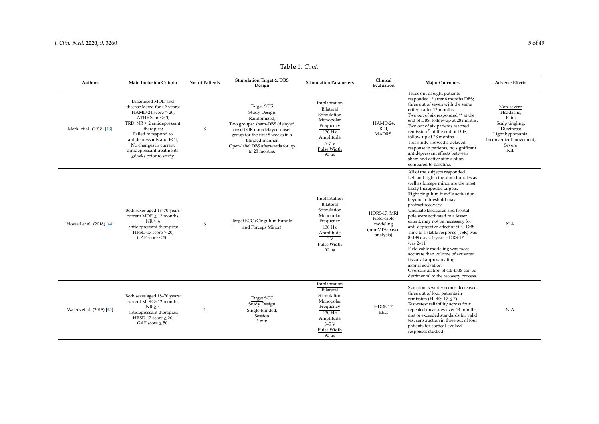**Table 1.** *Cont.*

| <b>Authors</b>            | Main Inclusion Criteria                                                                                                                                                                                                                                                                         | No. of Patients | <b>Stimulation Target &amp; DBS</b><br>Design                                                                                                                                                                                | <b>Stimulation Parameters</b>                                                                                                              | Clinical<br>Evaluation                                                 | <b>Major Outcomes</b>                                                                                                                                                                                                                                                                                                                                                                                                                                                                                                                                                                                                                                              | <b>Adverse Effects</b>                                                                                                             |
|---------------------------|-------------------------------------------------------------------------------------------------------------------------------------------------------------------------------------------------------------------------------------------------------------------------------------------------|-----------------|------------------------------------------------------------------------------------------------------------------------------------------------------------------------------------------------------------------------------|--------------------------------------------------------------------------------------------------------------------------------------------|------------------------------------------------------------------------|--------------------------------------------------------------------------------------------------------------------------------------------------------------------------------------------------------------------------------------------------------------------------------------------------------------------------------------------------------------------------------------------------------------------------------------------------------------------------------------------------------------------------------------------------------------------------------------------------------------------------------------------------------------------|------------------------------------------------------------------------------------------------------------------------------------|
| Merkl et al. (2018) [43]  | Diagnosed MDD and<br>disease lasted for >2 years;<br>HAMD-24 score $\geq$ 20;<br>$ATHF$ Score $>$ 3:<br>TRD: $NR \geq 2$ antidepressant<br>therapies;<br>Failed to respond to<br>antidepressants and ECT;<br>No changes in current<br>antidepressant treatments<br>$\geq$ 6 wks prior to study. | 8               | <b>Target SCG</b><br>Study Design<br>Randomized;<br>Two groups: sham-DBS (delayed<br>onset) OR non-delayed onset<br>group for the first 8 weeks in a<br>blinded manner.<br>Open-label DBS afterwards for up<br>to 28 months. | Implantation<br>Bilateral<br>Stimulation<br>Monopolar<br>Frequency<br>130 Hz<br>Amplitude<br>$5-7V$<br>Pulse Width<br>$90 \mu s$           | HAMD-24,<br>BDI,<br>MADRS.                                             | Three out of eight patients<br>responded ** after 6 months DBS;<br>three out of seven with the same<br>criteria after 12 months.<br>Two out of six responded ** at the<br>end of DBS, follow-up at 28 months.<br>Two out of six patients reached<br>remission □ at the end of DBS,<br>follow-up at 28 months.<br>This study showed a delayed<br>response in patients; no significant<br>antidepressant effects between<br>sham and active stimulation<br>compared to baseline.                                                                                                                                                                                     | Non-severe<br>Headache;<br>Pain:<br>Scalp tingling;<br>Dizziness;<br>Light hypomania;<br>Inconvenient movement;<br>Severe<br>$NIL$ |
| Howell et al. (2018) [44] | Both sexes aged 18-70 years;<br>current MDE $\geq$ 12 months;<br>NR > 4<br>antidepressant therapies;<br>HRSD-17 score $\geq$ 20;<br>GAF score $\leq$ 50.                                                                                                                                        | 6               | Target SCC (Cingulum Bundle<br>and Forceps Minor)                                                                                                                                                                            | Implantation<br>Bilateral<br>Stimulation<br>Monopolar<br>Frequency<br>130 Hz<br>Amplitude<br>4V<br>Pulse Width<br>$90 \text{ }\mu\text{s}$ | HDRS-17. MRI<br>Field-cable<br>modeling<br>(non-VTA-based<br>analysis) | All of the subjects responded.<br>Left and right cingulum bundles as<br>well as forceps minor are the most<br>likely therapeutic targets.<br>Right cingulum bundle activation<br>beyond a threshold may<br>protract recovery.<br>Uncinate fasciculus and frontal<br>pole were activated to a lesser<br>extent, may not be necessary for<br>anti-depressive effect of SCC-DBS.<br>Time to a stable response (TSR) was<br>8-189 days, 1-year HDRS-17<br>was 2-11.<br>Field cable modeling was more<br>accurate than volume of activated<br>tissue at approximating<br>axonal activation.<br>Overstimulation of CB-DBS can be<br>detrimental to the recovery process. | N.A.                                                                                                                               |
| Waters et al. (2018) [45] | Both sexes aged 18-70 years;<br>current MDE $\geq$ 12 months;<br>NR > 4<br>antidepressant therapies;<br>$HRSD-17$ score $> 20$ :<br>GAF score $\leq 50$ .                                                                                                                                       | $\overline{4}$  | Target SCC<br>Study Design<br>Single-blinded,<br>Session<br>3 min                                                                                                                                                            | Implantation<br>Bilateral<br>Stimulation<br>Monopolar<br>Frequency<br>130 Hz<br>Amplitude<br>$3-5V$<br>Pulse Width<br>$90 \mu s$           | HDRS-17,<br>EEG                                                        | Symptom severity scores decreased.<br>three out of four patients in<br>remission (HDRS-17 $\leq$ 7).<br>Test-retest reliability across four<br>repeated measures over 14 months<br>met or exceeded standards for valid<br>test construction in three out of four<br>patients for cortical-evoked<br>responses studied.                                                                                                                                                                                                                                                                                                                                             | N.A.                                                                                                                               |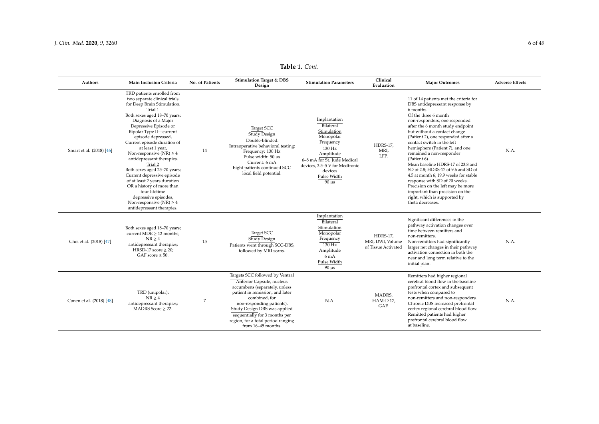| Authors                  | <b>Main Inclusion Criteria</b>                                                                                                                                                                                                                                                                                                                                                                                                                                                                                                                                                                     | No. of Patients | <b>Stimulation Target &amp; DBS</b><br>Design                                                                                                                                                                                                                                                               | <b>Stimulation Parameters</b>                                                                                                                                                                              | Clinical<br>Evaluation                              | <b>Major Outcomes</b>                                                                                                                                                                                                                                                                                                                                                                                                                                                                                                                                                                                                                                   | <b>Adverse Effects</b> |
|--------------------------|----------------------------------------------------------------------------------------------------------------------------------------------------------------------------------------------------------------------------------------------------------------------------------------------------------------------------------------------------------------------------------------------------------------------------------------------------------------------------------------------------------------------------------------------------------------------------------------------------|-----------------|-------------------------------------------------------------------------------------------------------------------------------------------------------------------------------------------------------------------------------------------------------------------------------------------------------------|------------------------------------------------------------------------------------------------------------------------------------------------------------------------------------------------------------|-----------------------------------------------------|---------------------------------------------------------------------------------------------------------------------------------------------------------------------------------------------------------------------------------------------------------------------------------------------------------------------------------------------------------------------------------------------------------------------------------------------------------------------------------------------------------------------------------------------------------------------------------------------------------------------------------------------------------|------------------------|
| Smart et al. (2018) [46] | TRD patients enrolled from<br>two separate clinical trials<br>for Deep Brain Stimulation.<br>Trial 1<br>Both sexes aged 18-70 years;<br>Diagnosis of a Major<br>Depressive Episode or<br>Bipolar Type II-current<br>episode depressed,<br>Current episode duration of<br>at least 1 year,<br>Non-responsive $(NR) \geq 4$<br>antidepressant therapies.<br>Trial 2<br>Both sexes aged 25-70 years;<br>Current depressive episode<br>of at least 2 years duration<br>OR a history of more than<br>four lifetime<br>depressive episodes,<br>Non-responsive (NR) $\geq$ 4<br>antidepressant therapies. | 14              | Target SCC<br>Study Design<br>Double-blinded.<br>Intraoperative behavioral testing:<br>Frequency: 130 Hz<br>Pulse width: 90 µs<br>Current: 6 mA<br>Eight patients continued SCC<br>local field potential.                                                                                                   | Implantation<br>Bilateral<br>Stimulation<br>Monopolar<br>Frequency<br>130 Hz<br>Amplitude<br>6-8 mA for St. Jude Medical<br>devices, 3.5-5 V for Medtronic<br>devices<br>Pulse Width<br>$\overline{90}$ µs | HDRS-17,<br>MRI,<br>LFP.                            | 11 of 14 patients met the criteria for<br>DBS antidepressant response by<br>6 months.<br>Of the three 6 month<br>non-responders, one responded<br>after the 6 month study endpoint<br>but without a contact change<br>(Patient 2), one responded after a<br>contact switch in the left<br>hemisphere (Patient 7), and one<br>remained a non-responder<br>(Patient 6).<br>Mean baseline HDRS-17 of 23.8 and<br>SD of 2.8; HDRS-17 of 9.6 and SD of<br>4.5 at month 6; 19.9 weeks for stable<br>response with SD of 20 weeks.<br>Precision on the left may be more<br>important than precision on the<br>right, which is supported by<br>theta decreases. | N.A.                   |
| Choi et al. (2018) [47]  | Both sexes aged 18-70 years;<br>current MDE $\geq$ 12 months;<br>$NR \geq 4$<br>antidepressant therapies;<br>HRSD-17 score $\geq$ 20;<br>$GAF$ score $\leq 50$ .                                                                                                                                                                                                                                                                                                                                                                                                                                   | 15              | Target SCC<br><b>Study Design</b><br>Patients went through SCC-DBS,<br>followed by MRI scans.                                                                                                                                                                                                               | Implantation<br>Bilateral<br>Stimulation<br>Monopolar<br>Frequency<br>130 Hz<br>Amplitude<br>6mA<br>Pulse Width<br>$90 \text{ }\mu\text{s}$                                                                | HDRS-17,<br>MRI, DWI, Volume<br>of Tissue Activated | Significant differences in the<br>pathway activation changes over<br>time between remitters and<br>non-remitters.<br>Non-remitters had significantly<br>larger net changes in their pathway<br>activation connection in both the<br>near and long term relative to the<br>initial plan.                                                                                                                                                                                                                                                                                                                                                                 | N.A.                   |
| Conen et al. (2018) [48] | TRD (unipolar);<br>$NR \geq 4$<br>antidepressant therapies;<br>MADRS Score > 22.                                                                                                                                                                                                                                                                                                                                                                                                                                                                                                                   | 7               | Targets SCC followed by Ventral<br>Anterior Capsule, nucleus<br>accumbens (separately, unless<br>patient in remission, and later<br>combined, for<br>non-responding patients).<br>Study Design DBS was applied<br>sequentially for 3 months per<br>region, for a total period ranging<br>from 16-45 months. | N.A.                                                                                                                                                                                                       | MADRS,<br>HAM-D17,<br>GAF.                          | Remitters had higher regional<br>cerebral blood flow in the baseline<br>prefrontal cortex and subsequent<br>tests when compared to<br>non-remitters and non-responders.<br>Chronic DBS increased prefrontal<br>cortex regional cerebral blood flow.<br>Remitted patients had higher<br>prefrontal cerebral blood flow<br>at baseline.                                                                                                                                                                                                                                                                                                                   | N.A.                   |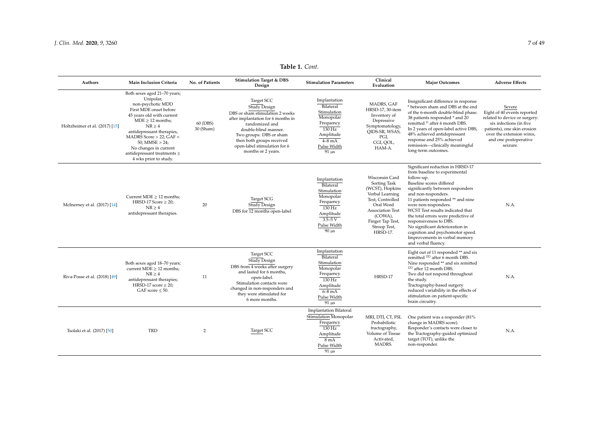| Authors                        | Main Inclusion Criteria                                                                                                                                                                                                                                                                                                     | No. of Patients       | <b>Stimulation Target &amp; DBS</b><br>Design                                                                                                                                                                                                               | <b>Stimulation Parameters</b>                                                                                                               | Clinical<br>Evaluation                                                                                                                                                                      | <b>Major Outcomes</b>                                                                                                                                                                                                                                                                                                                                                                                                                                                   | <b>Adverse Effects</b>                                                                                                                                                                             |
|--------------------------------|-----------------------------------------------------------------------------------------------------------------------------------------------------------------------------------------------------------------------------------------------------------------------------------------------------------------------------|-----------------------|-------------------------------------------------------------------------------------------------------------------------------------------------------------------------------------------------------------------------------------------------------------|---------------------------------------------------------------------------------------------------------------------------------------------|---------------------------------------------------------------------------------------------------------------------------------------------------------------------------------------------|-------------------------------------------------------------------------------------------------------------------------------------------------------------------------------------------------------------------------------------------------------------------------------------------------------------------------------------------------------------------------------------------------------------------------------------------------------------------------|----------------------------------------------------------------------------------------------------------------------------------------------------------------------------------------------------|
| Holtzheimer et al. (2017) [15] | Both sexes aged 21-70 years;<br>Unipolar,<br>non-psychotic MDD<br>First MDE onset before<br>45 years old with current<br>$MDE \geq 12$ months;<br>NR > 4<br>antidepressant therapies,<br>MADRS Score > 22; GAF <<br>50; MMSE $> 24$ ;<br>No changes in current<br>antidepressant treatments $\geq$<br>4 wks prior to study. | 60 (DBS)<br>30 (Sham) | Target SCC<br>Study Design<br>DBS or sham stimulation 2 weeks<br>after implantation for 6 months in<br>randomized and<br>double-blind manner.<br>Two groups: DBS or sham<br>then both groups received<br>open-label stimulation for 6<br>months or 2 years. | Implantation<br>Bilateral<br>Stimulation<br>Monopolar<br>Frequency<br>130 Hz<br>Amplitude<br>$4-8$ mA<br>Pulse Width<br>$91 \,\mu s$        | MADRS, GAF<br>HRSD-17, 30-item<br>Inventory of<br>Depressive<br>Symptomatology,<br>OIDS-SR, WSAS,<br>PGI,<br>CGI, QOL,<br>HAM-A.                                                            | Insignificant difference in response<br>* between sham and DBS at the end<br>of the 6-month double-blind phase.<br>38 patients responded * and 20<br>remitted <sup>D</sup> after 6 month DBS.<br>In 2 years of open-label active DBS,<br>48% achieved antidepressant<br>response and 25% achieved<br>remission-clinically meaningful<br>long-term outcomes.                                                                                                             | Severe<br>Eight of 40 events reported<br>related to device or surgery:<br>six infections (in five<br>patients), one skin erosion<br>over the extension wires,<br>and one postoperative<br>seizure. |
| McInerney et al. (2017) [14]   | Current MDE $\geq$ 12 months;<br>HRSD-17 Score $\geq 20$ ;<br>$NR \geq 4$<br>antidepressant therapies.                                                                                                                                                                                                                      | 20                    | <b>Target SCG</b><br>Study Design<br>DBS for 12 months open-label                                                                                                                                                                                           | Implantation<br>Bilateral<br>Stimulation<br>Monopolar<br>Frequency<br>130 Hz<br>Amplitude<br>$3.5 - 5V$<br>Pulse Width<br>$90 \mu s$        | Wisconsin Card<br>Sorting Task<br>(WCST), Hopkins<br>Verbal Learning<br>Test, Controlled<br>Oral Word<br><b>Association Test</b><br>(COWA),<br>Finger Tap Test,<br>Stroop Test,<br>HRSD-17. | Significant reduction in HRSD-17<br>from baseline to experimental<br>follow-up.<br>Baseline scores differed<br>significantly between responders<br>and non-responders.<br>11 patients responded ** and nine<br>were non-responders.<br>WCST Test results indicated that<br>the total errors were predictive of<br>responsiveness to DBS.<br>No significant deterioration in<br>cognition and psychomotor speed.<br>Improvements in verbal memory<br>and verbal fluency. | N.A.                                                                                                                                                                                               |
| Riva-Posse et al. (2018) [49]  | Both sexes aged 18-70 years;<br>current MDE $\geq$ 12 months;<br>$NR \geq 4$<br>antidepressant therapies;<br>HRSD-17 score $\geq$ 20;<br>GAF score $\leq 50$ .                                                                                                                                                              | 11                    | Target SCC<br>Study Design<br>DBS from 4 weeks after surgery<br>and lasted for 6 months,<br>open-label.<br>Stimulation contacts were<br>changed in non-responders and<br>they were stimulated for<br>6 more months.                                         | Implantation<br>Bilateral<br>Stimulation<br>Monopolar<br>Frequency<br>130 Hz<br>Amplitude<br>$6-8$ mA<br>Pulse Width<br>$91 \,\mu s$        | HRSD-17                                                                                                                                                                                     | Eight out of 11 responded ** and six<br>remitted $\Box$ after 6 month DBS.<br>Nine responded ** and six remitted<br><sup>DD</sup> after 12 month DBS.<br>Two did not respond throughout<br>the study.<br>Tractography-based surgery<br>reduced variability in the effects of<br>stimulation on patient-specific<br>brain circuitry.                                                                                                                                     | N.A.                                                                                                                                                                                               |
| Tsolaki et al. (2017) [50]     | <b>TRD</b>                                                                                                                                                                                                                                                                                                                  | 2                     | Target SCC                                                                                                                                                                                                                                                  | <b>Implantation Bilateral</b><br>Stimulation Monopolar<br>Frequency<br>130 Hz<br>Amplitude<br>$8 \text{ mA}$<br>Pulse Width<br>$91 \,\mu s$ | MRI, DTI, CT, FSL<br>Probabilistic<br>tractography,<br>Volume of Tissue<br>Activated,<br>MADRS.                                                                                             | One patient was a responder (81%<br>change in MADRS score).<br>Responder's contacts were closer to<br>the Tractography-guided optimized<br>target (TOT), unlike the<br>non-responder.                                                                                                                                                                                                                                                                                   | N.A.                                                                                                                                                                                               |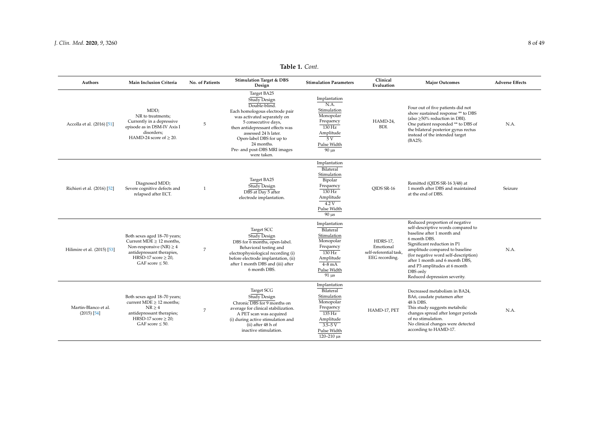| Authors                               | <b>Main Inclusion Criteria</b>                                                                                                                                                  | No. of Patients | <b>Stimulation Target &amp; DBS</b><br>Design                                                                                                                                                                                                                                            | <b>Stimulation Parameters</b>                                                                                                                  | Clinical<br>Evaluation                                           | <b>Major Outcomes</b>                                                                                                                                                                                                                                                                                                                     | <b>Adverse Effects</b> |
|---------------------------------------|---------------------------------------------------------------------------------------------------------------------------------------------------------------------------------|-----------------|------------------------------------------------------------------------------------------------------------------------------------------------------------------------------------------------------------------------------------------------------------------------------------------|------------------------------------------------------------------------------------------------------------------------------------------------|------------------------------------------------------------------|-------------------------------------------------------------------------------------------------------------------------------------------------------------------------------------------------------------------------------------------------------------------------------------------------------------------------------------------|------------------------|
| Accolla et al. (2016) [51]            | MDD;<br>NR to treatments;<br>Currently in a depressive<br>episode as in DSM-IV Axis I<br>disorders;<br>$HAMD-24$ score of $> 20$ .                                              | 5               | Target BA25<br>Study Design<br>Double-blind.<br>Each homologous electrode pair<br>was activated separately on<br>5 consecutive days,<br>then antidepressant effects was<br>assessed 24 h later.<br>Open-label DBS for up to<br>24 months.<br>Pre- and post-DBS MRI images<br>were taken. | Implantation<br>N.A.<br>Stimulation<br>Monopolar<br>Frequency<br>130 Hz<br>Amplitude<br>5V<br>Pulse Width<br>$90 \mu s$                        | HAMD-24,<br>BDI.                                                 | Four out of five patients did not<br>show sustained response ** to DBS<br>(also $\geq$ 50% reduction in DBI).<br>One patient responded ** to DBS of<br>the bilateral posterior gyrus rectus<br>instead of the intended target<br>(BA25).                                                                                                  | N.A.                   |
| Richieri et al. (2016) [52]           | Diagnosed MDD;<br>Severe cognitive defects and<br>relapsed after ECT.                                                                                                           | $\mathbf{1}$    | Target BA25<br>Study Design<br>DBS at Day 5 after<br>electrode implantation.                                                                                                                                                                                                             | Implantation<br>Bilateral<br>Stimulation<br>Bipolar<br>Frequency<br>130 Hz<br>Amplitude<br>4.2V<br>Pulse Width<br>$90 \text{ us}$              | OIDS SR-16                                                       | Remitted (QIDS SR-16 3/48) at<br>1 month after DBS and maintained<br>at the end of DBS.                                                                                                                                                                                                                                                   | Seizure                |
| Hilimire et al. (2015) [53]           | Both sexes aged 18-70 years;<br>Current MDE $\geq$ 12 months,<br>Non-responsive $(NR) \geq 4$<br>antidepressant therapies,<br>HRSD-17 score $\geq 20$ ,<br>$GAF$ score $< 50$ . | $\overline{7}$  | Target SCC<br>Study Design<br>DBS for 6 months, open-label.<br>Behavioral testing and<br>electrophysiological recording (i)<br>before electrode implantation, (ii)<br>after 1 month DBS and (iii) after<br>6 month DBS.                                                                  | Implantation<br>Bilateral<br>Stimulation<br>Monopolar<br>Frequency<br>130 Hz<br>Amplitude<br>$4-8$ mA<br>Pulse Width<br>$91 \,\mu s$           | HDRS-17,<br>Emotional<br>self-referential task<br>EEG recording. | Reduced proportion of negative<br>self-descriptive words compared to<br>baseline after 1 month and<br>6 month DBS.<br>Significant reduction in P1<br>amplitude compared to baseline<br>(for negative word self-description)<br>after 1 month and 6 month DBS,<br>and P3 amplitudes at 6 month<br>DBS only<br>Reduced depression severity. | N.A.                   |
| Martin-Blanco et al.<br>$(2015)$ [54] | Both sexes aged 18-70 years;<br>current MDE $\geq$ 12 months;<br>NR > 4<br>antidepressant therapies;<br>HRSD-17 score $\geq$ 20;<br>GAF score $\leq 50$ .                       | 7               | Target SCG<br>Study Design<br>Chronic DBS for 9 months on<br>average for clinical stabilization.<br>A PET scan was acquired<br>(i) during active stimulation and<br>(ii) after 48 h of<br>inactive stimulation.                                                                          | Implantation<br>Bilateral<br>Stimulation<br>Monopolar<br>Frequency<br>135 Hz<br>Amplitude<br>$3.5 - 5$ V<br>Pulse Width<br>$120 - 210$ $\mu s$ | HAMD-17, PET                                                     | Decreased metabolism in BA24,<br>BA6, caudate putamen after<br>48 h DBS.<br>This study suggests metabolic<br>changes spread after longer periods<br>of no stimulation.<br>No clinical changes were detected<br>according to HAMD-17.                                                                                                      | N.A.                   |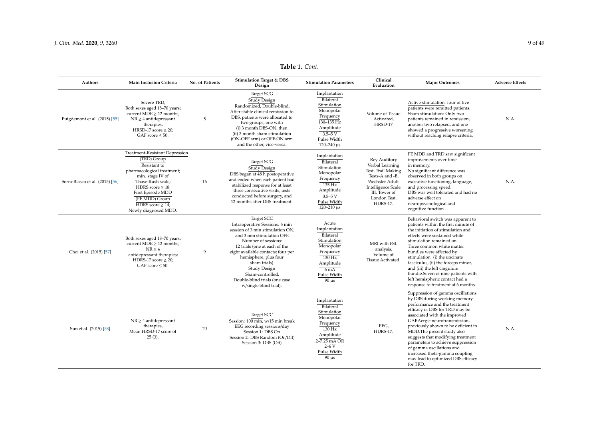| Authors                         | Main Inclusion Criteria                                                                                                                                                                                                                             | No. of Patients | <b>Stimulation Target &amp; DBS</b><br>Design                                                                                                                                                                                                                                                                                                         | <b>Stimulation Parameters</b>                                                                                                                                 | Clinical<br>Evaluation                                                                                                                                                      | <b>Major Outcomes</b>                                                                                                                                                                                                                                                                                                                                                                                                                                                 | <b>Adverse Effects</b> |
|---------------------------------|-----------------------------------------------------------------------------------------------------------------------------------------------------------------------------------------------------------------------------------------------------|-----------------|-------------------------------------------------------------------------------------------------------------------------------------------------------------------------------------------------------------------------------------------------------------------------------------------------------------------------------------------------------|---------------------------------------------------------------------------------------------------------------------------------------------------------------|-----------------------------------------------------------------------------------------------------------------------------------------------------------------------------|-----------------------------------------------------------------------------------------------------------------------------------------------------------------------------------------------------------------------------------------------------------------------------------------------------------------------------------------------------------------------------------------------------------------------------------------------------------------------|------------------------|
| Puigdemont et al. (2015) [55]   | Severe TRD:<br>Both sexes aged 18-70 years;<br>current MDE $\geq$ 12 months;<br>$NR \geq 4$ antidepressant<br>therapies;<br>HRSD-17 score $\geq$ 20;<br>$GAF$ score $< 50$ .                                                                        | $\overline{5}$  | Target SCG<br>Study Design<br>Randomized, Double-blind.<br>After stable clinical remission to<br>DBS, patients were allocated to<br>two groups, one with<br>(i) 3 month DBS-ON, then<br>(ii) 3 month sham stimulation<br>(ON-OFF arm) or OFF-ON arm<br>and the other, vice-versa.                                                                     | Implantation<br>Bilateral<br>Stimulation<br>Monopolar<br>Frequency<br>$130 - 135$ Hz<br>Amplitude<br>$3.5 - 5V$<br>Pulse Width<br>$120 - 240$ us              | Volume of Tissue<br>Activated,<br>HRSD-17                                                                                                                                   | Active stimulation: four of five<br>patients were remitted patients.<br>Sham stimulation: Only two<br>patients remained in remission,<br>another two relapsed, and one<br>showed a progressive worsening<br>without reaching relapse criteria.                                                                                                                                                                                                                        | N.A.                   |
| Serra-Blasco et al. (2015) [56] | Treatment-Resistant Depression<br>(TRD) Group<br>Resistant to<br>pharmacological treatment;<br>min. stage IV of<br>Thase-Rush scale;<br>HDRS score $> 18$ .<br>First Episode MDD<br>(FE MDD) Group<br>HDRS score $\geq$ 14;<br>Newly diagnosed MDD. | 16              | Target SCG<br>Study Design<br>DBS began at 48 h postoperative<br>and ended when each patient had<br>stabilized response for at least<br>three consecutive visits, tests<br>conducted before surgery, and<br>12 months after DBS treatment.                                                                                                            | Implantation<br>Bilateral<br>Stimulation<br>Monopolar<br>Frequency<br>$135 \text{ Hz}$<br>Amplitude<br>$3.5 - 5V$<br>Pulse Width<br>$120 - 210$ us            | <b>Rey Auditory</b><br>Verbal Learning<br>Test, Trail Making<br>Tests-A and -B,<br>Wechsler Adult<br><b>Intelligence Scale</b><br>III, Tower of<br>London Test,<br>HDRS-17. | FE MDD and TRD saw significant<br>improvements over time<br>in memory.<br>No significant difference was<br>observed in both groups on<br>executive functioning, language,<br>and processing speed.<br>DBS was well tolerated and had no<br>adverse effect on<br>neuropsychological and<br>cognitive function.                                                                                                                                                         | N.A.                   |
| Choi et al. (2015) [57]         | Both sexes aged 18-70 years;<br>current MDE $\geq$ 12 months;<br>NR > 4<br>antidepressant therapies;<br>HDRS-17 score $\geq$ 20;<br>$GAF$ score $< 50$ .                                                                                            | 9               | Target SCC<br>Intraoperative Sessions: 6 min<br>session of 3 min stimulation ON,<br>and 3 min stimulation OFF.<br>Number of sessions:<br>12 trials (one at each of the<br>eight available contacts; four per<br>hemisphere, plus four<br>sham trials).<br>Study Design<br>Sham-controlled.<br>Double-blind trials (one case<br>w/single blind trial). | Acute<br>Implantation<br>Bilateral<br>Stimulation<br>Monopolar<br>Frequency<br>$130 \text{ Hz}$<br>Amplitude<br>6mA<br>Pulse Width<br>$90 \mu s$              | MRI with FSL<br>analysis,<br>Volume of<br>Tissue Activated.                                                                                                                 | Behavioral switch was apparent to<br>patients within the first minute of<br>the initiation of stimulation and<br>effects were sustained while<br>stimulation remained on.<br>Three common white matter<br>bundles were affected by<br>stimulation: (i) the uncinate<br>fasciculus, (ii) the forceps minor,<br>and (iii) the left cingulum<br>bundle.Seven of nine patients with<br>left hemispheric contact had a<br>response to treatment at 6 months.               |                        |
| Sun et al. (2015) [58]          | $NR \geq 4$ antidepressant<br>therapies,<br>Mean HRSD-17 score of<br>$25(3)$ .                                                                                                                                                                      | 20              | Target SCC<br>Session: $100 \text{ min}$ , w/15 min break<br>EEG recording sessions/day<br>Session 1: DBS On<br>Session 2: DBS Random (On/Off)<br>Session 3: DBS (Off)                                                                                                                                                                                | Implantation<br>Bilateral<br>Stimulation<br>Monopolar<br>Frequency<br>130 Hz<br>Amplitude<br>$2-\overline{7.25}$ mA OR<br>$2-6V$<br>Pulse Width<br>$90 \mu s$ | EEG,<br><b>HDRS-17.</b>                                                                                                                                                     | Suppression of gamma oscillations<br>by DBS during working memory<br>performance and the treatment<br>efficacy of DBS for TRD may be<br>associated with the improved<br>GABAergic neurotransmission,<br>previously shown to be deficient in<br>MDD. The present study also<br>suggests that modifying treatment<br>parameters to achieve suppression<br>of gamma oscillations and<br>increased theta-gamma coupling<br>may lead to optimized DBS efficacy<br>for TRD. | N.A.                   |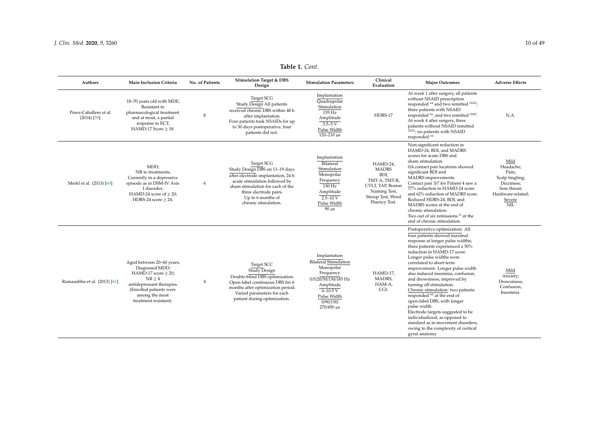**Table 1.** *Cont.*

| <b>Authors</b>                          | Main Inclusion Criteria                                                                                                                                                                    | No. of Patients | <b>Stimulation Target &amp; DBS</b><br>Design                                                                                                                                                                                  | <b>Stimulation Parameters</b>                                                                                                                                      | Clinical<br>Evaluation                                                                                                       | <b>Major Outcomes</b>                                                                                                                                                                                                                                                                                                                                                                                                                                                                                                                                                                                                                                   | <b>Adverse Effects</b>                                                                                            |
|-----------------------------------------|--------------------------------------------------------------------------------------------------------------------------------------------------------------------------------------------|-----------------|--------------------------------------------------------------------------------------------------------------------------------------------------------------------------------------------------------------------------------|--------------------------------------------------------------------------------------------------------------------------------------------------------------------|------------------------------------------------------------------------------------------------------------------------------|---------------------------------------------------------------------------------------------------------------------------------------------------------------------------------------------------------------------------------------------------------------------------------------------------------------------------------------------------------------------------------------------------------------------------------------------------------------------------------------------------------------------------------------------------------------------------------------------------------------------------------------------------------|-------------------------------------------------------------------------------------------------------------------|
| Perez-Caballero et al.<br>$(2014)$ [59] | 18-70 years old with MDE;<br>Resistant to<br>pharmacological treatment<br>and at most, a partial<br>response to ECT;<br>HAMD-17 Score $\geq$ 18.                                           | 8               | <b>Target SCG</b><br>Study Design All patients<br>received chronic DBS within 48 h<br>after implantation.<br>Four patients took NSAIDs for up<br>to 30 days postoperative, four<br>patients did not.                           | Implantation<br>Quadrupolar<br>Stimulation<br>$135 \text{ Hz}$<br>Amplitude<br>$3.5 - 5V$<br>Pulse Width<br>$120 - 210$ $\mu s$                                    | HDRS-17                                                                                                                      | At week 1 after surgery, all patients<br>without NSAID prescription<br>responded ** and two remitted <sup>DDD</sup> ;<br>three patients with NSAID<br>responded **, and two remitted DDD.<br>At week 4 after surgery, three<br>patients without NSAID remitted<br>DOD; no patients with NSAID<br>responded **                                                                                                                                                                                                                                                                                                                                           | N.A.                                                                                                              |
| Merkl et al. (2013) [60]                | MDD;<br>NR to treatments;<br>Currently in a depressive<br>episode as in DSM-IV Axis<br>I disorder:<br>HAMD-24 score of $\geq 20$ ;<br>HDRS-24 score $\geq$ 24.                             | 6               | Target SCG<br>Study Design DBS on 11-19 days<br>after electrode implantation, 24 h<br>acute stimulation followed by<br>sham stimulation for each of the<br>three electrode pairs.<br>Up to 6 months of<br>chronic stimulation. | Implantation<br>Bilateral<br>Stimulation<br>Monopolar<br>Frequency<br>130 Hz<br>Amplitude<br>$2.5 - 10V$<br>Pulse Width<br>$90 \text{ }\mu\text{s}$                | HAMD-24,<br><b>MADRS</b><br>BDI,<br>TMT-A, TMT-B,<br>CVLT, TAP, Boston<br>Naming Test,<br>Stroop Test, Word<br>Fluency Test. | Non-significant reduction in<br>HAMD-24, BDI, and MADRS<br>scores for acute DBS and<br>sham stimulation.<br>0/4 contact pair locations showed<br>significant BDI and<br>MADRS improvements.<br>Contact pair 3/7 for Patient 4 saw a<br>77% reduction in HAMD-24 score<br>and 62% reduction of MADRS score.<br>Reduced HDRS-24, BDI, and<br>MADRS scores at the end of<br>chronic stimulation.<br>Two out of six remissions $\Box$ at the<br>end of chronic stimulation.                                                                                                                                                                                 | Mild<br>Headache;<br>Pain;<br>Scalp tingling;<br>Dizziness;<br>Sore throat:<br>Hardware-related;<br>Severe<br>NIL |
| Ramasubbu et al. (2013) [61]            | Aged between 20–60 years;<br>Diagnosed MDD;<br>HAMD-17 score $\geq 20$ ;<br>$NR \geq 4$<br>antidepressant therapies.<br>(Enrolled patients were<br>among the most<br>treatment resistant). | $\overline{4}$  | Target SCC<br>Study Design<br>Double-blind DBS optimization.<br>Open-label continuous DBS for 6<br>months after optimization period.<br>Varied parameters for each<br>patient during optimization.                             | Implantation<br><b>Bilateral Stimulation</b><br>Monopolar<br>Frequency<br>0/5/20/50/130/185 Hz<br>Amplitude<br>$0-10.5V$<br>Pulse Width<br>0/90/150/<br>270/450 us | HAMD-17,<br>MADRS,<br>HAM-A,<br>CGI.                                                                                         | Postoperative optimization: All<br>four patients showed maximal<br>response at longer pulse widths;<br>three patients experienced a 50%<br>reduction in HAMD-17 score.<br>Longer pulse widths were<br>correlated to short-term<br>improvement. Longer pulse width<br>also induced insomnia, confusion,<br>and drowsiness; improved by<br>turning off stimulation.<br>Chronic stimulation: two patients<br>responded ** at the end of<br>open-label DBS, with longer<br>pulse width.<br>Electrode targets suggested to be<br>individualized, as opposed to<br>standard as in movement disorders,<br>owing to the complexity of cortical<br>gyral anatomy | Mild<br>Anxiety;<br>Drowsiness;<br>Confusion;<br>Insomnia.                                                        |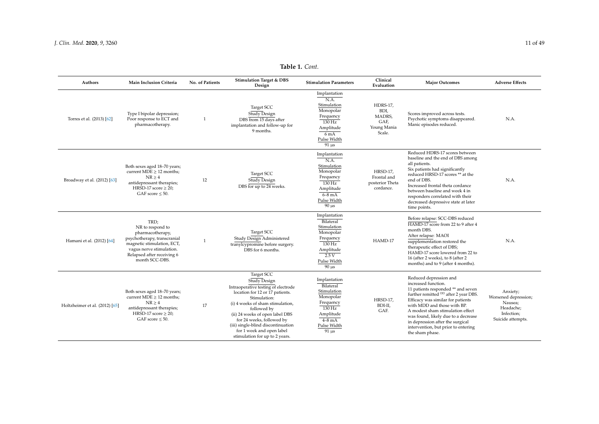| Authors                        | Main Inclusion Criteria                                                                                                                                                               | No. of Patients | <b>Stimulation Target &amp; DBS</b><br>Design                                                                                                                                                                                                                                                                                                | <b>Stimulation Parameters</b>                                                                                                                    | Clinical<br>Evaluation                                         | <b>Major Outcomes</b>                                                                                                                                                                                                                                                                                                                                                                | <b>Adverse Effects</b>                                                                      |
|--------------------------------|---------------------------------------------------------------------------------------------------------------------------------------------------------------------------------------|-----------------|----------------------------------------------------------------------------------------------------------------------------------------------------------------------------------------------------------------------------------------------------------------------------------------------------------------------------------------------|--------------------------------------------------------------------------------------------------------------------------------------------------|----------------------------------------------------------------|--------------------------------------------------------------------------------------------------------------------------------------------------------------------------------------------------------------------------------------------------------------------------------------------------------------------------------------------------------------------------------------|---------------------------------------------------------------------------------------------|
| Torres et al. (2013) [62]      | Type I bipolar depression;<br>Poor response to ECT and<br>pharmacotherapy.                                                                                                            | $\mathbf{1}$    | Target SCC<br><b>Study Design</b><br>DBS from 15 days after<br>implantation and follow-up for<br>9 months.                                                                                                                                                                                                                                   | Implantation<br>N.A.<br>Stimulation<br>Monopolar<br>Frequency<br>130 Hz<br>Amplitude<br>6mA<br>Pulse Width<br>$91 \text{ }\mu\text{s}$           | HDRS-17,<br>BDI,<br>MADRS,<br>GAF,<br>Young Mania<br>Scale.    | Scores improved across tests.<br>Psychotic symptoms disappeared.<br>Manic episodes reduced.                                                                                                                                                                                                                                                                                          | N.A.                                                                                        |
| Broadway et al. (2012) [63]    | Both sexes aged 18-70 years;<br>current $MDE > 12$ months:<br>NR > 4<br>antidepressant therapies;<br>HRSD-17 score $\geq$ 20;<br>$GAF$ score $\leq 50$ .                              | 12              | Target SCC<br>Study Design<br>DBS for up to 24 weeks.                                                                                                                                                                                                                                                                                        | Implantation<br>N.A.<br>Stimulation<br>Monopolar<br>Frequency<br>130 Hz<br>Amplitude<br>$6-8$ mA<br>Pulse Width<br>$90 \mu s$                    | <b>HRSD-17.</b><br>Frontal and<br>posterior Theta<br>cordance. | Reduced HDRS-17 scores between<br>baseline and the end of DBS among<br>all patients.<br>Six patients had significantly<br>reduced HRSD-17 scores ** at the<br>end of DBS.<br>Increased frontal theta cordance<br>between baseline and week 4 in<br>responders correlated with their<br>decreased depressive state at later<br>time points.                                           | N.A.                                                                                        |
| Hamani et al. (2012) [64]      | TRD;<br>NR to respond to<br>pharmacotherapy,<br>psychotherapy, transcranial<br>magnetic stimulation, ECT,<br>vagus nerve stimulation.<br>Relapsed after receiving 6<br>month SCC-DBS. | $\mathbf{1}$    | Target SCC<br>Study Design Administered<br>tranylcypromine before surgery.<br>DBS for 6 months.                                                                                                                                                                                                                                              | Implantation<br>Bilateral<br>Stimulation<br>Monopolar<br>Frequency<br>130 Hz<br>Amplitude<br>2.5V<br>Pulse Width<br>$90 \text{ }\mu\text{s}$     | HAMD-17                                                        | Before relapse: SCC-DBS reduced<br>HAMD-17 score from 22 to 9 after 4<br>month DBS.<br>After relapse: MAOI<br>supplementation restored the<br>therapeutic effect of DBS;<br>HAMD-17 score lowered from 22 to<br>16 (after 2 weeks), to 8 (after 2<br>months) and to 9 (after 4 months).                                                                                              | N.A.                                                                                        |
| Holtzheimer et al. (2012) [65] | Both sexes aged 18-70 years;<br>current $MDE > 12$ months:<br>NR > 4<br>antidepressant therapies;<br>HRSD-17 score $\geq$ 20;<br>GAF score $\leq$ 50.                                 | 17              | Target SCC<br>Study Design<br>Intraoperative testing of electrode<br>location for 12 or 17 patients.<br>Stimulation:<br>(i) 4 weeks of sham stimulation,<br>followed by<br>(ii) 24 weeks of open label DBS<br>for 24 weeks, followed by<br>(iii) single-blind discontinuation<br>for 1 week and open label<br>stimulation for up to 2 years. | Implantation<br>Bilateral<br>Stimulation<br>Monopolar<br>Frequency<br>130 Hz<br>Amplitude<br>$4-8$ mA<br>Pulse Width<br>$91 \text{ }\mu\text{s}$ | HRSD-17,<br>BDI-II,<br>GAF.                                    | Reduced depression and<br>increased function.<br>11 patients responded ** and seven<br>further remitted <sup>DD</sup> after 2 year DBS.<br>Efficacy was similar for patients<br>with MDD and those with BP.<br>A modest sham stimulation effect<br>was found, likely due to a decrease<br>in depression after the surgical<br>intervention, but prior to entering<br>the sham phase. | Anxiety;<br>Worsened depression;<br>Nausea;<br>Headache:<br>Infection;<br>Suicide attempts. |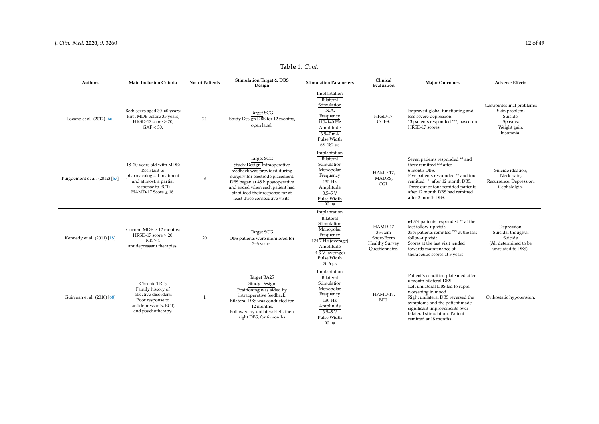| Authors                       | <b>Main Inclusion Criteria</b>                                                                                                                   | No. of Patients | <b>Stimulation Target &amp; DBS</b><br>Design                                                                                                                                                                                                              | <b>Stimulation Parameters</b>                                                                                                                                           | Clinical<br>Evaluation                                                      | <b>Major Outcomes</b>                                                                                                                                                                                                                                                                      | <b>Adverse Effects</b>                                                                          |
|-------------------------------|--------------------------------------------------------------------------------------------------------------------------------------------------|-----------------|------------------------------------------------------------------------------------------------------------------------------------------------------------------------------------------------------------------------------------------------------------|-------------------------------------------------------------------------------------------------------------------------------------------------------------------------|-----------------------------------------------------------------------------|--------------------------------------------------------------------------------------------------------------------------------------------------------------------------------------------------------------------------------------------------------------------------------------------|-------------------------------------------------------------------------------------------------|
| Lozano et al. (2012) [66]     | Both sexes aged 30-60 years;<br>First MDE before 35 years;<br>HRSD-17 score $\geq$ 20;<br>$GAF < 50$ .                                           | 21              | Target SCG<br>Study Design DBS for 12 months,<br>$\overline{open}$ label.                                                                                                                                                                                  | Implantation<br>Bilateral<br>Stimulation<br>N.A.<br>Frequency<br>$110 - 140$ Hz<br>Amplitude<br>$3.5 - 7$ mA<br>Pulse Width<br>$65 - 182$ us                            | HRSD-17,<br>CGI-S.                                                          | Improved global functioning and<br>less severe depression.<br>13 patients responded ***, based on<br>HRSD-17 scores.                                                                                                                                                                       | Gastrointestinal problems;<br>Skin problem;<br>Suicide;<br>Spasms;<br>Weight gain;<br>Insomnia. |
| Puigdemont et al. (2012) [67] | 18-70 years old with MDE;<br>Resistant to<br>pharmacological treatment<br>and at most, a partial<br>response to ECT;<br>HAMD-17 Score $\geq$ 18. | 8               | Target SCG<br>Study Design Intraoperative<br>feedback was provided during<br>surgery for electrode placement.<br>DBS began at 48 h postoperative<br>and ended when each patient had<br>stabilized their response for at<br>least three consecutive visits. | Implantation<br>Bilateral<br>Stimulation<br>Monopolar<br>Frequency<br>$135 \text{ Hz}$<br>Amplitude<br>$3.5 - 5V$<br>Pulse Width<br>$90 \text{ }\mu\text{s}$            | HAMD-17,<br>MADRS.<br>CGI.                                                  | Seven patients responded ** and<br>three remitted $\Box$ after<br>6 month DBS.<br>Five patients responded ** and four<br>remitted <sup>□□</sup> after 12 month DBS.<br>Three out of four remitted patients<br>after 12 month DBS had remitted<br>after 3 month DBS.                        | Suicide ideation;<br>Neck pain;<br>Recurrence; Depression;<br>Cephalalgia.                      |
| Kennedy et al. (2011) [18]    | Current MDE $\geq$ 12 months;<br>HRSD-17 score $\geq$ 20;<br>NR > 4<br>antidepressant therapies.                                                 | 20              | Target SCG<br>DBS patients were monitored for<br>3-6 years.                                                                                                                                                                                                | Implantation<br>Bilateral<br>Stimulation<br>Monopolar<br>Frequency<br>124.7 Hz (average)<br>Amplitude<br>$4.3 V$ (average)<br>Pulse Width<br>$70.6 \text{ }\mu\text{s}$ | HAMD-17<br>36-item<br>Short-Form<br><b>Healthy Survey</b><br>Questionnaire. | 64.3% patients responded ** at the<br>last follow-up visit.<br>35% patients remitted <sup>OO</sup> at the last<br>follow-up visit.<br>Scores at the last visit tended<br>towards maintenance of<br>therapeutic scores at 3 years.                                                          | Depression;<br>Suicidal thoughts;<br>Suicide<br>(All determined to be<br>unrelated to DBS).     |
| Guinjoan et al. (2010) [68]   | Chronic TRD;<br>Family history of<br>affective disorders;<br>Poor response to<br>antidepressants, ECT,<br>and psychotherapy.                     | -1              | Target BA25<br>Study Design<br>Positioning was aided by<br>intraoperative feedback.<br>Bilateral DBS was conducted for<br>12 months.<br>Followed by unilateral-left, then<br>right DBS, for 6 months                                                       | Implantation<br>Bilateral<br>Stimulation<br>Monopolar<br>Frequency<br>$130 \text{ Hz}$<br>Amplitude<br>$3.5 - 5V$<br>Pulse Width<br>$90 \text{ }\mu\text{s}$            | HAMD-17,<br>BDI.                                                            | Patient's condition plateaued after<br>6 month bilateral DBS.<br>Left unilateral DBS led to rapid<br>worsening in mood.<br>Right unilateral DBS reversed the<br>symptoms and the patient made<br>significant improvements over<br>bilateral stimulation. Patient<br>remitted at 18 months. | Orthostatic hypotension.                                                                        |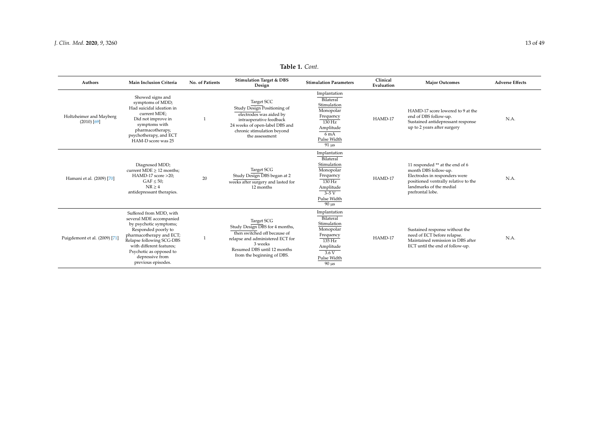| Table 1. Cont. |  |
|----------------|--|
|----------------|--|

| <b>Authors</b>                           | Main Inclusion Criteria                                                                                                                                                                                                                                      | No. of Patients | <b>Stimulation Target &amp; DBS</b><br>Design                                                                                                                                            | <b>Stimulation Parameters</b>                                                                                                           | Clinical<br>Evaluation | <b>Major Outcomes</b>                                                                                                                                                           | <b>Adverse Effects</b> |
|------------------------------------------|--------------------------------------------------------------------------------------------------------------------------------------------------------------------------------------------------------------------------------------------------------------|-----------------|------------------------------------------------------------------------------------------------------------------------------------------------------------------------------------------|-----------------------------------------------------------------------------------------------------------------------------------------|------------------------|---------------------------------------------------------------------------------------------------------------------------------------------------------------------------------|------------------------|
| Holtzheimer and Mayberg<br>$(2010)$ [69] | Showed signs and<br>symptoms of MDD;<br>Had suicidal ideation in<br>current MDE:<br>Did not improve in<br>symptoms with<br>pharmacotherapy,<br>psychotherapy, and ECT<br>HAM-D score was 25                                                                  |                 | Target SCC<br>Study Design Positioning of<br>electrodes was aided by<br>intraoperative feedback<br>24 weeks of open-label DBS and<br>chronic stimulation beyond<br>the assessment        | Implantation<br>Bilateral<br>Stimulation<br>Monopolar<br>Frequency<br>130 Hz<br>Amplitude<br>6 <sub>m</sub> A<br>Pulse Width<br>$91$ us | HAMD-17                | HAMD-17 score lowered to 9 at the<br>end of DBS follow-up.<br>Sustained antidepressant response<br>up to 2 years after surgery                                                  | N.A.                   |
| Hamani et al. (2009) [70]                | Diagnosed MDD;<br>current MDE $\geq$ 12 months;<br>HAMD-17 score >20;<br>$GAF \leq 50$ ;<br>NR > 4<br>antidepressant therapies.                                                                                                                              | 20              | Target SCG<br>Study Design DBS began at 2<br>weeks after surgery and lasted for<br>12 months                                                                                             | Implantation<br>Bilateral<br>Stimulation<br>Monopolar<br>Frequency<br>130 Hz<br>Amplitude<br>$3-5V$<br>Pulse Width<br>$90 \mu s$        | HAMD-17                | 11 responded ** at the end of 6<br>month DBS follow-up.<br>Electrodes in responders were<br>positioned ventrally relative to the<br>landmarks of the medial<br>prefrontal lobe. | N.A.                   |
| Puigdemont et al. (2009) [71]            | Suffered from MDD, with<br>several MDE accompanied<br>by psychotic symptoms;<br>Responded poorly to<br>pharmacotherapy and ECT;<br>Relapse following SCG-DBS<br>with different features:<br>Psychotic as opposed to<br>depressive from<br>previous episodes. |                 | Target SCG<br>Study Design DBS for 4 months,<br>then switched off because of<br>relapse and administered ECT for<br>3 weeks<br>Resumed DBS until 12 months<br>from the beginning of DBS. | Implantation<br>Bilateral<br>Stimulation<br>Monopolar<br>Frequency<br>135 Hz<br>Amplitude<br>3.6V<br>Pulse Width<br>$90 \mu s$          | HAMD-17                | Sustained response without the<br>need of ECT before relapse.<br>Maintained remission in DBS after<br>ECT until the end of follow-up.                                           | N.A.                   |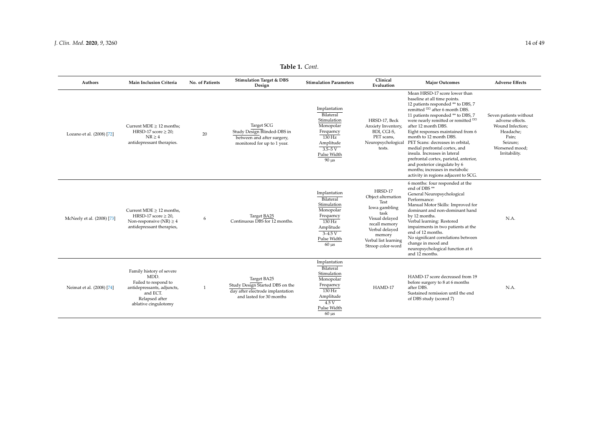| Authors                    | <b>Main Inclusion Criteria</b>                                                                                                               | No. of Patients | <b>Stimulation Target &amp; DBS</b><br>Design                                                                  | <b>Stimulation Parameters</b>                                                                                                                     | Clinical<br>Evaluation                                                                                                                                                     | <b>Major Outcomes</b>                                                                                                                                                                                                                                                                                                                                                                                                                                                                                                                                                                   | <b>Adverse Effects</b>                                                                                                              |
|----------------------------|----------------------------------------------------------------------------------------------------------------------------------------------|-----------------|----------------------------------------------------------------------------------------------------------------|---------------------------------------------------------------------------------------------------------------------------------------------------|----------------------------------------------------------------------------------------------------------------------------------------------------------------------------|-----------------------------------------------------------------------------------------------------------------------------------------------------------------------------------------------------------------------------------------------------------------------------------------------------------------------------------------------------------------------------------------------------------------------------------------------------------------------------------------------------------------------------------------------------------------------------------------|-------------------------------------------------------------------------------------------------------------------------------------|
| Lozano et al. (2008) [72]  | Current MDE $\geq$ 12 months;<br>HRSD-17 score $\geq$ 20;<br>NR > 4<br>antidepressant therapies.                                             | 20              | Target SCG<br>Study Design Blinded-DBS in<br>between and after surgery,<br>monitored for up to 1 year.         | Implantation<br>Bilateral<br>Stimulation<br>Monopolar<br>Frequency<br>130 Hz<br>Amplitude<br>$3.5 - 5V$<br>Pulse Width<br>$90 \mu s$              | HRSD-17, Beck<br>Anxiety Inventory,<br>BDI, CGI-S,<br>PET scans.<br>Neuropsychological<br>tests.                                                                           | Mean HRSD-17 score lower than<br>baseline at all time points.<br>12 patients responded ** to DBS, 7<br>remitted <sup>□□</sup> after 6 month DBS.<br>11 patients responded ** to DBS, 7<br>were nearly remitted or remitted <sup>DD</sup><br>after 12 month DBS.<br>Eight responses maintained from 6<br>month to 12 month DBS.<br>PET Scans: decreases in orbital,<br>medial prefrontal cortex, and<br>insula. Increases in lateral<br>prefrontal cortex, parietal, anterior,<br>and posterior cingulate by 6<br>months; increases in metabolic<br>activity in regions adjacent to SCG. | Seven patients without<br>adverse effects.<br>Wound Infection:<br>Headache;<br>Pain:<br>Seizure;<br>Worsened mood;<br>Irritability. |
| McNeely et al. (2008) [73] | Current $MDE > 12$ months.<br>HRSD-17 score $\geq 20$ ,<br>Non-responsive (NR) $\geq$ 4<br>antidepressant therapies,                         | 6               | Target BA25<br>Continuous DBS for 12 months.                                                                   | Implantation<br>Bilateral<br>Stimulation<br>Monopolar<br>Frequency<br>130 Hz<br>Amplitude<br>$-3-4.5V$<br>Pulse Width<br>$60 \text{ }\mu\text{s}$ | HRSD-17<br>Object alternation<br>Test<br>Iowa gambling<br>task<br>Visual delayed<br>recall memory<br>Verbal delayed<br>memory<br>Verbal list learning<br>Stroop color-word | 6 months: four responded at the<br>end of DBS <sup>**</sup><br>General Neuropsychological<br>Performance:<br>Manual Motor Skills: Improved for<br>dominant and non-dominant hand<br>by 12 months.<br>Verbal learning: Restored<br>impairments in two patients at the<br>end of 12 months.<br>No significant correlations between<br>change in mood and<br>neuropsychological function at 6<br>and 12 months.                                                                                                                                                                            | N.A.                                                                                                                                |
| Neimat et al. (2008) [74]  | Family history of severe<br>MDD.<br>Failed to respond to<br>antidepressants, adjuncts,<br>and ECT.<br>Relapsed after<br>ablative cingulotomy | 1               | Target BA25<br>Study Design Started DBS on the<br>day after electrode implantation<br>and lasted for 30 months | Implantation<br>Bilateral<br>Stimulation<br>Monopolar<br>Frequency<br>130 Hz<br>Amplitude<br>4.5V<br>Pulse Width<br>$60 \text{ }\mu\text{s}$      | HAMD-17                                                                                                                                                                    | HAMD-17 score decreased from 19<br>before surgery to 8 at 6 months<br>after DBS.<br>Sustained remission until the end<br>of DBS study (scored 7)                                                                                                                                                                                                                                                                                                                                                                                                                                        | N.A.                                                                                                                                |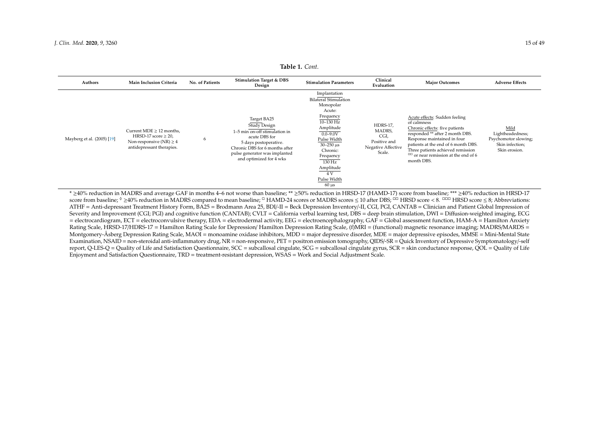**Table 1.** *Cont.*

| Authors                    | Main Inclusion Criteria                                                                                                 | No. of Patients | <b>Stimulation Target &amp; DBS</b><br>Design                                                                                                                                                        | <b>Stimulation Parameters</b>                                                                                                                                                                                                                                 | Clinical<br>Evaluation                                                     | <b>Major Outcomes</b>                                                                                                                                                                                                                                                                  | <b>Adverse Effects</b>                                                               |
|----------------------------|-------------------------------------------------------------------------------------------------------------------------|-----------------|------------------------------------------------------------------------------------------------------------------------------------------------------------------------------------------------------|---------------------------------------------------------------------------------------------------------------------------------------------------------------------------------------------------------------------------------------------------------------|----------------------------------------------------------------------------|----------------------------------------------------------------------------------------------------------------------------------------------------------------------------------------------------------------------------------------------------------------------------------------|--------------------------------------------------------------------------------------|
| Mayberg et al. (2005) [19] | Current MDE $\geq$ 12 months,<br>HRSD-17 score $\geq 20$ ,<br>Non-responsive $(NR) \geq 4$<br>antidepressant therapies. | 6               | Target BA25<br>Study Design<br>1-5 min on-off stimulation in<br>acute DBS for<br>5 days postoperative.<br>Chronic DBS for 6 months after<br>pulse generator was implanted<br>and optimized for 4 wks | Implantation<br><b>Bilateral Stimulation</b><br>Monopolar<br>Acute:<br>Frequency<br>$10 - 130$ Hz<br>Amplitude<br>$0.0 - 9.0V$<br>Pulse Width<br>$30 - 250$ us<br>Chronic:<br>Frequency<br>130 Hz<br>Amplitude<br>$\frac{1}{4}V$<br>Pulse Width<br>$60 \mu s$ | HDRS-17,<br>MADRS,<br>CGI,<br>Positive and<br>Negative Affective<br>Scale. | Acute effects: Sudden feeling<br>of calmness<br>Chronic effects: five patients<br>responded ** after 2 month DBS.<br>Response maintained in four<br>patients at the end of 6 month DBS.<br>Three patients achieved remission<br>$\Box$ or near remission at the end of 6<br>month DBS. | Mild<br>Lightheadedness;<br>Psychomotor slowing;<br>Skin infection;<br>Skin erosion. |

<span id="page-14-0"></span>\* ≥40% reduction in MADRS and average GAF in months 4–6 not worse than baseline; \*\* ≥50% reduction in HRSD-17 (HAMD-17) score from baseline; \*\*\* ≥40% reduction in HRSD-17 score from baseline;  $\degree$  >40% reduction in MADRS compared to mean baseline;  $\degree$  HAMD-24 scores or MADRS scores < 10 after DBS;  $\degree$  HRSD score < 8.  $\degree$  HRSD score < 8; Abbreviations: ATHF = Anti-depressant Treatment History Form, BA25 = Brodmann Area 25, BDI/-II = Beck Depression Inventory/-II, CGI, PGI, CANTAB = Clinician and Patient Global Impression of Severity and Improvement (CGI; PGI) and cognitive function (CANTAB); CVLT = California verbal learning test, DBS = deep brain stimulation, DWI = Diffusion-weighted imaging, ECG = electrocardiogram, ECT = electroconvulsive therapy, EDA = electrodermal activity, EEG = electroencephalography, GAF = Global assessment function, HAM-A = Hamilton Anxiety Rating Scale, HRSD-17/HDRS-17 = Hamilton Rating Scale for Depression/ Hamilton Depression Rating Scale, (f)MRI = (functional) magnetic resonance imaging; MADRS/MARDS = Montgomery-Åsberg Depression Rating Scale, MAOI = monoamine oxidase inhibitors, MDD = major depressive disorder, MDE = major depressive episodes, MMSE = Mini-Mental State Examination, NSAID = non-steroidal anti-inflammatory drug, NR = non-responsive, PET = positron emission tomography, QIDS/-SR = Quick Inventory of Depressive Symptomatology/-self report, Q-LES-Q = Quality of Life and Satisfaction Questionnaire, SCC = subcallosal cingulate, SCG = subcallosal cingulate gyrus, SCR = skin conductance response, QOL = Quality of Life Enjoyment and Satisfaction Questionnaire, TRD = treatment-resistant depression, WSAS = Work and Social Adjustment Scale.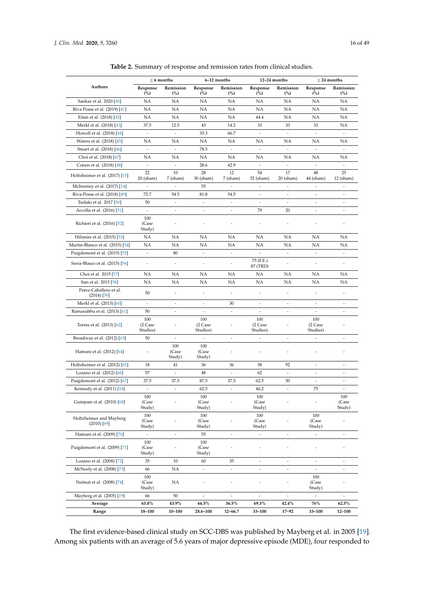<span id="page-15-0"></span>

|                                          |                            | $\leq 6$ months              |                            | 6-12 months                  |                            | 12–24 months                |                            | $\geq$ 24 months         |
|------------------------------------------|----------------------------|------------------------------|----------------------------|------------------------------|----------------------------|-----------------------------|----------------------------|--------------------------|
| <b>Authors</b>                           | Response<br>(%)            | Remission<br>(%)             | Response<br>(%)            | Remission<br>(%)             | Response<br>$\binom{0}{0}$ | Remission<br>$\binom{0}{0}$ | Response<br>(%)            | Remission<br>(%)         |
| Sankar et al. 2020 [40]                  | NA                         | NΑ                           | NА                         | NА                           | NA                         | NΑ                          | NA                         | ΝA                       |
| Riva Posse et al. (2019) [41]            | NA                         | NA                           | NA                         | NΑ                           | NA                         | NA                          | NА                         | NA                       |
| Eitan et al. (2018) [42]                 | NA                         | NΑ                           | ΝA                         | NА                           | 44.4                       | NΑ                          | NА                         | ΝA                       |
| Merkl et al. (2018) [43]                 | 37.5                       | 12.5                         | 43                         | 14.2                         | 33                         | 33                          | 33                         | NA                       |
| Howell et al. (2018) [44]                | $\overline{\phantom{a}}$   | $\overline{\phantom{m}}$     | 33.3                       | 66.7                         | $\overline{\phantom{a}}$   | $\overline{\phantom{a}}$    | ä,                         | $\overline{\phantom{a}}$ |
| Waters et al. (2018) [45]                | NA                         | NA                           | NA                         | NA                           | NA                         | NA                          | NА                         | NA                       |
| Smart et al. (2018) [46]                 | $\overline{\phantom{a}}$   | $\qquad \qquad \blacksquare$ | 78.5                       | $\frac{1}{2}$                | $\overline{\phantom{a}}$   | $\frac{1}{2}$               | $\overline{\phantom{a}}$   | $\overline{\phantom{a}}$ |
| Choi et al. (2018) [47]                  | NА                         | NΑ                           | NA                         | NА                           | NА                         | NA                          | NA                         | NΑ                       |
| Conen et al. (2018) [48]                 | $\overline{\phantom{a}}$   | ۰                            | 28.6                       | 42.9                         | $\overline{\phantom{a}}$   | $\overline{\phantom{a}}$    | $\overline{\phantom{a}}$   | $\overline{\phantom{a}}$ |
| Holtzheimer et al. (2017) [15]           | 22<br>$20$ (sham)          | 10<br>7 (sham)               | 28<br>30 (sham)            | 12<br>7 (sham)               | 54<br>52 (sham)            | 17<br>20 (sham)             | 48<br>44 (sham)            | 25<br>$12$ (sham)        |
| McInerney et al. (2017) [14]             | $\overline{\phantom{a}}$   | -                            | 55                         | $\overline{\phantom{a}}$     | $\overline{\phantom{a}}$   | $\overline{\phantom{m}}$    | ÷,                         | $\overline{\phantom{m}}$ |
| Riva-Posse et al. (2018) [49]            | 72.7                       | 54.5                         | 81.8                       | 54.5                         | $\overline{\phantom{a}}$   | -                           | $\overline{a}$             | $\overline{\phantom{m}}$ |
| Tsolaki et al. 2017 [50]                 | 50                         | ÷,                           | $\overline{\phantom{a}}$   | ä,                           | ä,                         | $\overline{\phantom{a}}$    | ä,                         | ä,                       |
| Accolla et al. (2016) [51]               | $\overline{\phantom{a}}$   | $\overline{\phantom{m}}$     | $\overline{\phantom{m}}$   | $\overline{\phantom{m}}$     | 79                         | 20                          | $\overline{\phantom{a}}$   | $\overline{\phantom{a}}$ |
| Richieri et al. (2016) [52]              | 100<br>(Case<br>Study)     | ٠                            |                            |                              |                            |                             |                            |                          |
| Hilimire et al. (2015) [53]              | NA                         | NА                           | NА                         | NА                           | NА                         | NΑ                          | NА                         | NА                       |
| Martin-Blanco et al. (2015) [54]         | NА                         | NА                           | NA                         | NА                           | NA                         | NΑ                          | NА                         | NА                       |
| Puigdemont et al. (2015) [55]            | $\overline{\phantom{a}}$   | 80                           | $\overline{\phantom{a}}$   | ÷,                           | $\overline{\phantom{a}}$   | $\overline{\phantom{a}}$    | $\overline{\phantom{m}}$   | $\overline{\phantom{m}}$ |
| Serra-Blasco et al. (2015) [56]          | $\overline{\phantom{m}}$   | ٠                            | $\overline{\phantom{m}}$   | $\overline{a}$               | 75 (F.E.)<br>87 (TRD)      | ۰                           | ٠                          | ۰                        |
| Choi et al. 2015 [57]                    | NA                         | NΑ                           | NА                         | NΑ                           | NА                         | NΑ                          | NА                         | NΑ                       |
| Sun et al. 2015 [58]                     | NA                         | NA                           | NA                         | NΑ                           | NA                         | NA                          | NА                         | NA                       |
| Perez-Caballero et al.<br>$(2014)$ [59]  | 50                         | -                            | $\overline{\phantom{a}}$   | -                            |                            | -                           |                            |                          |
| Merkl et al. (2013) [60]                 | $\overline{\phantom{a}}$   | ÷,                           | $\overline{\phantom{a}}$   | 30                           | $\overline{a}$             | ۰                           | $\overline{\phantom{a}}$   | $\overline{\phantom{m}}$ |
| Ramasubbu et al. (2013) [61]             | 50                         | ÷,                           | ÷,                         | $\overline{\phantom{a}}$     | $\overline{\phantom{a}}$   | $\overline{\phantom{a}}$    | $\overline{\phantom{a}}$   | $\overline{\phantom{a}}$ |
| Torres et al. (2013) [62]                | 100<br>(2 Case<br>Studies) |                              | 100<br>(2 Case<br>Studies) |                              | 100<br>(2 Case<br>Studies) |                             | 100<br>(2 Case<br>Studies) |                          |
| Broadway et al. (2012) [63]              | 50                         | $\overline{\phantom{m}}$     | ÷,                         | $\qquad \qquad \blacksquare$ | $\overline{\phantom{a}}$   | $\overline{\phantom{m}}$    | $\overline{\phantom{m}}$   | -                        |
| Hamani et al. (2012) [64]                |                            | 100<br>(Case<br>Study)       | 100<br>(Case<br>Study)     |                              |                            |                             |                            |                          |
| Holtzheimer et al. (2012) [65]           | 18                         | 41                           | 36                         | 36                           | 58                         | 92                          | $\overline{\phantom{a}}$   | $\overline{a}$           |
| Lozano et al. (2012) [66]                | 57                         | $\overline{\phantom{m}}$     | 48                         | ÷,                           | 62                         | $\overline{\phantom{a}}$    | ÷,                         | ÷,                       |
| Puigdemont et al. (2012) [67]            | 37.5                       | 37.5                         | 87.5                       | 37.5                         | 62.5                       | 50                          | $\overline{\phantom{m}}$   | $\overline{\phantom{m}}$ |
| Kennedy et al. (2011) [18]               |                            | ÷,                           | 62.5                       | ÷,                           | 46.2                       | ÷,                          | 75                         | ÷,                       |
| Guinjoan et al. (2010) [68]              | 100<br>(Case<br>Study)     |                              | 100<br>(Case<br>Study)     |                              | 100<br>(Case<br>Study)     |                             |                            | 100<br>(Case<br>Study)   |
| Holtzheimer and Mayberg<br>$(2010)$ [69] | 100<br>(Case<br>Study)     |                              | 100<br>(Case<br>Study)     |                              | 100<br>(Case<br>Study)     |                             | 100<br>(Case<br>Study)     |                          |
| Hamani et al. (2009) [70]                | ÷.                         | ÷                            | 55                         | $\overline{\phantom{a}}$     | $\overline{\phantom{a}}$   | $\frac{1}{2}$               | $\overline{\phantom{a}}$   | $\overline{\phantom{a}}$ |
| Puigdemont et al. (2009) [71]            | 100<br>(Case<br>Study)     |                              | 100<br>(Case<br>Study)     | ÷                            |                            | Ξ                           | ä,                         |                          |
| Lozano et al. (2008) [72]                | 35                         | 10                           | 60                         | 35                           | $\overline{\phantom{a}}$   | $\overline{\phantom{m}}$    | $\overline{\phantom{a}}$   | $\overline{\phantom{m}}$ |
| McNeely et al. (2008) [73]               | 66                         | NA                           | ÷.                         | $\omega$                     | $\omega$                   | $\overline{\phantom{a}}$    | ÷.                         | ÷,                       |
| Neimat et al. (2008) [74]                | 100<br>(Case<br>Study)     | NA                           | ÷                          | ÷                            | ÷,                         | ÷                           | 100<br>(Case<br>Study)     |                          |
| Mayberg et al. (2005) [19]               | 66                         | 50                           | $\overline{\phantom{a}}$   | ÷,                           | $\overline{\phantom{a}}$   | ÷,                          | $\sim$                     |                          |
| Average                                  | 63.8%                      | 43.9%                        | 66.5%                      | 36.5%                        | 69.3%                      | 42.4%                       | 76%                        | 62.5%                    |
| Range                                    | 18-100                     | $10 - 100$                   | 28.6-100                   | $12 - 66.7$                  | 33-100                     | $17 - 92$                   | $33 - 100$                 | 12-100                   |

**Table 2.** Summary of response and remission rates from clinical studies.

The first evidence-based clinical study on SCC-DBS was published by Mayberg et al. in 2005 [\[19\]](#page-41-3). Among six patients with an average of 5.6 years of major depressive episode (MDE), four responded to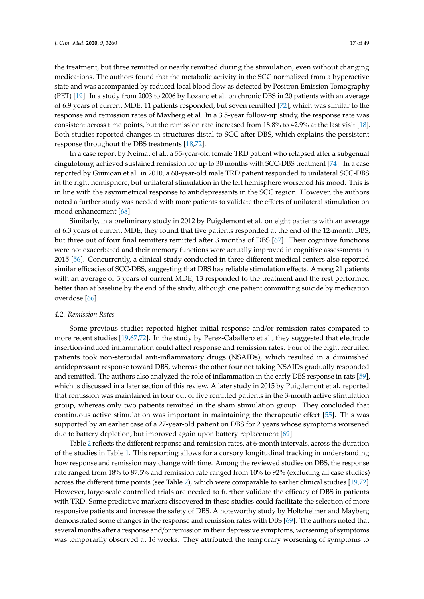the treatment, but three remitted or nearly remitted during the stimulation, even without changing medications. The authors found that the metabolic activity in the SCC normalized from a hyperactive state and was accompanied by reduced local blood flow as detected by Positron Emission Tomography (PET) [\[19\]](#page-41-3). In a study from 2003 to 2006 by Lozano et al. on chronic DBS in 20 patients with an average of 6.9 years of current MDE, 11 patients responded, but seven remitted [\[72\]](#page-44-7), which was similar to the response and remission rates of Mayberg et al. In a 3.5-year follow-up study, the response rate was consistent across time points, but the remission rate increased from 18.8% to 42.9% at the last visit [\[18\]](#page-41-2). Both studies reported changes in structures distal to SCC after DBS, which explains the persistent response throughout the DBS treatments [\[18,](#page-41-2)[72\]](#page-44-7).

In a case report by Neimat et al., a 55-year-old female TRD patient who relapsed after a subgenual cingulotomy, achieved sustained remission for up to 30 months with SCC-DBS treatment [\[74\]](#page-44-9). In a case reported by Guinjoan et al. in 2010, a 60-year-old male TRD patient responded to unilateral SCC-DBS in the right hemisphere, but unilateral stimulation in the left hemisphere worsened his mood. This is in line with the asymmetrical response to antidepressants in the SCC region. However, the authors noted a further study was needed with more patients to validate the effects of unilateral stimulation on mood enhancement [\[68\]](#page-43-30).

Similarly, in a preliminary study in 2012 by Puigdemont et al. on eight patients with an average of 6.3 years of current MDE, they found that five patients responded at the end of the 12-month DBS, but three out of four final remitters remitted after 3 months of DBS [\[67\]](#page-43-29). Their cognitive functions were not exacerbated and their memory functions were actually improved in cognitive assessments in 2015 [\[56\]](#page-43-18). Concurrently, a clinical study conducted in three different medical centers also reported similar efficacies of SCC-DBS, suggesting that DBS has reliable stimulation effects. Among 21 patients with an average of 5 years of current MDE, 13 responded to the treatment and the rest performed better than at baseline by the end of the study, although one patient committing suicide by medication overdose [\[66\]](#page-43-28).

#### *4.2. Remission Rates*

Some previous studies reported higher initial response and/or remission rates compared to more recent studies [\[19,](#page-41-3)[67,](#page-43-29)[72\]](#page-44-7). In the study by Perez-Caballero et al., they suggested that electrode insertion-induced inflammation could affect response and remission rates. Four of the eight recruited patients took non-steroidal anti-inflammatory drugs (NSAIDs), which resulted in a diminished antidepressant response toward DBS, whereas the other four not taking NSAIDs gradually responded and remitted. The authors also analyzed the role of inflammation in the early DBS response in rats [\[59\]](#page-43-21), which is discussed in a later section of this review. A later study in 2015 by Puigdemont et al. reported that remission was maintained in four out of five remitted patients in the 3-month active stimulation group, whereas only two patients remitted in the sham stimulation group. They concluded that continuous active stimulation was important in maintaining the therapeutic effect [\[55\]](#page-43-17). This was supported by an earlier case of a 27-year-old patient on DBS for 2 years whose symptoms worsened due to battery depletion, but improved again upon battery replacement [\[69\]](#page-43-31).

Table [2](#page-15-0) reflects the different response and remission rates, at 6-month intervals, across the duration of the studies in Table [1.](#page-14-0) This reporting allows for a cursory longitudinal tracking in understanding how response and remission may change with time. Among the reviewed studies on DBS, the response rate ranged from 18% to 87.5% and remission rate ranged from 10% to 92% (excluding all case studies) across the different time points (see Table [2\)](#page-15-0), which were comparable to earlier clinical studies [\[19](#page-41-3)[,72\]](#page-44-7). However, large-scale controlled trials are needed to further validate the efficacy of DBS in patients with TRD. Some predictive markers discovered in these studies could facilitate the selection of more responsive patients and increase the safety of DBS. A noteworthy study by Holtzheimer and Mayberg demonstrated some changes in the response and remission rates with DBS [\[69\]](#page-43-31). The authors noted that several months after a response and/or remission in their depressive symptoms, worsening of symptoms was temporarily observed at 16 weeks. They attributed the temporary worsening of symptoms to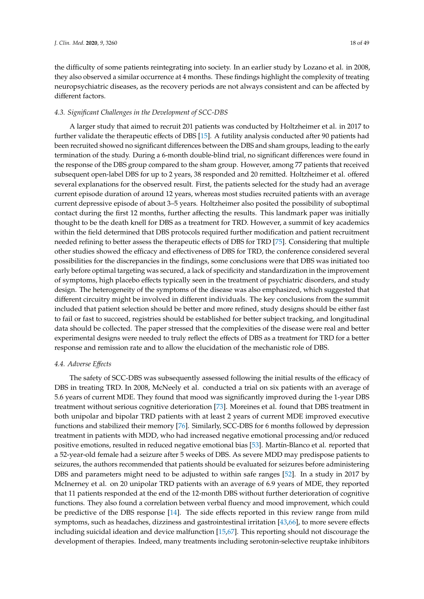the difficulty of some patients reintegrating into society. In an earlier study by Lozano et al. in 2008, they also observed a similar occurrence at 4 months. These findings highlight the complexity of treating neuropsychiatric diseases, as the recovery periods are not always consistent and can be affected by different factors.

#### *4.3. Significant Challenges in the Development of SCC-DBS*

A larger study that aimed to recruit 201 patients was conducted by Holtzheimer et al. in 2017 to further validate the therapeutic effects of DBS [\[15\]](#page-40-10). A futility analysis conducted after 90 patients had been recruited showed no significant differences between the DBS and sham groups, leading to the early termination of the study. During a 6-month double-blind trial, no significant differences were found in the response of the DBS group compared to the sham group. However, among 77 patients that received subsequent open-label DBS for up to 2 years, 38 responded and 20 remitted. Holtzheimer et al. offered several explanations for the observed result. First, the patients selected for the study had an average current episode duration of around 12 years, whereas most studies recruited patients with an average current depressive episode of about 3–5 years. Holtzheimer also posited the possibility of suboptimal contact during the first 12 months, further affecting the results. This landmark paper was initially thought to be the death knell for DBS as a treatment for TRD. However, a summit of key academics within the field determined that DBS protocols required further modification and patient recruitment needed refining to better assess the therapeutic effects of DBS for TRD [\[75\]](#page-44-10). Considering that multiple other studies showed the efficacy and effectiveness of DBS for TRD, the conference considered several possibilities for the discrepancies in the findings, some conclusions were that DBS was initiated too early before optimal targeting was secured, a lack of specificity and standardization in the improvement of symptoms, high placebo effects typically seen in the treatment of psychiatric disorders, and study design. The heterogeneity of the symptoms of the disease was also emphasized, which suggested that different circuitry might be involved in different individuals. The key conclusions from the summit included that patient selection should be better and more refined, study designs should be either fast to fail or fast to succeed, registries should be established for better subject tracking, and longitudinal data should be collected. The paper stressed that the complexities of the disease were real and better experimental designs were needed to truly reflect the effects of DBS as a treatment for TRD for a better response and remission rate and to allow the elucidation of the mechanistic role of DBS.

#### *4.4. Adverse E*ff*ects*

The safety of SCC-DBS was subsequently assessed following the initial results of the efficacy of DBS in treating TRD. In 2008, McNeely et al. conducted a trial on six patients with an average of 5.6 years of current MDE. They found that mood was significantly improved during the 1-year DBS treatment without serious cognitive deterioration [\[73\]](#page-44-8). Moreines et al. found that DBS treatment in both unipolar and bipolar TRD patients with at least 2 years of current MDE improved executive functions and stabilized their memory [\[76\]](#page-44-11). Similarly, SCC-DBS for 6 months followed by depression treatment in patients with MDD, who had increased negative emotional processing and/or reduced positive emotions, resulted in reduced negative emotional bias [\[53\]](#page-42-29). Martín-Blanco et al. reported that a 52-year-old female had a seizure after 5 weeks of DBS. As severe MDD may predispose patients to seizures, the authors recommended that patients should be evaluated for seizures before administering DBS and parameters might need to be adjusted to within safe ranges [\[52\]](#page-42-28). In a study in 2017 by McInerney et al. on 20 unipolar TRD patients with an average of 6.9 years of MDE, they reported that 11 patients responded at the end of the 12-month DBS without further deterioration of cognitive functions. They also found a correlation between verbal fluency and mood improvement, which could be predictive of the DBS response [\[14\]](#page-40-9). The side effects reported in this review range from mild symptoms, such as headaches, dizziness and gastrointestinal irritation [\[43,](#page-42-19)[66\]](#page-43-28), to more severe effects including suicidal ideation and device malfunction [\[15](#page-40-10)[,67\]](#page-43-29). This reporting should not discourage the development of therapies. Indeed, many treatments including serotonin-selective reuptake inhibitors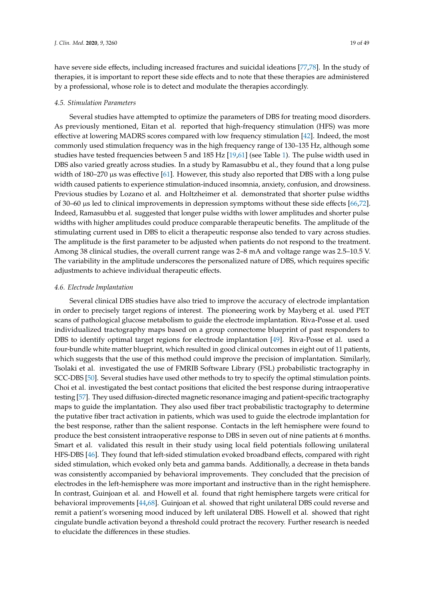have severe side effects, including increased fractures and suicidal ideations [\[77,](#page-44-12)[78\]](#page-44-13). In the study of therapies, it is important to report these side effects and to note that these therapies are administered by a professional, whose role is to detect and modulate the therapies accordingly.

#### *4.5. Stimulation Parameters*

Several studies have attempted to optimize the parameters of DBS for treating mood disorders. As previously mentioned, Eitan et al. reported that high-frequency stimulation (HFS) was more effective at lowering MADRS scores compared with low frequency stimulation [\[42\]](#page-42-18). Indeed, the most commonly used stimulation frequency was in the high frequency range of 130–135 Hz, although some studies have tested frequencies between 5 and 185 Hz [\[19](#page-41-3)[,61\]](#page-43-23) (see Table [1\)](#page-14-0). The pulse width used in DBS also varied greatly across studies. In a study by Ramasubbu et al., they found that a long pulse width of 180–270 µs was effective [\[61\]](#page-43-23). However, this study also reported that DBS with a long pulse width caused patients to experience stimulation-induced insomnia, anxiety, confusion, and drowsiness. Previous studies by Lozano et al. and Holtzheimer et al. demonstrated that shorter pulse widths of 30–60 µs led to clinical improvements in depression symptoms without these side effects [\[66,](#page-43-28)[72\]](#page-44-7). Indeed, Ramasubbu et al. suggested that longer pulse widths with lower amplitudes and shorter pulse widths with higher amplitudes could produce comparable therapeutic benefits. The amplitude of the stimulating current used in DBS to elicit a therapeutic response also tended to vary across studies. The amplitude is the first parameter to be adjusted when patients do not respond to the treatment. Among 38 clinical studies, the overall current range was 2–8 mA and voltage range was 2.5–10.5 V. The variability in the amplitude underscores the personalized nature of DBS, which requires specific adjustments to achieve individual therapeutic effects.

#### *4.6. Electrode Implantation*

Several clinical DBS studies have also tried to improve the accuracy of electrode implantation in order to precisely target regions of interest. The pioneering work by Mayberg et al. used PET scans of pathological glucose metabolism to guide the electrode implantation. Riva-Posse et al. used individualized tractography maps based on a group connectome blueprint of past responders to DBS to identify optimal target regions for electrode implantation [\[49\]](#page-42-25). Riva-Posse et al. used a four-bundle white matter blueprint, which resulted in good clinical outcomes in eight out of 11 patients, which suggests that the use of this method could improve the precision of implantation. Similarly, Tsolaki et al. investigated the use of FMRIB Software Library (FSL) probabilistic tractography in SCC-DBS [\[50\]](#page-42-26). Several studies have used other methods to try to specify the optimal stimulation points. Choi et al. investigated the best contact positions that elicited the best response during intraoperative testing [\[57\]](#page-43-19). They used diffusion-directed magnetic resonance imaging and patient-specific tractography maps to guide the implantation. They also used fiber tract probabilistic tractography to determine the putative fiber tract activation in patients, which was used to guide the electrode implantation for the best response, rather than the salient response. Contacts in the left hemisphere were found to produce the best consistent intraoperative response to DBS in seven out of nine patients at 6 months. Smart et al. validated this result in their study using local field potentials following unilateral HFS-DBS [\[46\]](#page-42-22). They found that left-sided stimulation evoked broadband effects, compared with right sided stimulation, which evoked only beta and gamma bands. Additionally, a decrease in theta bands was consistently accompanied by behavioral improvements. They concluded that the precision of electrodes in the left-hemisphere was more important and instructive than in the right hemisphere. In contrast, Guinjoan et al. and Howell et al. found that right hemisphere targets were critical for behavioral improvements [\[44,](#page-42-20)[68\]](#page-43-30). Guinjoan et al. showed that right unilateral DBS could reverse and remit a patient's worsening mood induced by left unilateral DBS. Howell et al. showed that right cingulate bundle activation beyond a threshold could protract the recovery. Further research is needed to elucidate the differences in these studies.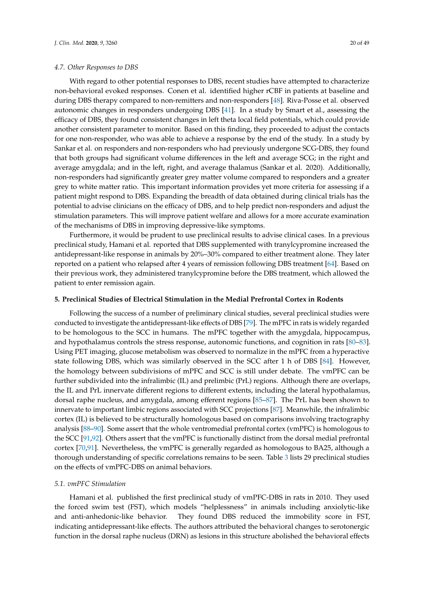#### *4.7. Other Responses to DBS*

With regard to other potential responses to DBS, recent studies have attempted to characterize non-behavioral evoked responses. Conen et al. identified higher rCBF in patients at baseline and during DBS therapy compared to non-remitters and non-responders [\[48\]](#page-42-24). Riva-Posse et al. observed autonomic changes in responders undergoing DBS [\[41\]](#page-42-17). In a study by Smart et al., assessing the efficacy of DBS, they found consistent changes in left theta local field potentials, which could provide another consistent parameter to monitor. Based on this finding, they proceeded to adjust the contacts for one non-responder, who was able to achieve a response by the end of the study. In a study by Sankar et al. on responders and non-responders who had previously undergone SCG-DBS, they found that both groups had significant volume differences in the left and average SCG; in the right and average amygdala; and in the left, right, and average thalamus (Sankar et al. 2020). Additionally, non-responders had significantly greater grey matter volume compared to responders and a greater grey to white matter ratio. This important information provides yet more criteria for assessing if a patient might respond to DBS. Expanding the breadth of data obtained during clinical trials has the potential to advise clinicians on the efficacy of DBS, and to help predict non-responders and adjust the stimulation parameters. This will improve patient welfare and allows for a more accurate examination of the mechanisms of DBS in improving depressive-like symptoms.

Furthermore, it would be prudent to use preclinical results to advise clinical cases. In a previous preclinical study, Hamani et al. reported that DBS supplemented with tranylcypromine increased the antidepressant-like response in animals by 20%–30% compared to either treatment alone. They later reported on a patient who relapsed after 4 years of remission following DBS treatment [\[64\]](#page-43-26). Based on their previous work, they administered tranylcypromine before the DBS treatment, which allowed the patient to enter remission again.

#### **5. Preclinical Studies of Electrical Stimulation in the Medial Prefrontal Cortex in Rodents**

Following the success of a number of preliminary clinical studies, several preclinical studies were conducted to investigate the antidepressant-like effects of DBS [\[79\]](#page-44-14). The mPFC in rats is widely regarded to be homologous to the SCC in humans. The mPFC together with the amygdala, hippocampus, and hypothalamus controls the stress response, autonomic functions, and cognition in rats [\[80–](#page-44-15)[83\]](#page-44-16). Using PET imaging, glucose metabolism was observed to normalize in the mPFC from a hyperactive state following DBS, which was similarly observed in the SCC after 1 h of DBS [\[84\]](#page-44-17). However, the homology between subdivisions of mPFC and SCC is still under debate. The vmPFC can be further subdivided into the infralimbic (IL) and prelimbic (PrL) regions. Although there are overlaps, the IL and PrL innervate different regions to different extents, including the lateral hypothalamus, dorsal raphe nucleus, and amygdala, among efferent regions [\[85](#page-44-18)[–87\]](#page-44-19). The PrL has been shown to innervate to important limbic regions associated with SCC projections [\[87\]](#page-44-19). Meanwhile, the infralimbic cortex (IL) is believed to be structurally homologous based on comparisons involving tractography analysis [\[88–](#page-45-0)[90\]](#page-45-1). Some assert that the whole ventromedial prefrontal cortex (vmPFC) is homologous to the SCC [\[91](#page-45-2)[,92\]](#page-45-3). Others assert that the vmPFC is functionally distinct from the dorsal medial prefrontal cortex [\[70,](#page-44-5)[91\]](#page-45-2). Nevertheless, the vmPFC is generally regarded as homologous to BA25, although a thorough understanding of specific correlations remains to be seen. Table [3](#page-34-0) lists 29 preclinical studies on the effects of vmPFC-DBS on animal behaviors.

#### *5.1. vmPFC Stimulation*

Hamani et al. published the first preclinical study of vmPFC-DBS in rats in 2010. They used the forced swim test (FST), which models "helplessness" in animals including anxiolytic-like and anti-anhedonic-like behavior. They found DBS reduced the immobility score in FST, indicating antidepressant-like effects. The authors attributed the behavioral changes to serotonergic function in the dorsal raphe nucleus (DRN) as lesions in this structure abolished the behavioral effects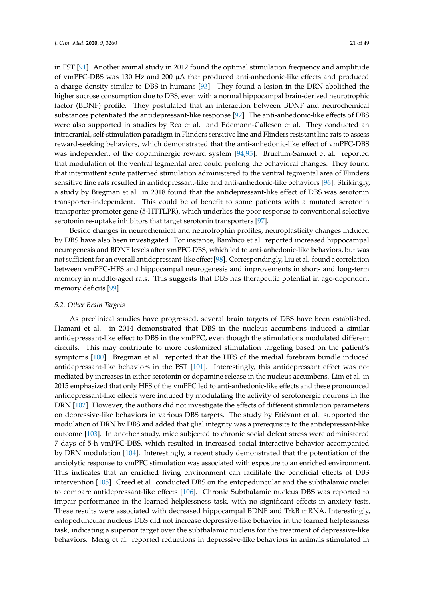in FST [\[91\]](#page-45-2). Another animal study in 2012 found the optimal stimulation frequency and amplitude of vmPFC-DBS was 130 Hz and 200 µA that produced anti-anhedonic-like effects and produced a charge density similar to DBS in humans [\[93\]](#page-45-4). They found a lesion in the DRN abolished the higher sucrose consumption due to DBS, even with a normal hippocampal brain-derived neurotrophic factor (BDNF) profile. They postulated that an interaction between BDNF and neurochemical substances potentiated the antidepressant-like response [\[92\]](#page-45-3). The anti-anhedonic-like effects of DBS were also supported in studies by Rea et al. and Edemann-Callesen et al. They conducted an intracranial, self-stimulation paradigm in Flinders sensitive line and Flinders resistant line rats to assess reward-seeking behaviors, which demonstrated that the anti-anhedonic-like effect of vmPFC-DBS was independent of the dopaminergic reward system [\[94,](#page-45-5)[95\]](#page-45-6). Bruchim-Samuel et al. reported that modulation of the ventral tegmental area could prolong the behavioral changes. They found that intermittent acute patterned stimulation administered to the ventral tegmental area of Flinders sensitive line rats resulted in antidepressant-like and anti-anhedonic-like behaviors [\[96\]](#page-45-7). Strikingly, a study by Bregman et al. in 2018 found that the antidepressant-like effect of DBS was serotonin transporter-independent. This could be of benefit to some patients with a mutated serotonin transporter-promoter gene (5-HTTLPR), which underlies the poor response to conventional selective serotonin re-uptake inhibitors that target serotonin transporters [\[97\]](#page-45-8).

Beside changes in neurochemical and neurotrophin profiles, neuroplasticity changes induced by DBS have also been investigated. For instance, Bambico et al. reported increased hippocampal neurogenesis and BDNF levels after vmPFC-DBS, which led to anti-anhedonic-like behaviors, but was not sufficient for an overall antidepressant-like effect [\[98\]](#page-45-9). Correspondingly, Liu et al. found a correlation between vmPFC-HFS and hippocampal neurogenesis and improvements in short- and long-term memory in middle-aged rats. This suggests that DBS has therapeutic potential in age-dependent memory deficits [\[99\]](#page-45-10).

#### *5.2. Other Brain Targets*

As preclinical studies have progressed, several brain targets of DBS have been established. Hamani et al. in 2014 demonstrated that DBS in the nucleus accumbens induced a similar antidepressant-like effect to DBS in the vmPFC, even though the stimulations modulated different circuits. This may contribute to more customized stimulation targeting based on the patient's symptoms [\[100\]](#page-45-11). Bregman et al. reported that the HFS of the medial forebrain bundle induced antidepressant-like behaviors in the FST [\[101\]](#page-45-12). Interestingly, this antidepressant effect was not mediated by increases in either serotonin or dopamine release in the nucleus accumbens. Lim et al. in 2015 emphasized that only HFS of the vmPFC led to anti-anhedonic-like effects and these pronounced antidepressant-like effects were induced by modulating the activity of serotonergic neurons in the DRN [\[102\]](#page-45-13). However, the authors did not investigate the effects of different stimulation parameters on depressive-like behaviors in various DBS targets. The study by Etiévant et al. supported the modulation of DRN by DBS and added that glial integrity was a prerequisite to the antidepressant-like outcome [\[103\]](#page-45-14). In another study, mice subjected to chronic social defeat stress were administered 7 days of 5-h vmPFC-DBS, which resulted in increased social interactive behavior accompanied by DRN modulation [\[104\]](#page-45-15). Interestingly, a recent study demonstrated that the potentiation of the anxiolytic response to vmPFC stimulation was associated with exposure to an enriched environment. This indicates that an enriched living environment can facilitate the beneficial effects of DBS intervention [\[105\]](#page-45-16). Creed et al. conducted DBS on the entopeduncular and the subthalamic nuclei to compare antidepressant-like effects [\[106\]](#page-46-0). Chronic Subthalamic nucleus DBS was reported to impair performance in the learned helplessness task, with no significant effects in anxiety tests. These results were associated with decreased hippocampal BDNF and TrkB mRNA. Interestingly, entopeduncular nucleus DBS did not increase depressive-like behavior in the learned helplessness task, indicating a superior target over the subthalamic nucleus for the treatment of depressive-like behaviors. Meng et al. reported reductions in depressive-like behaviors in animals stimulated in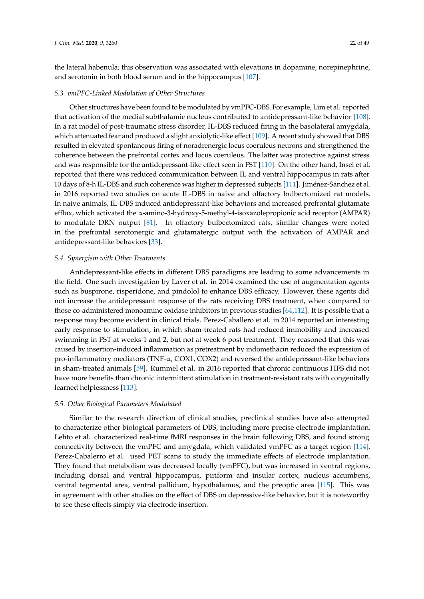the lateral habenula; this observation was associated with elevations in dopamine, norepinephrine, and serotonin in both blood serum and in the hippocampus [\[107\]](#page-46-1).

#### *5.3. vmPFC-Linked Modulation of Other Structures*

Other structures have been found to be modulated by vmPFC-DBS. For example, Lim et al. reported that activation of the medial subthalamic nucleus contributed to antidepressant-like behavior [\[108\]](#page-46-2). In a rat model of post-traumatic stress disorder, IL-DBS reduced firing in the basolateral amygdala, which attenuated fear and produced a slight anxiolytic-like effect [\[109\]](#page-46-3). A recent study showed that DBS resulted in elevated spontaneous firing of noradrenergic locus coeruleus neurons and strengthened the coherence between the prefrontal cortex and locus coeruleus. The latter was protective against stress and was responsible for the antidepressant-like effect seen in FST [\[110\]](#page-46-4). On the other hand, Insel et al. reported that there was reduced communication between IL and ventral hippocampus in rats after 10 days of 8-h IL-DBS and such coherence was higher in depressed subjects [\[111\]](#page-46-5). Jiménez-Sánchez et al. in 2016 reported two studies on acute IL-DBS in naive and olfactory bulbectomized rat models. In naive animals, IL-DBS induced antidepressant-like behaviors and increased prefrontal glutamate efflux, which activated the α-amino-3-hydroxy-5-methyl-4-isoxazolepropionic acid receptor (AMPAR) to modulate DRN output [\[81\]](#page-44-20). In olfactory bulbectomized rats, similar changes were noted in the prefrontal serotonergic and glutamatergic output with the activation of AMPAR and antidepressant-like behaviors [\[33\]](#page-41-17).

#### *5.4. Synergism with Other Treatments*

Antidepressant-like effects in different DBS paradigms are leading to some advancements in the field. One such investigation by Laver et al. in 2014 examined the use of augmentation agents such as buspirone, risperidone, and pindolol to enhance DBS efficacy. However, these agents did not increase the antidepressant response of the rats receiving DBS treatment, when compared to those co-administered monoamine oxidase inhibitors in previous studies [\[64,](#page-43-26)[112\]](#page-46-6). It is possible that a response may become evident in clinical trials. Perez-Caballero et al. in 2014 reported an interesting early response to stimulation, in which sham-treated rats had reduced immobility and increased swimming in FST at weeks 1 and 2, but not at week 6 post treatment. They reasoned that this was caused by insertion-induced inflammation as pretreatment by indomethacin reduced the expression of pro-inflammatory mediators (TNF-α, COX1, COX2) and reversed the antidepressant-like behaviors in sham-treated animals [\[59\]](#page-43-21). Rummel et al. in 2016 reported that chronic continuous HFS did not have more benefits than chronic intermittent stimulation in treatment-resistant rats with congenitally learned helplessness [\[113\]](#page-46-7).

#### *5.5. Other Biological Parameters Modulated*

Similar to the research direction of clinical studies, preclinical studies have also attempted to characterize other biological parameters of DBS, including more precise electrode implantation. Lehto et al. characterized real-time fMRI responses in the brain following DBS, and found strong connectivity between the vmPFC and amygdala, which validated vmPFC as a target region [\[114\]](#page-46-8). Perez-Cabalerro et al. used PET scans to study the immediate effects of electrode implantation. They found that metabolism was decreased locally (vmPFC), but was increased in ventral regions, including dorsal and ventral hippocampus, piriform and insular cortex, nucleus accumbens, ventral tegmental area, ventral pallidum, hypothalamus, and the preoptic area [\[115\]](#page-46-9). This was in agreement with other studies on the effect of DBS on depressive-like behavior, but it is noteworthy to see these effects simply via electrode insertion.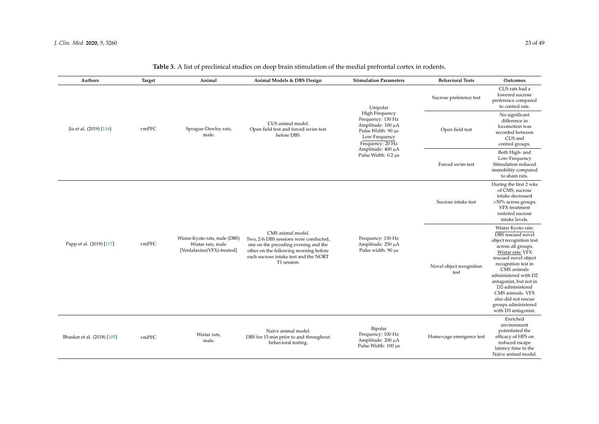| Authors                     | <b>Target</b> | Animal                                                                           | Animal Models & DBS Design                                                                                                                                                                          | <b>Stimulation Parameters</b>                                                                                       | <b>Behavioral Tests</b>          | Outcomes                                                                                                                                                                                                                                                                                                                                 |
|-----------------------------|---------------|----------------------------------------------------------------------------------|-----------------------------------------------------------------------------------------------------------------------------------------------------------------------------------------------------|---------------------------------------------------------------------------------------------------------------------|----------------------------------|------------------------------------------------------------------------------------------------------------------------------------------------------------------------------------------------------------------------------------------------------------------------------------------------------------------------------------------|
|                             |               |                                                                                  |                                                                                                                                                                                                     | Unipolar                                                                                                            | Sucrose preference test          | CUS rats had a<br>lowered sucrose<br>preference compared<br>to control rats.                                                                                                                                                                                                                                                             |
| Jia et al. (2019) [116]     | vmPFC         | Sprague-Dawley rats,<br>male.                                                    | CUS animal model.<br>Open field test and forced swim test<br>before DBS.                                                                                                                            | High Frequency<br>Frequency: 130 Hz<br>Amplitude: 100 µA<br>Pulse Width: 90 µs<br>Low Frequency<br>Frequency: 20 Hz | Open field test                  | No significant<br>difference in<br>locomotion was<br>recorded between<br>CUS and<br>control groups.                                                                                                                                                                                                                                      |
|                             |               |                                                                                  |                                                                                                                                                                                                     | Amplitude: 400 µA<br>Pulse Width: 0.2 µs                                                                            | Forced swim test                 | Both High- and<br>Low-Frequency<br>Stimulation reduced<br>immobility compared<br>to sham rats.                                                                                                                                                                                                                                           |
| Papp et al. (2019) [117]    |               |                                                                                  |                                                                                                                                                                                                     |                                                                                                                     | Sucrose intake test              | During the first 2 wks<br>of CMS, sucrose<br>intake decreased<br>>50% across groups.<br>VFX treatment<br>restored sucrose<br>intake levels.                                                                                                                                                                                              |
|                             | vmPFC         | Wistar-Kyoto rats, male (DBS)<br>Wistar rats, male<br>[Venlafaxine(VFX)-treated] | CMS animal model.<br>Two, 2-h DBS sessions were conducted,<br>one on the preceding evening and the<br>other on the following morning before<br>each sucrose intake test and the NORT<br>T1 session. | Frequency: 130 Hz<br>Amplitude: 250 µA<br>Pulse width: 90 µs                                                        | Novel object recognition<br>test | Wistar Kyoto rats:<br>DBS rescued novel<br>object recognition test<br>across all groups.<br>Wistar rats: VFX<br>rescued novel object<br>recognition test in<br>CMS animals<br>administered with D2<br>antagonist, but not in<br>D2-administered<br>CMS animals. VFX<br>also did not rescue<br>groups administered<br>with D3 antagonist. |
| Bhaskar et al. (2018) [105] | vmPFC         | Wistar rats,<br>male.                                                            | Naïve animal model.<br>DBS for 15 min prior to and throughout<br>behavioral testing.                                                                                                                | Bipolar<br>Frequency: 100 Hz<br>Amplitude: 200 µA<br>Pulse Width: 100 µs                                            | Home-cage emergence test         | Enriched<br>environment<br>potentiated the<br>efficacy of HFS on<br>reduced escape<br>latency time in the<br>Naïve animal model.                                                                                                                                                                                                         |

### **Table 3.** A list of preclinical studies on deep brain stimulation of the medial prefrontal cortex in rodents.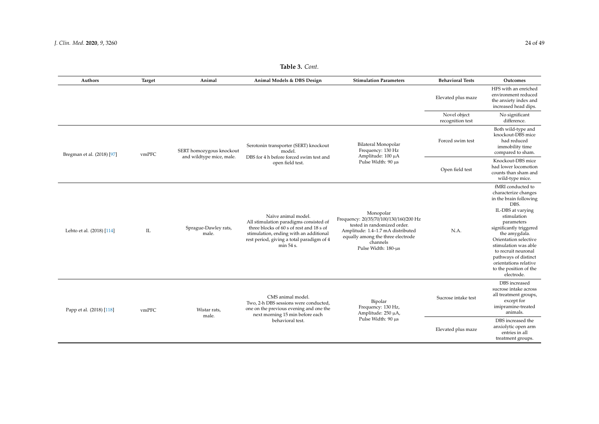| Authors                    | <b>Target</b> | Animal                                               | Animal Models & DBS Design                                                                                                                                                                                    | <b>Stimulation Parameters</b>                                                                                                                                                                   | <b>Behavioral Tests</b>          | Outcomes                                                                                                                                                                                                                                                                                                                                                                                                                                                                                                                                                                                                              |
|----------------------------|---------------|------------------------------------------------------|---------------------------------------------------------------------------------------------------------------------------------------------------------------------------------------------------------------|-------------------------------------------------------------------------------------------------------------------------------------------------------------------------------------------------|----------------------------------|-----------------------------------------------------------------------------------------------------------------------------------------------------------------------------------------------------------------------------------------------------------------------------------------------------------------------------------------------------------------------------------------------------------------------------------------------------------------------------------------------------------------------------------------------------------------------------------------------------------------------|
|                            |               |                                                      |                                                                                                                                                                                                               |                                                                                                                                                                                                 | Elevated plus maze               | HFS with an enriched<br>environment reduced<br>the anxiety index and<br>increased head dips.                                                                                                                                                                                                                                                                                                                                                                                                                                                                                                                          |
|                            |               |                                                      |                                                                                                                                                                                                               |                                                                                                                                                                                                 | Novel object<br>recognition test | No significant<br>difference.                                                                                                                                                                                                                                                                                                                                                                                                                                                                                                                                                                                         |
| Bregman et al. (2018) [97] | vmPFC         | SERT homozygous knockout<br>and wildtype mice, male. | Serotonin transporter (SERT) knockout<br>model.<br>DBS for 4 h before forced swim test and                                                                                                                    | <b>Bilateral Monopolar</b><br>Frequency: 130 Hz<br>Amplitude: 100 µA                                                                                                                            | Forced swim test                 | Both wild-type and<br>knockout-DBS mice<br>had reduced<br>immobility time<br>compared to sham.<br>Knockout-DBS mice<br>had lower locomotion<br>counts than sham and<br>wild-type mice.<br>fMRI conducted to<br>characterize changes<br>in the brain following<br>DBS.<br>IL-DBS at varying<br>stimulation<br>parameters<br>significantly triggered<br>the amygdala.<br>Orientation selective<br>stimulation was able<br>to recruit neuronal<br>pathways of distinct<br>orientations relative<br>to the position of the<br>electrode.<br>DBS increased<br>sucrose intake across<br>all treatment groups,<br>except for |
|                            |               |                                                      | open field test.                                                                                                                                                                                              | Pulse Width: 90 µs                                                                                                                                                                              | Open field test                  |                                                                                                                                                                                                                                                                                                                                                                                                                                                                                                                                                                                                                       |
| Lehto et al. (2018) [114]  | IL            | Sprague-Dawley rats,<br>male.                        | Naïve animal model.<br>All stimulation paradigms consisted of<br>three blocks of 60 s of rest and 18 s of<br>stimulation, ending with an additional<br>rest period, giving a total paradigm of 4<br>min 54 s. | Monopolar<br>Frequency: 20/35/70/100/130/160/200 Hz<br>tested in randomized order.<br>Amplitude: 1.4-1.7 mA distributed<br>equally among the three electrode<br>channels<br>Pulse Width: 180-µs | N.A.                             |                                                                                                                                                                                                                                                                                                                                                                                                                                                                                                                                                                                                                       |
| Papp et al. (2018) [118]   | vmPFC         | Wistar rats,<br>male.                                | CMS animal model.<br>Two, 2-h DBS sessions were conducted,<br>one on the previous evening and one the<br>next morning 15 min before each                                                                      | Bipolar<br>Frequency: 130 Hz,<br>Amplitude: 250 µA,                                                                                                                                             | Sucrose intake test              | imipramine-treated<br>animals.                                                                                                                                                                                                                                                                                                                                                                                                                                                                                                                                                                                        |
|                            |               |                                                      | behavioral test.                                                                                                                                                                                              | Pulse Width: 90 µs                                                                                                                                                                              | Elevated plus maze               | DBS increased the<br>anxiolytic open arm<br>entries in all<br>treatment groups.                                                                                                                                                                                                                                                                                                                                                                                                                                                                                                                                       |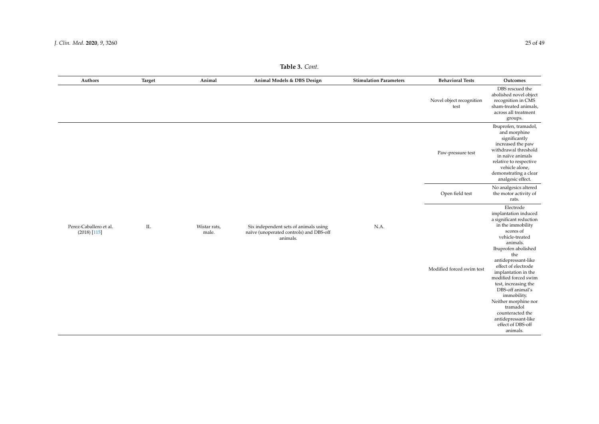| Authors                                  | <b>Target</b> | Animal                | Animal Models & DBS Design                                                                   | <b>Stimulation Parameters</b> | <b>Behavioral Tests</b>          | Outcomes                                                                                                                                                                                                                                                                                                                                                                                                                            |
|------------------------------------------|---------------|-----------------------|----------------------------------------------------------------------------------------------|-------------------------------|----------------------------------|-------------------------------------------------------------------------------------------------------------------------------------------------------------------------------------------------------------------------------------------------------------------------------------------------------------------------------------------------------------------------------------------------------------------------------------|
|                                          |               |                       |                                                                                              |                               | Novel object recognition<br>test | DBS rescued the<br>abolished novel object<br>recognition in CMS<br>sham-treated animals,<br>across all treatment<br>groups.                                                                                                                                                                                                                                                                                                         |
|                                          |               |                       |                                                                                              |                               | Paw-pressure test                | Ibuprofen, tramadol,<br>and morphine<br>significantly<br>increased the paw<br>withdrawal threshold<br>in naïve animals<br>relative to respective<br>vehicle alone,<br>demonstrating a clear<br>analgesic effect.                                                                                                                                                                                                                    |
|                                          |               |                       |                                                                                              |                               | Open field test                  | No analgesics altered<br>the motor activity of<br>rats.                                                                                                                                                                                                                                                                                                                                                                             |
| Perez-Caballero et al.<br>$(2018)$ [115] | IL            | Wistar rats,<br>male. | Six independent sets of animals using<br>naïve (unoperated controls) and DBS-off<br>animals. | N.A.                          | Modified forced swim test        | Electrode<br>implantation induced<br>a significant reduction<br>in the immobility<br>scores of<br>vehicle-treated<br>animals.<br>Ibuprofen abolished<br>the<br>antidepressant-like<br>effect of electrode<br>implantation in the<br>modified forced swim<br>test, increasing the<br>DBS-off animal's<br>immobility.<br>Neither morphine nor<br>tramadol<br>counteracted the<br>antidepressant-like<br>effect of DBS-off<br>animals. |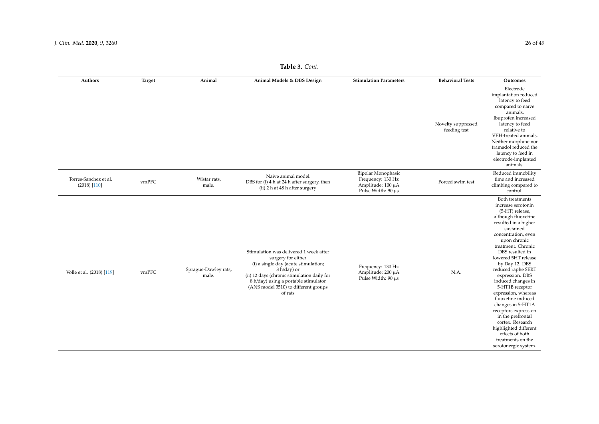| <b>Behavioral Tests</b> | Outcomes |
|-------------------------|----------|

| Authors                                 | <b>Target</b> | Animal                        | Animal Models & DBS Design                                                                                                                                                                                                                                    | <b>Stimulation Parameters</b>                                                      | <b>Behavioral Tests</b>            | Outcomes                                                                                                                                                                                                                                                                                                                                                                                                                                                                                                                                                    |
|-----------------------------------------|---------------|-------------------------------|---------------------------------------------------------------------------------------------------------------------------------------------------------------------------------------------------------------------------------------------------------------|------------------------------------------------------------------------------------|------------------------------------|-------------------------------------------------------------------------------------------------------------------------------------------------------------------------------------------------------------------------------------------------------------------------------------------------------------------------------------------------------------------------------------------------------------------------------------------------------------------------------------------------------------------------------------------------------------|
|                                         |               |                               |                                                                                                                                                                                                                                                               |                                                                                    | Novelty suppressed<br>feeding test | Electrode<br>implantation reduced<br>latency to feed<br>compared to naïve<br>animals.<br>Ibuprofen increased<br>latency to feed<br>relative to<br>VEH-treated animals.<br>Neither morphine nor<br>tramadol reduced the<br>latency to feed in<br>electrode-implanted<br>animals.                                                                                                                                                                                                                                                                             |
| Torres-Sanchez et al.<br>$(2018)$ [110] | vmPFC         | Wistar rats,<br>male.         | Naive animal model.<br>DBS for (i) 4 h at 24 h after surgery, then<br>(ii) 2 h at 48 h after surgery                                                                                                                                                          | Bipolar Monophasic<br>Frequency: 130 Hz<br>Amplitude: 100 µA<br>Pulse Width: 90 µs | Forced swim test                   | Reduced immobility<br>time and increased<br>climbing compared to<br>control.                                                                                                                                                                                                                                                                                                                                                                                                                                                                                |
| Volle et al. (2018) [119]               | vmPFC         | Sprague-Dawley rats,<br>male. | Stimulation was delivered 1 week after<br>surgery for either<br>(i) a single day (acute stimulation;<br>8 h/day) or<br>(ii) 12 days (chronic stimulation daily for<br>8 h/day) using a portable stimulator<br>(ANS model 3510) to different groups<br>of rats | Frequency: 130 Hz<br>Amplitude: 200 µA<br>Pulse Width: 90 µs                       | N.A.                               | Both treatments<br>increase serotonin<br>(5-HT) release,<br>although fluoxetine<br>resulted in a higher<br>sustained<br>concentration, even<br>upon chronic<br>treatment. Chronic<br>DBS resulted in<br>lowered 5HT release<br>by Day 12. DBS<br>reduced raphe SERT<br>expression. DBS<br>induced changes in<br>5-HT1B receptor<br>expression, whereas<br>fluoxetine induced<br>changes in 5-HT1A<br>receptors expression<br>in the prefrontal<br>cortex. Research<br>highlighted different<br>effects of both<br>treatments on the<br>serotonergic system. |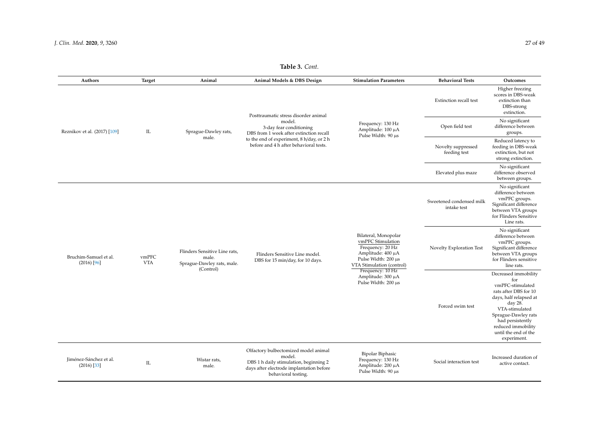| Authors                                 | <b>Target</b>       | Animal                                                                            | Animal Models & DBS Design                                                                                                                                  | <b>Stimulation Parameters</b>                                                                                                          | <b>Behavioral Tests</b>                 | Outcomes                                                                                                                                                                                                                                |
|-----------------------------------------|---------------------|-----------------------------------------------------------------------------------|-------------------------------------------------------------------------------------------------------------------------------------------------------------|----------------------------------------------------------------------------------------------------------------------------------------|-----------------------------------------|-----------------------------------------------------------------------------------------------------------------------------------------------------------------------------------------------------------------------------------------|
|                                         |                     |                                                                                   | Posttraumatic stress disorder animal                                                                                                                        |                                                                                                                                        | <b>Extinction recall test</b>           | Higher freezing<br>scores in DBS-weak<br>extinction than<br>DBS-strong<br>extinction.                                                                                                                                                   |
| Reznikov et al. (2017) [109]            | IL                  | Sprague-Dawley rats,                                                              | model.<br>3-day fear conditioning<br>DBS from 1 week after extinction recall                                                                                | Frequency: 130 Hz<br>Amplitude: 100 µA<br>Pulse Width: 90 µs                                                                           | Open field test                         | No significant<br>difference between<br>groups.                                                                                                                                                                                         |
|                                         |                     | male.                                                                             | to the end of experiment, 8 h/day, or 2 h<br>before and 4 h after behavioral tests.                                                                         |                                                                                                                                        | Novelty suppressed<br>feeding test      | Reduced latency to<br>feeding in DBS-weak<br>extinction, but not<br>strong extinction.                                                                                                                                                  |
|                                         |                     |                                                                                   |                                                                                                                                                             |                                                                                                                                        | Elevated plus maze                      | No significant<br>difference observed<br>between groups.                                                                                                                                                                                |
| Bruchim-Samuel et al.<br>$(2016)$ [96]  |                     |                                                                                   |                                                                                                                                                             |                                                                                                                                        | Sweetened condensed milk<br>intake test | No significant<br>difference between<br>vmPFC groups.<br>Significant difference<br>between VTA groups<br>for Flinders Sensitive<br>Line rats.                                                                                           |
|                                         | vmPFC<br><b>VTA</b> | Flinders Sensitive Line rats,<br>male.<br>Sprague-Dawley rats, male.<br>(Control) | Flinders Sensitive Line model.<br>DBS for 15 min/day, for 10 days.                                                                                          | Bilateral, Monopolar<br>vmPFC Stimulation<br>Frequency: 20 Hz<br>Amplitude: 400 µA<br>Pulse Width: 200 µs<br>VTA Stimulation (control) | Novelty Exploration Test                | No significant<br>difference between<br>vmPFC groups.<br>Significant difference<br>between VTA groups<br>for Flinders sensitive<br>line rats.                                                                                           |
|                                         |                     |                                                                                   |                                                                                                                                                             | Frequency: 10 Hz<br>Amplitude: 300 µA<br>Pulse Width: 200 µs                                                                           | Forced swim test                        | Decreased immobility<br>for<br>vmPFC-stimulated<br>rats after DBS for 10<br>days, half relapsed at<br>day 28.<br>VTA-stimulated<br>Sprague-Dawley rats<br>had persistently<br>reduced immobility<br>until the end of the<br>experiment. |
| Jiménez-Sánchez et al.<br>$(2016)$ [33] | IL                  | Wistar rats,<br>male.                                                             | Olfactory bulbectomized model animal<br>model.<br>DBS 1 h daily stimulation, beginning 2<br>days after electrode implantation before<br>behavioral testing. | <b>Bipolar Biphasic</b><br>Frequency: 130 Hz<br>Amplitude: 200 µA<br>Pulse Width: 90 µs                                                | Social interaction test                 | Increased duration of<br>active contact.                                                                                                                                                                                                |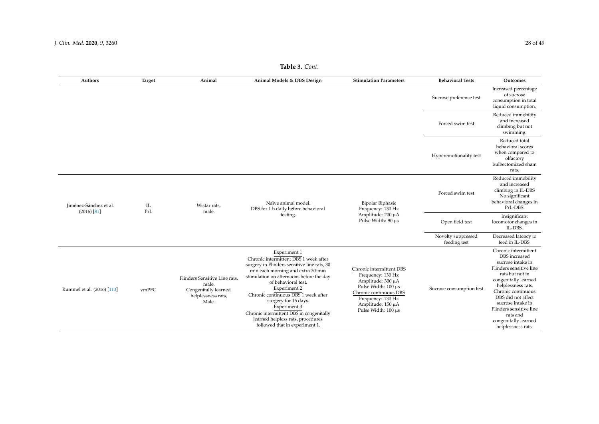| <b>Authors</b>                          | <b>Target</b> | Animal                                                                                        | Animal Models & DBS Design                                                                                                                                                                                                                                                                                                                                                                                                     | <b>Stimulation Parameters</b>                                                                                                                                                        | <b>Behavioral Tests</b>            | Outcomes                                                                                                                                                                                                                                                                                                     |
|-----------------------------------------|---------------|-----------------------------------------------------------------------------------------------|--------------------------------------------------------------------------------------------------------------------------------------------------------------------------------------------------------------------------------------------------------------------------------------------------------------------------------------------------------------------------------------------------------------------------------|--------------------------------------------------------------------------------------------------------------------------------------------------------------------------------------|------------------------------------|--------------------------------------------------------------------------------------------------------------------------------------------------------------------------------------------------------------------------------------------------------------------------------------------------------------|
|                                         |               |                                                                                               |                                                                                                                                                                                                                                                                                                                                                                                                                                |                                                                                                                                                                                      | Sucrose preference test            | Increased percentage<br>of sucrose<br>consumption in total<br>liquid consumption.                                                                                                                                                                                                                            |
|                                         |               |                                                                                               |                                                                                                                                                                                                                                                                                                                                                                                                                                |                                                                                                                                                                                      | Forced swim test                   | Reduced immobility<br>and increased<br>climbing but not<br>swimming.                                                                                                                                                                                                                                         |
|                                         |               |                                                                                               |                                                                                                                                                                                                                                                                                                                                                                                                                                |                                                                                                                                                                                      | Hyperemotionality test             | Reduced total<br>behavioral scores<br>when compared to<br>olfactory<br>bulbectomized sham<br>rats.                                                                                                                                                                                                           |
| Jiménez-Sánchez et al.<br>$(2016)$ [81] | IL<br>PrL     | Wistar rats,<br>male.                                                                         | Naïve animal model.<br>DBS for 1 h daily before behavioral                                                                                                                                                                                                                                                                                                                                                                     | <b>Bipolar Biphasic</b><br>Frequency: 130 Hz                                                                                                                                         | Forced swim test                   | Reduced immobility<br>and increased<br>climbing in IL-DBS<br>No significant<br>behavioral changes in<br>PrL-DBS.                                                                                                                                                                                             |
|                                         |               |                                                                                               | testing.                                                                                                                                                                                                                                                                                                                                                                                                                       | Amplitude: 200 µA<br>Pulse Width: 90 µs                                                                                                                                              | Open field test                    | Insignificant<br>locomotor changes in<br>IL-DBS.                                                                                                                                                                                                                                                             |
|                                         |               |                                                                                               |                                                                                                                                                                                                                                                                                                                                                                                                                                |                                                                                                                                                                                      | Novelty suppressed<br>feeding test | Decreased latency to<br>feed in IL-DBS.                                                                                                                                                                                                                                                                      |
| Rummel et al. (2016) [113]              | vmPFC         | Flinders Sensitive Line rats,<br>male.<br>Congenitally learned<br>helplessness rats,<br>Male. | Experiment 1<br>Chronic intermittent DBS 1 week after<br>surgery in Flinders sensitive line rats, 30<br>min each morning and extra 30-min<br>stimulation on afternoons before the day<br>of behavioral test.<br>Experiment 2<br>Chronic continuous DBS 1 week after<br>surgery for 16 days.<br>Experiment 3<br>Chronic intermittent DBS in congenitally<br>learned helpless rats, procedures<br>followed that in experiment 1. | Chronic intermittent DBS<br>Frequency: 130 Hz<br>Amplitude: 300 µA<br>Pulse Width: 100 µs<br>Chronic continuous DBS<br>Frequency: 130 Hz<br>Amplitude: 150 µA<br>Pulse Width: 100 µs | Sucrose consumption test           | Chronic intermittent<br>DBS increased<br>sucrose intake in<br>Flinders sensitive line<br>rats but not in<br>congenitally learned<br>helplessness rats.<br>Chronic continuous<br>DBS did not affect<br>sucrose intake in<br>Flinders sensitive line<br>rats and<br>congenitally learned<br>helplessness rats. |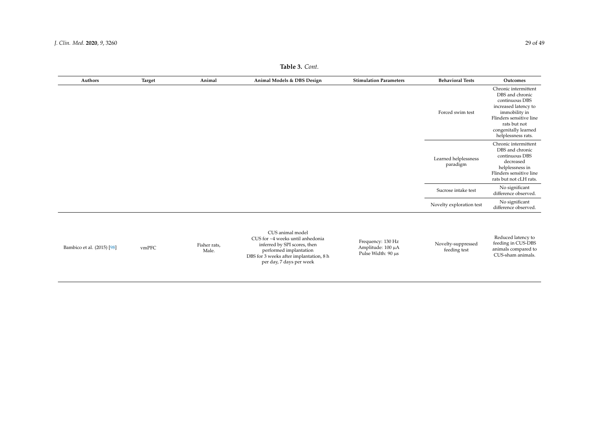| Authors                    | <b>Target</b> | Animal                | Animal Models & DBS Design                                                                                                                                                            | <b>Stimulation Parameters</b>                                | <b>Behavioral Tests</b>            | Outcomes                                                                                                                                                                                    |
|----------------------------|---------------|-----------------------|---------------------------------------------------------------------------------------------------------------------------------------------------------------------------------------|--------------------------------------------------------------|------------------------------------|---------------------------------------------------------------------------------------------------------------------------------------------------------------------------------------------|
|                            |               |                       |                                                                                                                                                                                       |                                                              | Forced swim test                   | Chronic intermittent<br>DBS and chronic<br>continuous DBS<br>increased latency to<br>immobility in<br>Flinders sensitive line<br>rats but not<br>congenitally learned<br>helplessness rats. |
|                            |               |                       |                                                                                                                                                                                       |                                                              | Learned helplessness<br>paradigm   | Chronic intermittent<br>DBS and chronic<br>continuous DBS<br>decreased<br>helplessness in<br>Flinders sensitive line<br>rats but not cLH rats.                                              |
|                            |               |                       |                                                                                                                                                                                       |                                                              | Sucrose intake test                | No significant<br>difference observed.                                                                                                                                                      |
|                            |               |                       |                                                                                                                                                                                       |                                                              | Novelty exploration test           | No significant<br>difference observed.                                                                                                                                                      |
| Bambico et al. (2015) [98] | vmPFC         | Fisher rats,<br>Male. | CUS animal model<br>CUS for ~4 weeks until anhedonia<br>inferred by SPI scores, then<br>performed implantation<br>DBS for 3 weeks after implantation, 8 h<br>per day, 7 days per week | Frequency: 130 Hz<br>Amplitude: 100 µA<br>Pulse Width: 90 µs | Novelty-suppressed<br>feeding test | Reduced latency to<br>feeding in CUS-DBS<br>animals compared to<br>CUS-sham animals.                                                                                                        |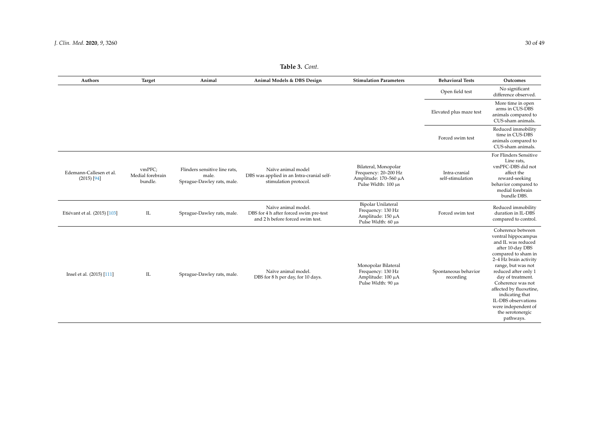Edemann-Callesen et al. (2015) [\[94\]](#page-45-21)

|                                  |                                       |                                                                      | <b>Table 5.</b> Com.                                                                              |                                                                                                     |                                   |                                                                                                                                                      |
|----------------------------------|---------------------------------------|----------------------------------------------------------------------|---------------------------------------------------------------------------------------------------|-----------------------------------------------------------------------------------------------------|-----------------------------------|------------------------------------------------------------------------------------------------------------------------------------------------------|
| Authors                          | <b>Target</b>                         | Animal                                                               | Animal Models & DBS Design                                                                        | <b>Stimulation Parameters</b>                                                                       | <b>Behavioral Tests</b>           | Outcomes                                                                                                                                             |
|                                  |                                       |                                                                      |                                                                                                   |                                                                                                     | Open field test                   | No significant<br>difference observed.                                                                                                               |
|                                  |                                       |                                                                      |                                                                                                   |                                                                                                     | Elevated plus maze test           | More time in open<br>arms in CUS-DBS<br>animals compared to<br>CUS-sham animals.                                                                     |
|                                  |                                       |                                                                      |                                                                                                   |                                                                                                     | Forced swim test                  | Reduced immobility<br>time in CUS-DBS<br>animals compared to<br>CUS-sham animals.                                                                    |
| ın-Callesen et al.<br>2015) [94] | vmPFC;<br>Medial forebrain<br>bundle. | Flinders sensitive line rats,<br>male.<br>Sprague-Dawley rats, male. | Naïve animal model<br>DBS was applied in an Intra-cranial self-<br>stimulation protocol.          | Bilateral, Monopolar<br>Frequency: 20-200 Hz<br>Amplitude: 170-560 µA<br>Pulse Width: 100 µs        | Intra-cranial<br>self-stimulation | For Flinders Sensitive<br>Line rats,<br>vmPFC-DBS did not<br>affect the<br>reward-seeking<br>behavior compared to<br>medial forebrain<br>bundle DBS. |
| et al. (2015) [103]              | IL                                    | Sprague-Dawley rats, male.                                           | Naïve animal model.<br>DBS for 4 h after forced swim pre-test<br>and 2 h before forced swim test. | Bipolar Unilateral<br>Frequency: 130 Hz<br>Amplitude: 150 µA<br>$P_{11}$ $S_{12}$ Width: 60 $\mu$ s | Forced swim test                  | Reduced immobility<br>duration in IL-DBS<br>compared to control.                                                                                     |

| Etiévant et al. (2015) [103] | IL. | Sprague-Dawley rats, male. | DBS for 4 h after forced swim pre-test<br>and 2 h before forced swim test. | Frequency: 130 Hz<br>Amplitude: 150 µA<br>Pulse Width: 60 µs                        | Forced swim test                  | <i>reduced munopmer</i><br>duration in IL-DBS<br>compared to control.                                                                                                                                                                                                                                                                                   |
|------------------------------|-----|----------------------------|----------------------------------------------------------------------------|-------------------------------------------------------------------------------------|-----------------------------------|---------------------------------------------------------------------------------------------------------------------------------------------------------------------------------------------------------------------------------------------------------------------------------------------------------------------------------------------------------|
| Insel et al. (2015) [111]    | IL  | Sprague-Dawley rats, male. | Naïve animal model.<br>DBS for 8 h per day, for 10 days.                   | Monopolar Bilateral<br>Frequency: 130 Hz<br>Amplitude: 100 µA<br>Pulse Width: 90 µs | Spontaneous behavior<br>recording | Coherence between<br>ventral hippocampus<br>and IL was reduced<br>after 10-day DBS<br>compared to sham in<br>2-4 Hz brain activity<br>range, but was not<br>reduced after only 1<br>day of treatment.<br>Coherence was not<br>affected by fluoxetine,<br>indicating that<br>IL-DBS observations<br>were independent of<br>the serotonergic<br>pathways. |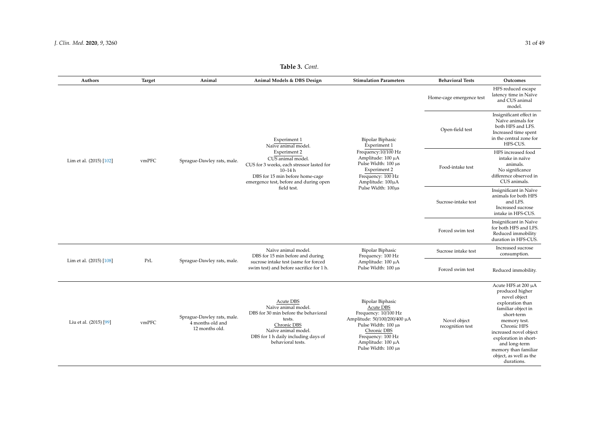object, as well as the durations.

#### **Authors Target Animal Animal Models & DBS Design Stimulation Parameters Behavioral Tests Outcomes** Lim et al. (2015) [\[102\]](#page-45-23) vmPFC Sprague-Dawley rats, male. Experiment 1 Naïve animal model. Experiment 2 CUS animal model. CUS for 3 weeks, each stressor lasted for 10–14 h DBS for 15 min before home-cage emergence test, before and during open field test. Bipolar Biphasic Experiment 1 Frequency:10/100 Hz Amplitude: 100 µA Pulse Width: 100 µs Experiment 2 Frequency:  $100$  Hz Amplitude: 100µA Pulse Width: 100µs Home-cage emergence test HFS reduced escape latency time in Naïve and CUS animal model. Open-field test Insignificant effect in Naïve animals for both HFS and LFS. Increased time spent in the central zone for HFS-CUS. Food-intake test HFS increased food intake in naïve animals. No significance difference observed in CUS animals. Sucrose-intake test Insignificant in Naïve animals for both HFS and LFS. Increased sucrose intake in HFS-CUS. Forced swim test Insignificant in Naïve for both HFS and LFS. Reduced immobility duration in HFS-CUS. Lim et al. (2015) [\[108\]](#page-46-20) PrL Sprague-Dawley rats, male. Naïve animal model. DBS for 15 min before and during sucrose intake test (same for forced swim test) and before sacrifice for 1 h. Bipolar Biphasic Frequency: 100 Hz Amplitude: 100 µA Pulse Width: 100 µs Sucrose intake test **Increased sucrose** consumption. Forced swim test Reduced immobility. Liu et al. (2015) [\[99\]](#page-45-24) vmPFC Sprague-Dawley rats, male. 4 months old and 12 months old. Acute DBS Naïve animal model. DBS for 30 min before the behavioral tests. Chronic DBS Naïve animal model. DBS for 1 h daily including days of behavioral tests. Bipolar Biphasic Acute DBS Frequency: 10/100 Hz Amplitude: 50/100/200/400 µA Pulse Width: 100 µs Chronic DBS Frequency: 100 Hz Amplitude: 100 µA Pulse Width: 100 µs Novel object recognition test Acute HFS at 200 µA produced higher novel object exploration than familiar object in short-term memory test. Chronic HFS increased novel object exploration in shortand long-term memory than familiar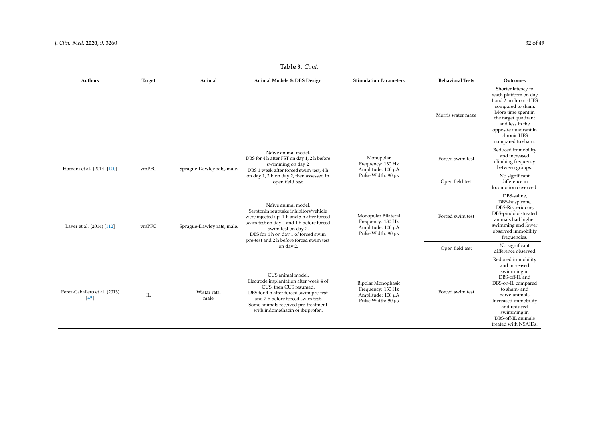| <b>Authors</b>                          | <b>Target</b> | Animal                     | Animal Models & DBS Design                                                                                                                                                                                                                                                     | <b>Stimulation Parameters</b>                                                       | <b>Behavioral Tests</b>             | Outcomes                                                                                                                                                                                                                         |
|-----------------------------------------|---------------|----------------------------|--------------------------------------------------------------------------------------------------------------------------------------------------------------------------------------------------------------------------------------------------------------------------------|-------------------------------------------------------------------------------------|-------------------------------------|----------------------------------------------------------------------------------------------------------------------------------------------------------------------------------------------------------------------------------|
|                                         |               |                            |                                                                                                                                                                                                                                                                                |                                                                                     | Morris water maze                   | Shorter latency to<br>reach platform on day<br>1 and 2 in chronic HFS<br>compared to sham.<br>More time spent in<br>the target quadrant<br>and less in the<br>opposite quadrant in<br>chronic HFS<br>compared to sham.           |
| Hamani et al. (2014) [100]              | vmPFC         | Sprague-Dawley rats, male. | Naïve animal model.<br>Monopolar<br>DBS for 4 h after FST on day 1, 2 h before<br>Frequency: 130 Hz<br>swimming on day 2<br>Amplitude: 100 µA<br>DBS 1 week after forced swim test, 4 h<br>Pulse Width: 90 µs<br>on day 1, 2 h on day 2, then assessed in<br>open field test   |                                                                                     | Forced swim test                    | Reduced immobility<br>and increased<br>climbing frequency<br>between groups.                                                                                                                                                     |
|                                         |               |                            |                                                                                                                                                                                                                                                                                |                                                                                     | Open field test                     | No significant<br>difference in<br>locomotion observed.                                                                                                                                                                          |
| Laver et al. (2014) [112]               | vmPFC         | Sprague-Dawley rats, male. | Naïve animal model.<br>Serotonin reuptake inhibitors/vehicle<br>were injected i.p. 1 h and 5 h after forced<br>swim test on day 1 and 1 h before forced<br>swim test on day 2.<br>DBS for 4 h on day 1 of forced swim<br>pre-test and 2 h before forced swim test<br>on day 2. | Monopolar Bilateral<br>Frequency: 130 Hz<br>Amplitude: 100 µA<br>Pulse Width: 90 µs | Forced swim test<br>Open field test | DBS-saline.<br>DBS-buspirone,<br>DBS-Risperidone,<br>DBS-pindolol-treated<br>animals had higher<br>swimming and lower<br>observed immobility<br>frequencies.                                                                     |
|                                         |               |                            |                                                                                                                                                                                                                                                                                |                                                                                     |                                     | No significant<br>difference observed                                                                                                                                                                                            |
| Perez-Caballero et al. (2013)<br>$[45]$ | IL            | Wistar rats.<br>male.      | CUS animal model.<br>Electrode implantation after week 4 of<br>CUS, then CUS resumed.<br>DBS for 4 h after forced swim pre-test<br>and 2 h before forced swim test.<br>Some animals received pre-treatment<br>with indomethacin or ibuprofen.                                  | Bipolar Monophasic<br>Frequency: 130 Hz<br>Amplitude: 100 µA<br>Pulse Width: 90 µs  | Forced swim test                    | Reduced immobility<br>and increased<br>swimming in<br>DBS-off-IL and<br>DBS-on-IL compared<br>to sham- and<br>naïve-animals.<br>Increased immobility<br>and reduced<br>swimming in<br>DBS-off-IL animals<br>treated with NSAIDs. |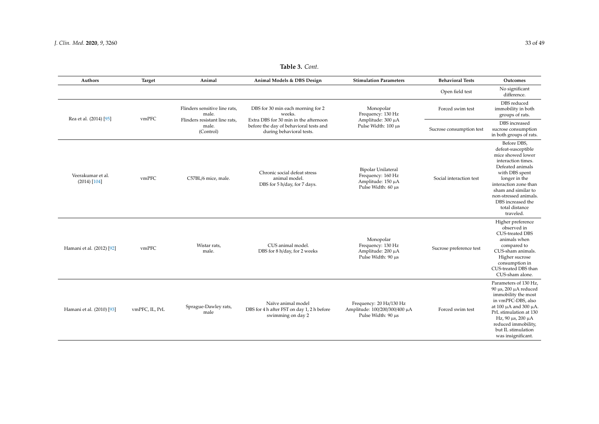| <b>Authors</b>                      | <b>Target</b>  | Animal                                              | Animal Models & DBS Design                                                                                  | <b>Stimulation Parameters</b>                                                                                                                                                                                                                                                                                                                                                  | <b>Behavioral Tests</b>                                         | Outcomes                                                                                                                                                                                                                                                         |
|-------------------------------------|----------------|-----------------------------------------------------|-------------------------------------------------------------------------------------------------------------|--------------------------------------------------------------------------------------------------------------------------------------------------------------------------------------------------------------------------------------------------------------------------------------------------------------------------------------------------------------------------------|-----------------------------------------------------------------|------------------------------------------------------------------------------------------------------------------------------------------------------------------------------------------------------------------------------------------------------------------|
|                                     |                |                                                     |                                                                                                             |                                                                                                                                                                                                                                                                                                                                                                                | Open field test                                                 | No significant<br>difference.                                                                                                                                                                                                                                    |
| Rea et al. (2014) [95]              | vmPFC          | Flinders sensitive line rats,<br>male.              | DBS for 30 min each morning for 2<br>weeks.                                                                 | Monopolar<br>Forced swim test<br>Frequency: 130 Hz<br>Amplitude: 300 µA<br>Pulse Width: 100 µs<br>Sucrose consumption test<br>Bipolar Unilateral<br>Frequency: 160 Hz<br>Social interaction test<br>Amplitude: 150 µA<br>Pulse Width: 60 µs<br>Monopolar<br>Frequency: 130 Hz<br>Sucrose preference test<br>Amplitude: 200 µA<br>Pulse Width: 90 µs<br>Frequency: 20 Hz/130 Hz |                                                                 | DBS reduced<br>immobility in both<br>groups of rats.                                                                                                                                                                                                             |
|                                     |                | Flinders resistant line rats,<br>male.<br>(Control) | Extra DBS for 30 min in the afternoon<br>before the day of behavioral tests and<br>during behavioral tests. |                                                                                                                                                                                                                                                                                                                                                                                | DBS increased<br>sucrose consumption<br>in both groups of rats. |                                                                                                                                                                                                                                                                  |
| Veerakumar et al.<br>$(2014)$ [104] | vmPFC          | C57BL/6 mice, male.                                 | Chronic social defeat stress<br>animal model.<br>DBS for 5 h/day, for 7 days.                               |                                                                                                                                                                                                                                                                                                                                                                                |                                                                 | Before DBS,<br>defeat-susceptible<br>mice showed lower<br>interaction times.<br>Defeated animals<br>with DBS spent<br>longer in the<br>interaction zone than<br>sham and similar to<br>non-stressed animals.<br>DBS increased the<br>total distance<br>traveled. |
| Hamani et al. (2012) [92]           | vmPFC          | Wistar rats,<br>male.                               | CUS animal model.<br>DBS for 8 h/day, for 2 weeks                                                           |                                                                                                                                                                                                                                                                                                                                                                                |                                                                 | Higher preference<br>observed in<br><b>CUS-treated DBS</b><br>animals when<br>compared to<br>CUS-sham animals.<br>Higher sucrose<br>consumption in<br>CUS-treated DBS than<br>CUS-sham alone.                                                                    |
| Hamani et al. (2010) [93]           | vmPFC, IL, PrL | Sprague-Dawley rats,<br>male                        | Naïve animal model<br>DBS for 4 h after FST on day 1, 2 h before<br>swimming on day 2                       | Amplitude: 100/200/300/400 μA<br>Pulse Width: 90 µs                                                                                                                                                                                                                                                                                                                            | Forced swim test                                                | Parameters of 130 Hz,<br>90 μs, $200$ μA reduced<br>immobility the most<br>in vmPFC-DBS, also<br>at 100 µA and 300 µA.<br>PrL stimulation at 130<br>Hz, 90 μs, 200 μA<br>reduced immobility,<br>but IL stimulation<br>was insignificant.                         |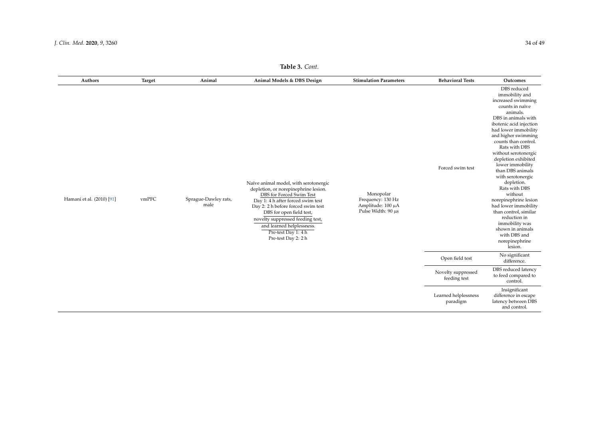| Authors                   | Target | Animal                       | Animal Models & DBS Design                                                                                                                                                                                                                                                                                                      | <b>Stimulation Parameters</b>                                             | <b>Behavioral Tests</b>            | Outcomes                                                                                                                                                                                                                                                                                                                                                                                                                                                                                                                                                        |
|---------------------------|--------|------------------------------|---------------------------------------------------------------------------------------------------------------------------------------------------------------------------------------------------------------------------------------------------------------------------------------------------------------------------------|---------------------------------------------------------------------------|------------------------------------|-----------------------------------------------------------------------------------------------------------------------------------------------------------------------------------------------------------------------------------------------------------------------------------------------------------------------------------------------------------------------------------------------------------------------------------------------------------------------------------------------------------------------------------------------------------------|
| Hamani et al. (2010) [91] | vmPFC  | Sprague-Dawley rats,<br>male | Naïve animal model, with serotonergic<br>depletion, or norepinephrine lesion.<br>DBS for Forced Swim Test<br>Day 1: 4 h after forced swim test<br>Day 2: 2 h before forced swim test<br>DBS for open field test,<br>novelty suppressed feeding test,<br>and learned helplessness.<br>Pre-test Day 1: 4 h<br>Pre-test Day 2: 2 h | Monopolar<br>Frequency: 130 Hz<br>Amplitude: 100 µA<br>Pulse Width: 90 µs | Forced swim test                   | DBS reduced<br>immobility and<br>increased swimming<br>counts in naïve<br>animals.<br>DBS in animals with<br>ibotenic acid injection<br>had lower immobility<br>and higher swimming<br>counts than control.<br>Rats with DBS<br>without serotonergic<br>depletion exhibited<br>lower immobility<br>than DBS animals<br>with serotonergic<br>depletion.<br>Rats with DBS<br>without<br>norepinephrine lesion<br>had lower immobility<br>than control, similar<br>reduction in<br>immobility was<br>shown in animals<br>with DBS and<br>norepinephrine<br>lesion. |
|                           |        |                              |                                                                                                                                                                                                                                                                                                                                 |                                                                           | Open field test                    | No significant<br>difference.                                                                                                                                                                                                                                                                                                                                                                                                                                                                                                                                   |
|                           |        |                              |                                                                                                                                                                                                                                                                                                                                 |                                                                           | Novelty suppressed<br>feeding test | DBS reduced latency<br>to feed compared to<br>control.                                                                                                                                                                                                                                                                                                                                                                                                                                                                                                          |
|                           |        |                              |                                                                                                                                                                                                                                                                                                                                 |                                                                           | Learned helplessness<br>paradigm   | Insignificant<br>difference in escape<br>latency between DBS<br>and control.                                                                                                                                                                                                                                                                                                                                                                                                                                                                                    |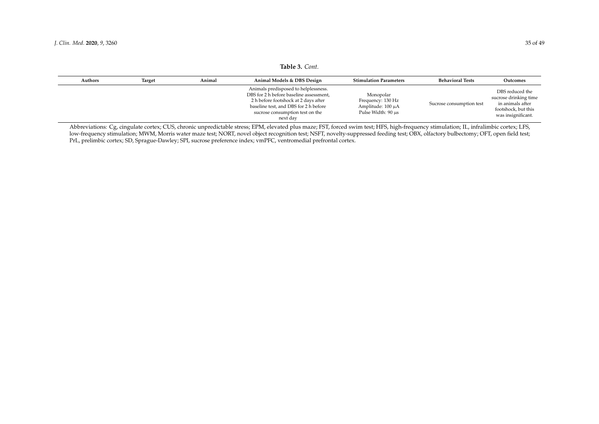| Authors | Target | Animal | Animal Models & DBS Design                                                                                                                                                                                      | <b>Stimulation Parameters</b>                                             | <b>Behavioral Tests</b>  | Outcomes                                                                                                  |
|---------|--------|--------|-----------------------------------------------------------------------------------------------------------------------------------------------------------------------------------------------------------------|---------------------------------------------------------------------------|--------------------------|-----------------------------------------------------------------------------------------------------------|
|         |        |        | Animals predisposed to helplessness.<br>DBS for 2 h before baseline assessment,<br>2 h before footshock at 2 days after<br>baseline test, and DBS for 2 h before<br>sucrose consumption test on the<br>next day | Monopolar<br>Frequency: 130 Hz<br>Amplitude: 100 µA<br>Pulse Width: 90 µs | Sucrose consumption test | DBS reduced the<br>sucrose drinking time<br>in animals after<br>footshock, but this<br>was insignificant. |

<span id="page-34-0"></span>Abbreviations: Cg, cingulate cortex; CUS, chronic unpredictable stress; EPM, elevated plus maze; FST, forced swim test; HFS, high-frequency stimulation; IL, infralimbic cortex; LFS, low-frequency stimulation; MWM, Morris water maze test; NORT, novel object recognition test; NSFT, novelty-suppressed feeding test; OBX, olfactory bulbectomy; OFT, open field test; PrL, prelimbic cortex; SD, Sprague-Dawley; SPI, sucrose preference index; vmPFC, ventromedial prefrontal cortex.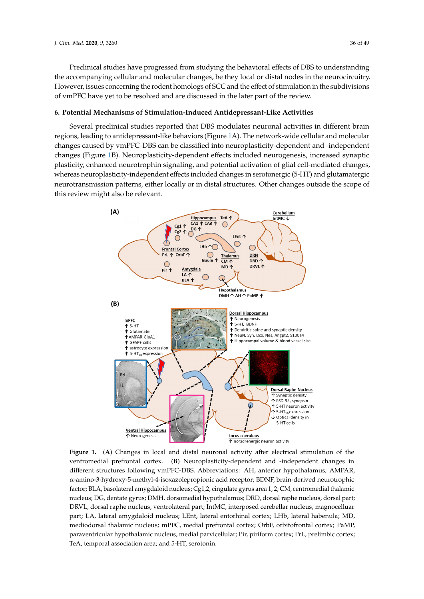Preclinical studies have progressed from studying the behavioral effects of DBS to understanding the accompanying cellular and molecular changes, be they local or distal nodes in the neurocircuitry. However, issues concerning the rodent homologs of SCC and the effect of stimulation in the subdivisions of vmPFC have yet to be resolved and are discussed in the later part of the review.

#### **6. Potential Mechanisms of Stimulation-Induced Antidepressant-Like Activities**

Several preclinical studies reported that DBS modulates neuronal activities in different brain regions, leading to antidepressant-like behaviors (Figure [1A](#page-35-0)). The network-wide cellular and molecular changes caused by vmPFC-DBS can be classified into neuroplasticity-dependent and -independent changes (Figure [1B](#page-35-0)). Neuroplasticity-dependent effects included neurogenesis, increased synaptic plasticity, enhanced neurotrophin signaling, and potential activation of glial cell-mediated changes, whereas neuroplasticity-independent effects included changes in serotonergic (5-HT) and glutamatergic neurotransmission patterns, either locally or in distal structures. Other changes outside the scope of this review might also be relevant. regions, leading the metric of the network-metric interaction cellular periodic). increase synaptic planet chanced neurotrophin signaling, and potential cellrealso be relevant.

<span id="page-35-0"></span>

Figure 1. (A) Changes in local and distal neuronal activity after electrical stimulation of the ventromedial prefrontal cortex. (B) Neuroplasticity-dependent and -independent changes in different structures following vmPFC-DBS. Abbreviations: AH, anterior hypothalamus; AMPAR, α-amino-3-hydroxy-5-methyl-4-isoxazolepropionic acid receptor; BDNF, brain-derived neurotrophic factor; BLA, basolateral amygdaloid nucleus; Cg1,2, cingulate gyrus area 1, 2; CM, centromedial thalamic nucleus; DG, dentate gyrus; DMH, dorsomedial hypothalamus; DRD, dorsal raphe nucleus, dorsal part; DRVL, dorsal raphe nucleus, ventrolateral part; IntMC, interposed cerebellar nucleus, magnocelluar part; LA, lateral amygdaloid nucleus; LEnt, lateral entorhinal cortex; LHb, lateral habenula; MD, mediodorsal thalamic nucleus; mPFC, medial prefrontal cortex; OrbF, orbitofrontal cortex; PaMP, paraventricular hypothalamic nucleus, medial parvicellular; Pir, piriform cortex; PrL, prelimbic cortex; TeA, temporal association area; and 5-HT, serotonin.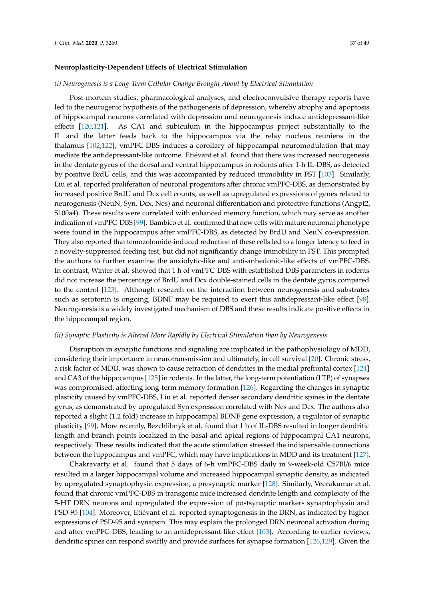#### **Neuroplasticity-Dependent E**ff**ects of Electrical Stimulation**

#### *(i) Neurogenesis is a Long-Term Cellular Change Brought About by Electrical Stimulation*

Post-mortem studies, pharmacological analyses, and electroconvulsive therapy reports have led to the neurogenic hypothesis of the pathogenesis of depression, whereby atrophy and apoptosis of hippocampal neurons correlated with depression and neurogenesis induce antidepressant-like effects [\[120](#page-46-22)[,121\]](#page-46-23). As CA1 and subiculum in the hippocampus project substantially to the IL and the latter feeds back to the hippocampus via the relay nucleus reuniens in the thalamus [\[102](#page-45-13)[,122\]](#page-46-24), vmPFC-DBS induces a corollary of hippocampal neuromodulation that may mediate the antidepressant-like outcome. Etiévant et al. found that there was increased neurogenesis in the dentate gyrus of the dorsal and ventral hippocampus in rodents after 1-h IL-DBS, as detected by positive BrdU cells, and this was accompanied by reduced immobility in FST [\[103\]](#page-45-14). Similarly, Liu et al. reported proliferation of neuronal progenitors after chronic vmPFC-DBS, as demonstrated by increased positive BrdU and Dcx cell counts, as well as upregulated expressions of genes related to neurogenesis (NeuN, Syn, Dcx, Nes) and neuronal differentiation and protective functions (Angpt2, S100a4). These results were correlated with enhanced memory function, which may serve as another indication of vmPFC-DBS [\[99\]](#page-45-10). Bambico et al. confirmed that new cells with mature neuronal phenotype were found in the hippocampus after vmPFC-DBS, as detected by BrdU and NeuN co-expression. They also reported that temozolomide-induced reduction of these cells led to a longer latency to feed in a novelty-suppressed feeding test, but did not significantly change immobility in FST. This prompted the authors to further examine the anxiolytic-like and anti-anhedonic-like effects of vmPFC-DBS. In contrast, Winter et al. showed that 1 h of vmPFC-DBS with established DBS parameters in rodents did not increase the percentage of BrdU and Dcx double-stained cells in the dentate gyrus compared to the control [\[123\]](#page-46-25). Although research on the interaction between neurogenesis and substrates such as serotonin is ongoing, BDNF may be required to exert this antidepressant-like effect [\[98\]](#page-45-9). Neurogenesis is a widely investigated mechanism of DBS and these results indicate positive effects in the hippocampal region.

#### *(ii) Synaptic Plasticity is Altered More Rapidly by Electrical Stimulation than by Neurogenesis*

Disruption in synaptic functions and signaling are implicated in the pathophysiology of MDD, considering their importance in neurotransmission and ultimately, in cell survival [\[20\]](#page-41-4). Chronic stress, a risk factor of MDD, was shown to cause retraction of dendrites in the medial prefrontal cortex [\[124\]](#page-47-0) and CA3 of the hippocampus [\[125\]](#page-47-1) in rodents. In the latter, the long-term potentiation (LTP) of synapses was compromised, affecting long-term memory formation [\[126\]](#page-47-2). Regarding the changes in synaptic plasticity caused by vmPFC-DBS, Liu et al. reported denser secondary dendritic spines in the dentate gyrus, as demonstrated by upregulated Syn expression correlated with Nes and Dcx. The authors also reported a slight (1.2 fold) increase in hippocampal BDNF gene expression, a regulator of synaptic plasticity [\[99\]](#page-45-10). More recently, Bezchlibnyk et al. found that 1 h of IL-DBS resulted in longer dendritic length and branch points localized in the basal and apical regions of hippocampal CA1 neurons, respectively. These results indicated that the acute stimulation stressed the indispensable connections between the hippocampus and vmPFC, which may have implications in MDD and its treatment [\[127\]](#page-47-3).

Chakravarty et al. found that 5 days of 6-h vmPFC-DBS daily in 9-week-old C57Bl/6 mice resulted in a larger hippocampal volume and increased hippocampal synaptic density, as indicated by upregulated synaptophysin expression, a presynaptic marker [\[128\]](#page-47-4). Similarly, Veerakumar et al. found that chronic vmPFC-DBS in transgenic mice increased dendrite length and complexity of the 5-HT DRN neurons and upregulated the expression of postsynaptic markers synaptophysin and PSD-95 [\[104\]](#page-45-15). Moreover, Etiévant et al. reported synaptogenesis in the DRN, as indicated by higher expressions of PSD-95 and synapsin. This may explain the prolonged DRN neuronal activation during and after vmPFC-DBS, leading to an antidepressant-like effect [\[103\]](#page-45-14). According to earlier reviews, dendritic spines can respond swiftly and provide surfaces for synapse formation [\[126](#page-47-2)[,129\]](#page-47-5). Given the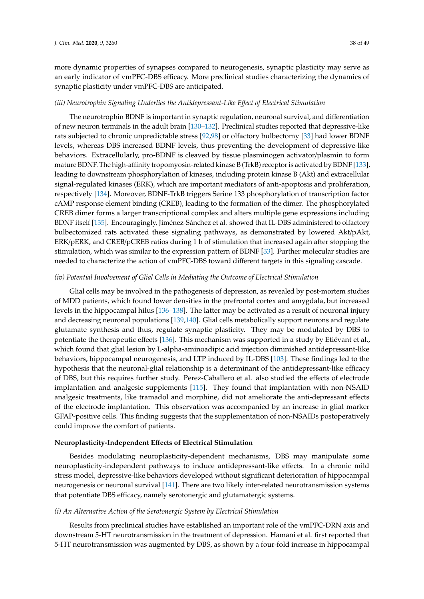more dynamic properties of synapses compared to neurogenesis, synaptic plasticity may serve as an early indicator of vmPFC-DBS efficacy. More preclinical studies characterizing the dynamics of synaptic plasticity under vmPFC-DBS are anticipated.

#### *(iii) Neurotrophin Signaling Underlies the Antidepressant-Like E*ff*ect of Electrical Stimulation*

The neurotrophin BDNF is important in synaptic regulation, neuronal survival, and differentiation of new neuron terminals in the adult brain [\[130–](#page-47-6)[132\]](#page-47-7). Preclinical studies reported that depressive-like rats subjected to chronic unpredictable stress [\[92](#page-45-3)[,98\]](#page-45-9) or olfactory bulbectomy [\[33\]](#page-41-17) had lower BDNF levels, whereas DBS increased BDNF levels, thus preventing the development of depressive-like behaviors. Extracellularly, pro-BDNF is cleaved by tissue plasminogen activator/plasmin to form mature BDNF. The high-affinity tropomyosin-related kinase B (TrkB) receptor is activated by BDNF [\[133\]](#page-47-8), leading to downstream phosphorylation of kinases, including protein kinase B (Akt) and extracellular signal-regulated kinases (ERK), which are important mediators of anti-apoptosis and proliferation, respectively [\[134\]](#page-47-9). Moreover, BDNF-TrkB triggers Serine 133 phosphorylation of transcription factor cAMP response element binding (CREB), leading to the formation of the dimer. The phosphorylated CREB dimer forms a larger transcriptional complex and alters multiple gene expressions including BDNF itself [\[135\]](#page-47-10). Encouragingly, Jiménez-Sánchez et al. showed that IL-DBS administered to olfactory bulbectomized rats activated these signaling pathways, as demonstrated by lowered Akt/pAkt, ERK/pERK, and CREB/pCREB ratios during 1 h of stimulation that increased again after stopping the stimulation, which was similar to the expression pattern of BDNF [\[33\]](#page-41-17). Further molecular studies are needed to characterize the action of vmPFC-DBS toward different targets in this signaling cascade.

#### *(iv) Potential Involvement of Glial Cells in Mediating the Outcome of Electrical Stimulation*

Glial cells may be involved in the pathogenesis of depression, as revealed by post-mortem studies of MDD patients, which found lower densities in the prefrontal cortex and amygdala, but increased levels in the hippocampal hilus [\[136](#page-47-11)[–138\]](#page-47-12). The latter may be activated as a result of neuronal injury and decreasing neuronal populations [\[139,](#page-47-13)[140\]](#page-47-14). Glial cells metabolically support neurons and regulate glutamate synthesis and thus, regulate synaptic plasticity. They may be modulated by DBS to potentiate the therapeutic effects [\[136\]](#page-47-11). This mechanism was supported in a study by Etiévant et al., which found that glial lesion by L-alpha-aminoadipic acid injection diminished antidepressant-like behaviors, hippocampal neurogenesis, and LTP induced by IL-DBS [\[103\]](#page-45-14). These findings led to the hypothesis that the neuronal-glial relationship is a determinant of the antidepressant-like efficacy of DBS, but this requires further study. Perez-Caballero et al. also studied the effects of electrode implantation and analgesic supplements [\[115\]](#page-46-9). They found that implantation with non-NSAID analgesic treatments, like tramadol and morphine, did not ameliorate the anti-depressant effects of the electrode implantation. This observation was accompanied by an increase in glial marker GFAP-positive cells. This finding suggests that the supplementation of non-NSAIDs postoperatively could improve the comfort of patients.

#### **Neuroplasticity-Independent E**ff**ects of Electrical Stimulation**

Besides modulating neuroplasticity-dependent mechanisms, DBS may manipulate some neuroplasticity-independent pathways to induce antidepressant-like effects. In a chronic mild stress model, depressive-like behaviors developed without significant deterioration of hippocampal neurogenesis or neuronal survival [\[141\]](#page-47-15). There are two likely inter-related neurotransmission systems that potentiate DBS efficacy, namely serotonergic and glutamatergic systems.

#### *(i) An Alternative Action of the Serotonergic System by Electrical Stimulation*

Results from preclinical studies have established an important role of the vmPFC-DRN axis and downstream 5-HT neurotransmission in the treatment of depression. Hamani et al. first reported that 5-HT neurotransmission was augmented by DBS, as shown by a four-fold increase in hippocampal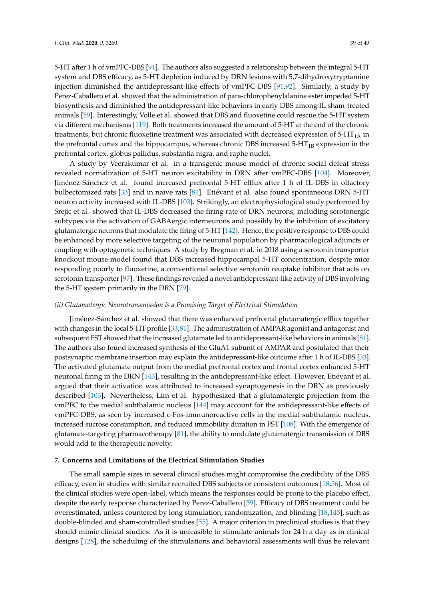5-HT after 1 h of vmPFC-DBS [\[91\]](#page-45-2). The authors also suggested a relationship between the integral 5-HT system and DBS efficacy, as 5-HT depletion induced by DRN lesions with 5,7-dihydroxytryptamine injection diminished the antidepressant-like effects of vmPFC-DBS [\[91](#page-45-2)[,92\]](#page-45-3). Similarly, a study by Perez-Caballero et al. showed that the administration of para-chlorophenylalanine ester impeded 5-HT biosynthesis and diminished the antidepressant-like behaviors in early DBS among IL sham-treated animals [\[59\]](#page-43-21). Interestingly, Volle et al. showed that DBS and fluoxetine could rescue the 5-HT system via different mechanisms [\[119\]](#page-46-26). Both treatments increased the amount of 5-HT at the end of the chronic treatments, but chronic fluoxetine treatment was associated with decreased expression of  $5-HT_{1A}$  in the prefrontal cortex and the hippocampus, whereas chronic DBS increased  $5-HT_{1B}$  expression in the prefrontal cortex, globus pallidus, substantia nigra, and raphe nuclei.

A study by Veerakumar et al. in a transgenic mouse model of chronic social defeat stress revealed normalization of 5-HT neuron excitability in DRN after vmPFC-DBS [\[104\]](#page-45-15). Moreover, Jiménez-Sánchez et al. found increased prefrontal 5-HT efflux after 1 h of IL-DBS in olfactory bulbectomized rats [\[33\]](#page-41-17) and in naive rats [\[81\]](#page-44-20). Etiévant et al. also found spontaneous DRN 5-HT neuron activity increased with IL-DBS [\[103\]](#page-45-14). Strikingly, an electrophysiological study performed by Srejic et al. showed that IL-DBS decreased the firing rate of DRN neurons, including serotonergic subtypes via the activation of GABAergic interneurons and possibly by the inhibition of excitatory glutamatergic neurons that modulate the firing of 5-HT [\[142\]](#page-47-16). Hence, the positive response to DBS could be enhanced by more selective targeting of the neuronal population by pharmacological adjuncts or coupling with optogenetic techniques. A study by Bregman et al. in 2018 using a serotonin transporter knockout mouse model found that DBS increased hippocampal 5-HT concentration, despite mice responding poorly to fluoxetine, a conventional selective serotonin reuptake inhibitor that acts on serotonin transporter [\[97\]](#page-45-8). These findings revealed a novel antidepressant-like activity of DBS involving the 5-HT system primarily in the DRN [\[79\]](#page-44-14).

#### *(ii) Glutamatergic Neurotransmission is a Promising Target of Electrical Stimulation*

Jiménez-Sánchez et al. showed that there was enhanced prefrontal glutamatergic efflux together with changes in the local 5-HT profile [\[33](#page-41-17)[,81\]](#page-44-20). The administration of AMPAR agonist and antagonist and subsequent FST showed that the increased glutamate led to antidepressant-like behaviors in animals [\[81\]](#page-44-20). The authors also found increased synthesis of the GluA1 subunit of AMPAR and postulated that their postsynaptic membrane insertion may explain the antidepressant-like outcome after 1 h of IL-DBS [\[33\]](#page-41-17). The activated glutamate output from the medial prefrontal cortex and frontal cortex enhanced 5-HT neuronal firing in the DRN [\[143\]](#page-47-17), resulting in the antidepressant-like effect. However, Etiévant et al. argued that their activation was attributed to increased synaptogenesis in the DRN as previously described [\[103\]](#page-45-14). Nevertheless, Lim et al. hypothesized that a glutamatergic projection from the vmPFC to the medial subthalamic nucleus [\[144\]](#page-47-18) may account for the antidepressant-like effects of vmPFC-DBS, as seen by increased c-Fos-immunoreactive cells in the medial subthalamic nucleus, increased sucrose consumption, and reduced immobility duration in FST [\[108\]](#page-46-2). With the emergence of glutamate-targeting pharmacotherapy [\[81\]](#page-44-20), the ability to modulate glutamatergic transmission of DBS would add to the therapeutic novelty.

#### **7. Concerns and Limitations of the Electrical Stimulation Studies**

The small sample sizes in several clinical studies might compromise the credibility of the DBS efficacy, even in studies with similar recruited DBS subjects or consistent outcomes [\[18,](#page-41-2)[56\]](#page-43-18). Most of the clinical studies were open-label, which means the responses could be prone to the placebo effect, despite the early response characterized by Perez-Caballero [\[59\]](#page-43-21). Efficacy of DBS treatment could be overestimated, unless countered by long stimulation, randomization, and blinding [\[18](#page-41-2)[,145\]](#page-48-0), such as double-blinded and sham-controlled studies [\[55\]](#page-43-17). A major criterion in preclinical studies is that they should mimic clinical studies. As it is unfeasible to stimulate animals for 24 h a day as in clinical designs [\[128\]](#page-47-4), the scheduling of the stimulations and behavioral assessments will thus be relevant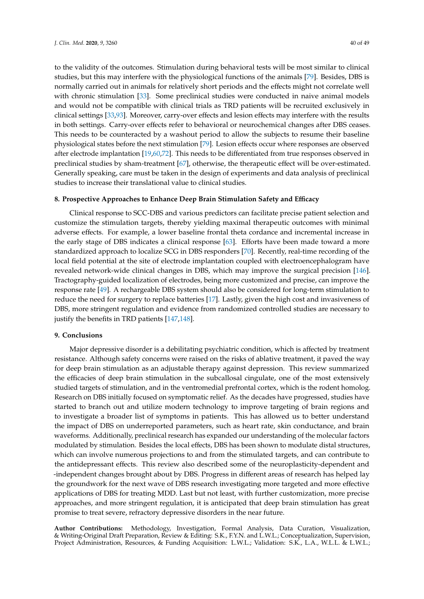to the validity of the outcomes. Stimulation during behavioral tests will be most similar to clinical studies, but this may interfere with the physiological functions of the animals [\[79\]](#page-44-14). Besides, DBS is normally carried out in animals for relatively short periods and the effects might not correlate well with chronic stimulation [\[33\]](#page-41-17). Some preclinical studies were conducted in naive animal models and would not be compatible with clinical trials as TRD patients will be recruited exclusively in clinical settings [\[33,](#page-41-17)[93\]](#page-45-4). Moreover, carry-over effects and lesion effects may interfere with the results in both settings. Carry-over effects refer to behavioral or neurochemical changes after DBS ceases. This needs to be counteracted by a washout period to allow the subjects to resume their baseline physiological states before the next stimulation [\[79\]](#page-44-14). Lesion effects occur where responses are observed after electrode implantation [\[19](#page-41-3)[,60](#page-43-22)[,72\]](#page-44-7). This needs to be differentiated from true responses observed in preclinical studies by sham-treatment [\[67\]](#page-43-29), otherwise, the therapeutic effect will be over-estimated. Generally speaking, care must be taken in the design of experiments and data analysis of preclinical studies to increase their translational value to clinical studies.

#### **8. Prospective Approaches to Enhance Deep Brain Stimulation Safety and E**ffi**cacy**

Clinical response to SCC-DBS and various predictors can facilitate precise patient selection and customize the stimulation targets, thereby yielding maximal therapeutic outcomes with minimal adverse effects. For example, a lower baseline frontal theta cordance and incremental increase in the early stage of DBS indicates a clinical response [\[63\]](#page-43-25). Efforts have been made toward a more standardized approach to localize SCG in DBS responders [\[70\]](#page-44-5). Recently, real-time recording of the local field potential at the site of electrode implantation coupled with electroencephalogram have revealed network-wide clinical changes in DBS, which may improve the surgical precision [\[146\]](#page-48-1). Tractography-guided localization of electrodes, being more customized and precise, can improve the response rate [\[49\]](#page-42-25). A rechargeable DBS system should also be considered for long-term stimulation to reduce the need for surgery to replace batteries [\[17\]](#page-41-1). Lastly, given the high cost and invasiveness of DBS, more stringent regulation and evidence from randomized controlled studies are necessary to justify the benefits in TRD patients [\[147](#page-48-2)[,148\]](#page-48-3).

#### **9. Conclusions**

Major depressive disorder is a debilitating psychiatric condition, which is affected by treatment resistance. Although safety concerns were raised on the risks of ablative treatment, it paved the way for deep brain stimulation as an adjustable therapy against depression. This review summarized the efficacies of deep brain stimulation in the subcallosal cingulate, one of the most extensively studied targets of stimulation, and in the ventromedial prefrontal cortex, which is the rodent homolog. Research on DBS initially focused on symptomatic relief. As the decades have progressed, studies have started to branch out and utilize modern technology to improve targeting of brain regions and to investigate a broader list of symptoms in patients. This has allowed us to better understand the impact of DBS on underreported parameters, such as heart rate, skin conductance, and brain waveforms. Additionally, preclinical research has expanded our understanding of the molecular factors modulated by stimulation. Besides the local effects, DBS has been shown to modulate distal structures, which can involve numerous projections to and from the stimulated targets, and can contribute to the antidepressant effects. This review also described some of the neuroplasticity-dependent and -independent changes brought about by DBS. Progress in different areas of research has helped lay the groundwork for the next wave of DBS research investigating more targeted and more effective applications of DBS for treating MDD. Last but not least, with further customization, more precise approaches, and more stringent regulation, it is anticipated that deep brain stimulation has great promise to treat severe, refractory depressive disorders in the near future.

**Author Contributions:** Methodology, Investigation, Formal Analysis, Data Curation, Visualization, & Writing-Original Draft Preparation, Review & Editing: S.K., F.Y.N. and L.W.L.; Conceptualization, Supervision, Project Administration, Resources, & Funding Acquisition: L.W.L.; Validation: S.K., L.A., W.L.L. & L.W.L.;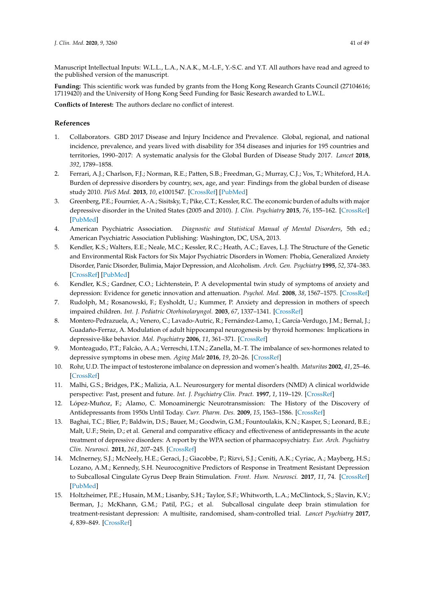Manuscript Intellectual Inputs: W.L.L., L.A., N.A.K., M.-L.F., Y.-S.C. and Y.T. All authors have read and agreed to the published version of the manuscript.

**Funding:** This scientific work was funded by grants from the Hong Kong Research Grants Council (27104616; 17119420) and the University of Hong Kong Seed Funding for Basic Research awarded to L.W.L.

**Conflicts of Interest:** The authors declare no conflict of interest.

#### **References**

- <span id="page-40-0"></span>1. Collaborators. GBD 2017 Disease and Injury Incidence and Prevalence. Global, regional, and national incidence, prevalence, and years lived with disability for 354 diseases and injuries for 195 countries and territories, 1990–2017: A systematic analysis for the Global Burden of Disease Study 2017. *Lancet* **2018**, *392*, 1789–1858.
- <span id="page-40-1"></span>2. Ferrari, A.J.; Charlson, F.J.; Norman, R.E.; Patten, S.B.; Freedman, G.; Murray, C.J.; Vos, T.; Whiteford, H.A. Burden of depressive disorders by country, sex, age, and year: Findings from the global burden of disease study 2010. *PloS Med.* **2013**, *10*, e1001547. [\[CrossRef\]](http://dx.doi.org/10.1371/journal.pmed.1001547) [\[PubMed\]](http://www.ncbi.nlm.nih.gov/pubmed/24223526)
- <span id="page-40-2"></span>3. Greenberg, P.E.; Fournier, A.-A.; Sisitsky, T.; Pike, C.T.; Kessler, R.C. The economic burden of adults with major depressive disorder in the United States (2005 and 2010). *J. Clin. Psychiatry* **2015**, *76*, 155–162. [\[CrossRef\]](http://dx.doi.org/10.4088/JCP.14m09298) [\[PubMed\]](http://www.ncbi.nlm.nih.gov/pubmed/25742202)
- <span id="page-40-3"></span>4. American Psychiatric Association. *Diagnostic and Statistical Manual of Mental Disorders*, 5th ed.; American Psychiatric Association Publishing: Washington, DC, USA, 2013.
- <span id="page-40-4"></span>5. Kendler, K.S.; Walters, E.E.; Neale, M.C.; Kessler, R.C.; Heath, A.C.; Eaves, L.J. The Structure of the Genetic and Environmental Risk Factors for Six Major Psychiatric Disorders in Women: Phobia, Generalized Anxiety Disorder, Panic Disorder, Bulimia, Major Depression, and Alcoholism. *Arch. Gen. Psychiatry* **1995**, *52*, 374–383. [\[CrossRef\]](http://dx.doi.org/10.1001/archpsyc.1995.03950170048007) [\[PubMed\]](http://www.ncbi.nlm.nih.gov/pubmed/7726718)
- <span id="page-40-12"></span>6. Kendler, K.S.; Gardner, C.O.; Lichtenstein, P. A developmental twin study of symptoms of anxiety and depression: Evidence for genetic innovation and attenuation. *Psychol. Med.* **2008**, *38*, 1567–1575. [\[CrossRef\]](http://dx.doi.org/10.1017/S003329170800384X)
- 7. Rudolph, M.; Rosanowski, F.; Eysholdt, U.; Kummer, P. Anxiety and depression in mothers of speech impaired children. *Int. J. Pediatric Otorhinolaryngol.* **2003**, *67*, 1337–1341. [\[CrossRef\]](http://dx.doi.org/10.1016/j.ijporl.2003.08.042)
- <span id="page-40-11"></span>8. Montero-Pedrazuela, A.; Venero, C.; Lavado-Autric, R.; Fernández-Lamo, I.; García-Verdugo, J.M.; Bernal, J.; Guadaño-Ferraz, A. Modulation of adult hippocampal neurogenesis by thyroid hormones: Implications in depressive-like behavior. *Mol. Psychiatry* **2006**, *11*, 361–371. [\[CrossRef\]](http://dx.doi.org/10.1038/sj.mp.4001802)
- 9. Monteagudo, P.T.; Falcão, A.A.; Verreschi, I.T.N.; Zanella, M.-T. The imbalance of sex-hormones related to depressive symptoms in obese men. *Aging Male* **2016**, *19*, 20–26. [\[CrossRef\]](http://dx.doi.org/10.3109/13685538.2015.1084500)
- <span id="page-40-5"></span>10. Rohr, U.D. The impact of testosterone imbalance on depression and women's health. *Maturitas* **2002**, *41*, 25–46. [\[CrossRef\]](http://dx.doi.org/10.1016/S0378-5122(02)00013-0)
- <span id="page-40-6"></span>11. Malhi, G.S.; Bridges, P.K.; Malizia, A.L. Neurosurgery for mental disorders (NMD) A clinical worldwide perspective: Past, present and future. *Int. J. Psychiatry Clin. Pract.* **1997**, *1*, 119–129. [\[CrossRef\]](http://dx.doi.org/10.3109/13651509709024713)
- <span id="page-40-7"></span>12. López-Muñoz, F.; Alamo, C. Monoaminergic Neurotransmission: The History of the Discovery of Antidepressants from 1950s Until Today. *Curr. Pharm. Des.* **2009**, *15*, 1563–1586. [\[CrossRef\]](http://dx.doi.org/10.2174/138161209788168001)
- <span id="page-40-8"></span>13. Baghai, T.C.; Blier, P.; Baldwin, D.S.; Bauer, M.; Goodwin, G.M.; Fountoulakis, K.N.; Kasper, S.; Leonard, B.E.; Malt, U.F.; Stein, D.; et al. General and comparative efficacy and effectiveness of antidepressants in the acute treatment of depressive disorders: A report by the WPA section of pharmacopsychiatry. *Eur. Arch. Psychiatry Clin. Neurosci.* **2011**, *261*, 207–245. [\[CrossRef\]](http://dx.doi.org/10.1007/s00406-011-0259-6)
- <span id="page-40-9"></span>14. McInerney, S.J.; McNeely, H.E.; Geraci, J.; Giacobbe, P.; Rizvi, S.J.; Ceniti, A.K.; Cyriac, A.; Mayberg, H.S.; Lozano, A.M.; Kennedy, S.H. Neurocognitive Predictors of Response in Treatment Resistant Depression to Subcallosal Cingulate Gyrus Deep Brain Stimulation. *Front. Hum. Neurosci.* **2017**, *11*, 74. [\[CrossRef\]](http://dx.doi.org/10.3389/fnhum.2017.00074) [\[PubMed\]](http://www.ncbi.nlm.nih.gov/pubmed/28286473)
- <span id="page-40-10"></span>15. Holtzheimer, P.E.; Husain, M.M.; Lisanby, S.H.; Taylor, S.F.; Whitworth, L.A.; McClintock, S.; Slavin, K.V.; Berman, J.; McKhann, G.M.; Patil, P.G.; et al. Subcallosal cingulate deep brain stimulation for treatment-resistant depression: A multisite, randomised, sham-controlled trial. *Lancet Psychiatry* **2017**, *4*, 839–849. [\[CrossRef\]](http://dx.doi.org/10.1016/S2215-0366(17)30371-1)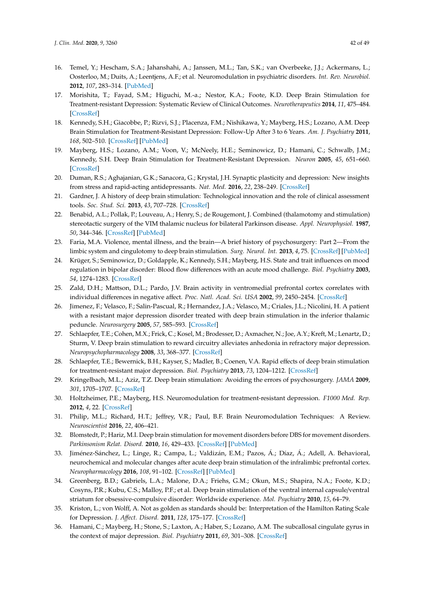- <span id="page-41-22"></span><span id="page-41-21"></span><span id="page-41-0"></span>16. Temel, Y.; Hescham, S.A.; Jahanshahi, A.; Janssen, M.L.; Tan, S.K.; van Overbeeke, J.J.; Ackermans, L.; Oosterloo, M.; Duits, A.; Leentjens, A.F.; et al. Neuromodulation in psychiatric disorders. *Int. Rev. Neurobiol.* **2012**, *107*, 283–314. [\[PubMed\]](http://www.ncbi.nlm.nih.gov/pubmed/23206687)
- <span id="page-41-1"></span>17. Morishita, T.; Fayad, S.M.; Higuchi, M.-a.; Nestor, K.A.; Foote, K.D. Deep Brain Stimulation for Treatment-resistant Depression: Systematic Review of Clinical Outcomes. *Neurotherapeutics* **2014**, *11*, 475–484. [\[CrossRef\]](http://dx.doi.org/10.1007/s13311-014-0282-1)
- <span id="page-41-2"></span>18. Kennedy, S.H.; Giacobbe, P.; Rizvi, S.J.; Placenza, F.M.; Nishikawa, Y.; Mayberg, H.S.; Lozano, A.M. Deep Brain Stimulation for Treatment-Resistant Depression: Follow-Up After 3 to 6 Years. *Am. J. Psychiatry* **2011**, *168*, 502–510. [\[CrossRef\]](http://dx.doi.org/10.1176/appi.ajp.2010.10081187) [\[PubMed\]](http://www.ncbi.nlm.nih.gov/pubmed/21285143)
- <span id="page-41-3"></span>19. Mayberg, H.S.; Lozano, A.M.; Voon, V.; McNeely, H.E.; Seminowicz, D.; Hamani, C.; Schwalb, J.M.; Kennedy, S.H. Deep Brain Stimulation for Treatment-Resistant Depression. *Neuron* **2005**, *45*, 651–660. [\[CrossRef\]](http://dx.doi.org/10.1016/j.neuron.2005.02.014)
- <span id="page-41-4"></span>20. Duman, R.S.; Aghajanian, G.K.; Sanacora, G.; Krystal, J.H. Synaptic plasticity and depression: New insights from stress and rapid-acting antidepressants. *Nat. Med.* **2016**, *22*, 238–249. [\[CrossRef\]](http://dx.doi.org/10.1038/nm.4050)
- <span id="page-41-5"></span>21. Gardner, J. A history of deep brain stimulation: Technological innovation and the role of clinical assessment tools. *Soc. Stud. Sci.* **2013**, *43*, 707–728. [\[CrossRef\]](http://dx.doi.org/10.1177/0306312713483678)
- <span id="page-41-6"></span>22. Benabid, A.L.; Pollak, P.; Louveau, A.; Henry, S.; de Rougemont, J. Combined (thalamotomy and stimulation) stereotactic surgery of the VIM thalamic nucleus for bilateral Parkinson disease. *Appl. Neurophysiol.* **1987**, *50*, 344–346. [\[CrossRef\]](http://dx.doi.org/10.1159/000100803) [\[PubMed\]](http://www.ncbi.nlm.nih.gov/pubmed/3329873)
- <span id="page-41-7"></span>23. Faria, M.A. Violence, mental illness, and the brain—A brief history of psychosurgery: Part 2—From the limbic system and cingulotomy to deep brain stimulation. *Surg. Neurol. Int.* **2013**, *4*, 75. [\[CrossRef\]](http://dx.doi.org/10.4103/2152-7806.112825) [\[PubMed\]](http://www.ncbi.nlm.nih.gov/pubmed/23776761)
- <span id="page-41-23"></span><span id="page-41-8"></span>24. Krüger, S.; Seminowicz, D.; Goldapple, K.; Kennedy, S.H.; Mayberg, H.S. State and trait influences on mood regulation in bipolar disorder: Blood flow differences with an acute mood challenge. *Biol. Psychiatry* **2003**, *54*, 1274–1283. [\[CrossRef\]](http://dx.doi.org/10.1016/S0006-3223(03)00691-7)
- <span id="page-41-9"></span>25. Zald, D.H.; Mattson, D.L.; Pardo, J.V. Brain activity in ventromedial prefrontal cortex correlates with individual differences in negative affect. *Proc. Natl. Acad. Sci. USA* **2002**, *99*, 2450–2454. [\[CrossRef\]](http://dx.doi.org/10.1073/pnas.042457199)
- <span id="page-41-10"></span>26. Jimenez, F.; Velasco, F.; Salin-Pascual, R.; Hernandez, J.A.; Velasco, M.; Criales, J.L.; Nicolini, H. A patient with a resistant major depression disorder treated with deep brain stimulation in the inferior thalamic peduncle. *Neurosurgery* **2005**, *57*, 585–593. [\[CrossRef\]](http://dx.doi.org/10.1227/01.NEU.0000170434.44335.19)
- <span id="page-41-11"></span>27. Schlaepfer, T.E.; Cohen, M.X.; Frick, C.; Kosel, M.; Brodesser, D.; Axmacher, N.; Joe, A.Y.; Kreft, M.; Lenartz, D.; Sturm, V. Deep brain stimulation to reward circuitry alleviates anhedonia in refractory major depression. *Neuropsychopharmacology* **2008**, *33*, 368–377. [\[CrossRef\]](http://dx.doi.org/10.1038/sj.npp.1301408)
- <span id="page-41-12"></span>28. Schlaepfer, T.E.; Bewernick, B.H.; Kayser, S.; Madler, B.; Coenen, V.A. Rapid effects of deep brain stimulation for treatment-resistant major depression. *Biol. Psychiatry* **2013**, *73*, 1204–1212. [\[CrossRef\]](http://dx.doi.org/10.1016/j.biopsych.2013.01.034)
- <span id="page-41-13"></span>29. Kringelbach, M.L.; Aziz, T.Z. Deep brain stimulation: Avoiding the errors of psychosurgery. *JAMA* **2009**, *301*, 1705–1707. [\[CrossRef\]](http://dx.doi.org/10.1001/jama.2009.551)
- <span id="page-41-14"></span>30. Holtzheimer, P.E.; Mayberg, H.S. Neuromodulation for treatment-resistant depression. *F1000 Med. Rep.* **2012**, *4*, 22. [\[CrossRef\]](http://dx.doi.org/10.3410/M4-22)
- <span id="page-41-15"></span>31. Philip, M.L.; Richard, H.T.; Jeffrey, V.R.; Paul, B.F. Brain Neuromodulation Techniques: A Review. *Neuroscientist* **2016**, *22*, 406–421.
- <span id="page-41-16"></span>32. Blomstedt, P.; Hariz, M.I. Deep brain stimulation for movement disorders before DBS for movement disorders. *Parkinsonism Relat. Disord.* **2010**, *16*, 429–433. [\[CrossRef\]](http://dx.doi.org/10.1016/j.parkreldis.2010.04.005) [\[PubMed\]](http://www.ncbi.nlm.nih.gov/pubmed/20471903)
- <span id="page-41-17"></span>33. Jiménez-Sánchez, L.; Linge, R.; Campa, L.; Valdizán, E.M.; Pazos, Á.; Díaz, Á.; Adell, A. Behavioral, neurochemical and molecular changes after acute deep brain stimulation of the infralimbic prefrontal cortex. *Neuropharmacology* **2016**, *108*, 91–102. [\[CrossRef\]](http://dx.doi.org/10.1016/j.neuropharm.2016.04.020) [\[PubMed\]](http://www.ncbi.nlm.nih.gov/pubmed/27108934)
- <span id="page-41-18"></span>34. Greenberg, B.D.; Gabriels, L.A.; Malone, D.A.; Friehs, G.M.; Okun, M.S.; Shapira, N.A.; Foote, K.D.; Cosyns, P.R.; Kubu, C.S.; Malloy, P.F.; et al. Deep brain stimulation of the ventral internal capsule/ventral striatum for obsessive-compulsive disorder: Worldwide experience. *Mol. Psychiatry* **2010**, *15*, 64–79.
- <span id="page-41-19"></span>35. Kriston, L.; von Wolff, A. Not as golden as standards should be: Interpretation of the Hamilton Rating Scale for Depression. *J. A*ff*ect. Disord.* **2011**, *128*, 175–177. [\[CrossRef\]](http://dx.doi.org/10.1016/j.jad.2010.07.011)
- <span id="page-41-20"></span>36. Hamani, C.; Mayberg, H.; Stone, S.; Laxton, A.; Haber, S.; Lozano, A.M. The subcallosal cingulate gyrus in the context of major depression. *Biol. Psychiatry* **2011**, *69*, 301–308. [\[CrossRef\]](http://dx.doi.org/10.1016/j.biopsych.2010.09.034)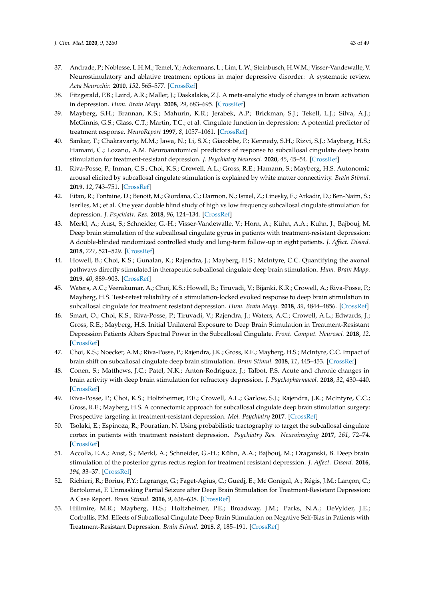- <span id="page-42-7"></span><span id="page-42-6"></span><span id="page-42-5"></span><span id="page-42-4"></span><span id="page-42-3"></span><span id="page-42-0"></span>37. Andrade, P.; Noblesse, L.H.M.; Temel, Y.; Ackermans, L.; Lim, L.W.; Steinbusch, H.W.M.; Visser-Vandewalle, V. Neurostimulatory and ablative treatment options in major depressive disorder: A systematic review. *Acta Neurochir.* **2010**, *152*, 565–577. [\[CrossRef\]](http://dx.doi.org/10.1007/s00701-009-0589-6)
- <span id="page-42-1"></span>38. Fitzgerald, P.B.; Laird, A.R.; Maller, J.; Daskalakis, Z.J. A meta-analytic study of changes in brain activation in depression. *Hum. Brain Mapp.* **2008**, *29*, 683–695. [\[CrossRef\]](http://dx.doi.org/10.1002/hbm.20613)
- <span id="page-42-8"></span><span id="page-42-2"></span>39. Mayberg, S.H.; Brannan, K.S.; Mahurin, K.R.; Jerabek, A.P.; Brickman, S.J.; Tekell, L.J.; Silva, A.J.; McGinnis, G.S.; Glass, C.T.; Martin, T.C.; et al. Cingulate function in depression: A potential predictor of treatment response. *NeuroReport* **1997**, *8*, 1057–1061. [\[CrossRef\]](http://dx.doi.org/10.1097/00001756-199703030-00048)
- <span id="page-42-9"></span>40. Sankar, T.; Chakravarty, M.M.; Jawa, N.; Li, S.X.; Giacobbe, P.; Kennedy, S.H.; Rizvi, S.J.; Mayberg, H.S.; Hamani, C.; Lozano, A.M. Neuroanatomical predictors of response to subcallosal cingulate deep brain stimulation for treatment-resistant depression. *J. Psychiatry Neurosci.* **2020**, *45*, 45–54. [\[CrossRef\]](http://dx.doi.org/10.1503/jpn.180207)
- <span id="page-42-17"></span><span id="page-42-10"></span>41. Riva-Posse, P.; Inman, C.S.; Choi, K.S.; Crowell, A.L.; Gross, R.E.; Hamann, S.; Mayberg, H.S. Autonomic arousal elicited by subcallosal cingulate stimulation is explained by white matter connectivity. *Brain Stimul.* **2019**, *12*, 743–751. [\[CrossRef\]](http://dx.doi.org/10.1016/j.brs.2019.01.015)
- <span id="page-42-18"></span><span id="page-42-11"></span>42. Eitan, R.; Fontaine, D.; Benoit, M.; Giordana, C.; Darmon, N.; Israel, Z.; Linesky, E.; Arkadir, D.; Ben-Naim, S.; Iserlles, M.; et al. One year double blind study of high vs low frequency subcallosal cingulate stimulation for depression. *J. Psychiatr. Res.* **2018**, *96*, 124–134. [\[CrossRef\]](http://dx.doi.org/10.1016/j.jpsychires.2017.09.026)
- <span id="page-42-19"></span><span id="page-42-12"></span>43. Merkl, A.; Aust, S.; Schneider, G.-H.; Visser-Vandewalle, V.; Horn, A.; Kühn, A.A.; Kuhn, J.; Bajbouj, M. Deep brain stimulation of the subcallosal cingulate gyrus in patients with treatment-resistant depression: A double-blinded randomized controlled study and long-term follow-up in eight patients. *J. A*ff*ect. Disord.* **2018**, *227*, 521–529. [\[CrossRef\]](http://dx.doi.org/10.1016/j.jad.2017.11.024)
- <span id="page-42-20"></span><span id="page-42-14"></span><span id="page-42-13"></span>44. Howell, B.; Choi, K.S.; Gunalan, K.; Rajendra, J.; Mayberg, H.S.; McIntyre, C.C. Quantifying the axonal pathways directly stimulated in therapeutic subcallosal cingulate deep brain stimulation. *Hum. Brain Mapp.* **2019**, *40*, 889–903. [\[CrossRef\]](http://dx.doi.org/10.1002/hbm.24419)
- <span id="page-42-21"></span><span id="page-42-15"></span>45. Waters, A.C.; Veerakumar, A.; Choi, K.S.; Howell, B.; Tiruvadi, V.; Bijanki, K.R.; Crowell, A.; Riva-Posse, P.; Mayberg, H.S. Test-retest reliability of a stimulation-locked evoked response to deep brain stimulation in subcallosal cingulate for treatment resistant depression. *Hum. Brain Mapp.* **2018**, *39*, 4844–4856. [\[CrossRef\]](http://dx.doi.org/10.1002/hbm.24327)
- <span id="page-42-22"></span><span id="page-42-16"></span>46. Smart, O.; Choi, K.S.; Riva-Posse, P.; Tiruvadi, V.; Rajendra, J.; Waters, A.C.; Crowell, A.L.; Edwards, J.; Gross, R.E.; Mayberg, H.S. Initial Unilateral Exposure to Deep Brain Stimulation in Treatment-Resistant Depression Patients Alters Spectral Power in the Subcallosal Cingulate. *Front. Comput. Neurosci.* **2018**, *12*. [\[CrossRef\]](http://dx.doi.org/10.3389/fncom.2018.00043)
- <span id="page-42-23"></span>47. Choi, K.S.; Noecker, A.M.; Riva-Posse, P.; Rajendra, J.K.; Gross, R.E.; Mayberg, H.S.; McIntyre, C.C. Impact of brain shift on subcallosal cingulate deep brain stimulation. *Brain Stimul.* **2018**, *11*, 445–453. [\[CrossRef\]](http://dx.doi.org/10.1016/j.brs.2017.12.001)
- <span id="page-42-24"></span>48. Conen, S.; Matthews, J.C.; Patel, N.K.; Anton-Rodriguez, J.; Talbot, P.S. Acute and chronic changes in brain activity with deep brain stimulation for refractory depression. *J. Psychopharmacol.* **2018**, *32*, 430–440. [\[CrossRef\]](http://dx.doi.org/10.1177/0269881117742668)
- <span id="page-42-25"></span>49. Riva-Posse, P.; Choi, K.S.; Holtzheimer, P.E.; Crowell, A.L.; Garlow, S.J.; Rajendra, J.K.; McIntyre, C.C.; Gross, R.E.; Mayberg, H.S. A connectomic approach for subcallosal cingulate deep brain stimulation surgery: Prospective targeting in treatment-resistant depression. *Mol. Psychiatry* **2017**. [\[CrossRef\]](http://dx.doi.org/10.1038/mp.2017.59)
- <span id="page-42-26"></span>50. Tsolaki, E.; Espinoza, R.; Pouratian, N. Using probabilistic tractography to target the subcallosal cingulate cortex in patients with treatment resistant depression. *Psychiatry Res. Neuroimaging* **2017**, *261*, 72–74. [\[CrossRef\]](http://dx.doi.org/10.1016/j.pscychresns.2017.01.006)
- <span id="page-42-27"></span>51. Accolla, E.A.; Aust, S.; Merkl, A.; Schneider, G.-H.; Kühn, A.A.; Bajbouj, M.; Draganski, B. Deep brain stimulation of the posterior gyrus rectus region for treatment resistant depression. *J. A*ff*ect. Disord.* **2016**, *194*, 33–37. [\[CrossRef\]](http://dx.doi.org/10.1016/j.jad.2016.01.022)
- <span id="page-42-28"></span>52. Richieri, R.; Borius, P.Y.; Lagrange, G.; Faget-Agius, C.; Guedj, E.; Mc Gonigal, A.; Régis, J.M.; Lançon, C.; Bartolomei, F. Unmasking Partial Seizure after Deep Brain Stimulation for Treatment-Resistant Depression: A Case Report. *Brain Stimul.* **2016**, *9*, 636–638. [\[CrossRef\]](http://dx.doi.org/10.1016/j.brs.2016.05.001)
- <span id="page-42-29"></span>53. Hilimire, M.R.; Mayberg, H.S.; Holtzheimer, P.E.; Broadway, J.M.; Parks, N.A.; DeVylder, J.E.; Corballis, P.M. Effects of Subcallosal Cingulate Deep Brain Stimulation on Negative Self-Bias in Patients with Treatment-Resistant Depression. *Brain Stimul.* **2015**, *8*, 185–191. [\[CrossRef\]](http://dx.doi.org/10.1016/j.brs.2014.11.010)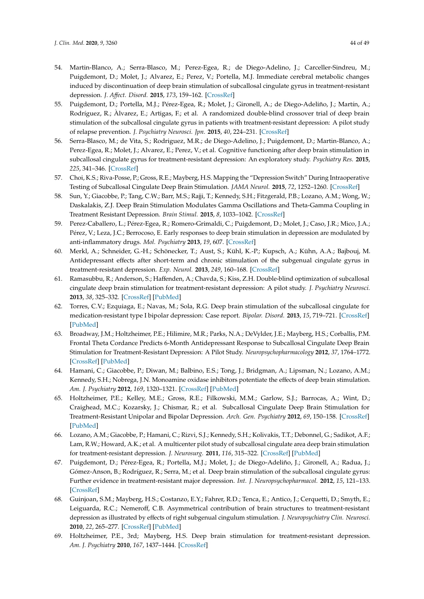- <span id="page-43-16"></span><span id="page-43-6"></span><span id="page-43-5"></span><span id="page-43-4"></span><span id="page-43-3"></span><span id="page-43-2"></span><span id="page-43-1"></span><span id="page-43-0"></span>54. Martin-Blanco, A.; Serra-Blasco, M.; Perez-Egea, R.; de Diego-Adelino, J.; Carceller-Sindreu, M.; Puigdemont, D.; Molet, J.; Alvarez, E.; Perez, V.; Portella, M.J. Immediate cerebral metabolic changes induced by discontinuation of deep brain stimulation of subcallosal cingulate gyrus in treatment-resistant depression. *J. A*ff*ect. Disord.* **2015**, *173*, 159–162. [\[CrossRef\]](http://dx.doi.org/10.1016/j.jad.2014.10.035)
- <span id="page-43-17"></span><span id="page-43-7"></span>55. Puigdemont, D.; Portella, M.J.; Pérez-Egea, R.; Molet, J.; Gironell, A.; de Diego-Adeliño, J.; Martín, A.; Rodríguez, R.; Àlvarez, E.; Artigas, F.; et al. A randomized double-blind crossover trial of deep brain stimulation of the subcallosal cingulate gyrus in patients with treatment-resistant depression: A pilot study of relapse prevention. *J. Psychiatry Neurosci. Jpn.* **2015**, *40*, 224–231. [\[CrossRef\]](http://dx.doi.org/10.1503/jpn.130295)
- <span id="page-43-18"></span><span id="page-43-9"></span><span id="page-43-8"></span>56. Serra-Blasco, M.; de Vita, S.; Rodriguez, M.R.; de Diego-Adelino, J.; Puigdemont, D.; Martin-Blanco, A.; Perez-Egea, R.; Molet, J.; Alvarez, E.; Perez, V.; et al. Cognitive functioning after deep brain stimulation in subcallosal cingulate gyrus for treatment-resistant depression: An exploratory study. *Psychiatry Res.* **2015**, *225*, 341–346. [\[CrossRef\]](http://dx.doi.org/10.1016/j.psychres.2014.11.076)
- <span id="page-43-19"></span>57. Choi, K.S.; Riva-Posse, P.; Gross, R.E.; Mayberg, H.S. Mapping the "Depression Switch" During Intraoperative Testing of Subcallosal Cingulate Deep Brain Stimulation. *JAMA Neurol.* **2015**, *72*, 1252–1260. [\[CrossRef\]](http://dx.doi.org/10.1001/jamaneurol.2015.2564)
- <span id="page-43-20"></span><span id="page-43-10"></span>58. Sun, Y.; Giacobbe, P.; Tang, C.W.; Barr, M.S.; Rajji, T.; Kennedy, S.H.; Fitzgerald, P.B.; Lozano, A.M.; Wong, W.; Daskalakis, Z.J. Deep Brain Stimulation Modulates Gamma Oscillations and Theta-Gamma Coupling in Treatment Resistant Depression. *Brain Stimul.* **2015**, *8*, 1033–1042. [\[CrossRef\]](http://dx.doi.org/10.1016/j.brs.2015.06.010)
- <span id="page-43-21"></span><span id="page-43-11"></span>59. Perez-Caballero, L.; Pérez-Egea, R.; Romero-Grimaldi, C.; Puigdemont, D.; Molet, J.; Caso, J.R.; Mico, J.A.; Pérez, V.; Leza, J.C.; Berrocoso, E. Early responses to deep brain stimulation in depression are modulated by anti-inflammatory drugs. *Mol. Psychiatry* **2013**, *19*, 607. [\[CrossRef\]](http://dx.doi.org/10.1038/mp.2013.63)
- <span id="page-43-22"></span><span id="page-43-12"></span>60. Merkl, A.; Schneider, G.-H.; Schönecker, T.; Aust, S.; Kühl, K.-P.; Kupsch, A.; Kühn, A.A.; Bajbouj, M. Antidepressant effects after short-term and chronic stimulation of the subgenual cingulate gyrus in treatment-resistant depression. *Exp. Neurol.* **2013**, *249*, 160–168. [\[CrossRef\]](http://dx.doi.org/10.1016/j.expneurol.2013.08.017)
- <span id="page-43-23"></span><span id="page-43-13"></span>61. Ramasubbu, R.; Anderson, S.; Haffenden, A.; Chavda, S.; Kiss, Z.H. Double-blind optimization of subcallosal cingulate deep brain stimulation for treatment-resistant depression: A pilot study. *J. Psychiatry Neurosci.* **2013**, *38*, 325–332. [\[CrossRef\]](http://dx.doi.org/10.1503/jpn.120160) [\[PubMed\]](http://www.ncbi.nlm.nih.gov/pubmed/23527884)
- <span id="page-43-24"></span>62. Torres, C.V.; Ezquiaga, E.; Navas, M.; Sola, R.G. Deep brain stimulation of the subcallosal cingulate for medication-resistant type I bipolar depression: Case report. *Bipolar. Disord.* **2013**, *15*, 719–721. [\[CrossRef\]](http://dx.doi.org/10.1111/bdi.12102) [\[PubMed\]](http://www.ncbi.nlm.nih.gov/pubmed/23930934)
- <span id="page-43-25"></span><span id="page-43-14"></span>63. Broadway, J.M.; Holtzheimer, P.E.; Hilimire, M.R.; Parks, N.A.; DeVylder, J.E.; Mayberg, H.S.; Corballis, P.M. Frontal Theta Cordance Predicts 6-Month Antidepressant Response to Subcallosal Cingulate Deep Brain Stimulation for Treatment-Resistant Depression: A Pilot Study. *Neuropsychopharmacology* **2012**, *37*, 1764–1772. [\[CrossRef\]](http://dx.doi.org/10.1038/npp.2012.23) [\[PubMed\]](http://www.ncbi.nlm.nih.gov/pubmed/22414813)
- <span id="page-43-26"></span><span id="page-43-15"></span>64. Hamani, C.; Giacobbe, P.; Diwan, M.; Balbino, E.S.; Tong, J.; Bridgman, A.; Lipsman, N.; Lozano, A.M.; Kennedy, S.H.; Nobrega, J.N. Monoamine oxidase inhibitors potentiate the effects of deep brain stimulation. *Am. J. Psychiatry* **2012**, *169*, 1320–1321. [\[CrossRef\]](http://dx.doi.org/10.1176/appi.ajp.2012.12060754) [\[PubMed\]](http://www.ncbi.nlm.nih.gov/pubmed/23212066)
- <span id="page-43-27"></span>65. Holtzheimer, P.E.; Kelley, M.E.; Gross, R.E.; Filkowski, M.M.; Garlow, S.J.; Barrocas, A.; Wint, D.; Craighead, M.C.; Kozarsky, J.; Chismar, R.; et al. Subcallosal Cingulate Deep Brain Stimulation for Treatment-Resistant Unipolar and Bipolar Depression. *Arch. Gen. Psychiatry* **2012**, *69*, 150–158. [\[CrossRef\]](http://dx.doi.org/10.1001/archgenpsychiatry.2011.1456) [\[PubMed\]](http://www.ncbi.nlm.nih.gov/pubmed/22213770)
- <span id="page-43-28"></span>66. Lozano, A.M.; Giacobbe, P.; Hamani, C.; Rizvi, S.J.; Kennedy, S.H.; Kolivakis, T.T.; Debonnel, G.; Sadikot, A.F.; Lam, R.W.; Howard, A.K.; et al. A multicenter pilot study of subcallosal cingulate area deep brain stimulation for treatment-resistant depression. *J. Neurosurg.* **2011**, *116*, 315–322. [\[CrossRef\]](http://dx.doi.org/10.3171/2011.10.JNS102122) [\[PubMed\]](http://www.ncbi.nlm.nih.gov/pubmed/22098195)
- <span id="page-43-29"></span>67. Puigdemont, D.; Pérez-Egea, R.; Portella, M.J.; Molet, J.; de Diego-Adeliño, J.; Gironell, A.; Radua, J.; Gómez-Anson, B.; Rodríguez, R.; Serra, M.; et al. Deep brain stimulation of the subcallosal cingulate gyrus: Further evidence in treatment-resistant major depression. *Int. J. Neuropsychopharmacol.* **2012**, *15*, 121–133. [\[CrossRef\]](http://dx.doi.org/10.1017/S1461145711001088)
- <span id="page-43-30"></span>68. Guinjoan, S.M.; Mayberg, H.S.; Costanzo, E.Y.; Fahrer, R.D.; Tenca, E.; Antico, J.; Cerquetti, D.; Smyth, E.; Leiguarda, R.C.; Nemeroff, C.B. Asymmetrical contribution of brain structures to treatment-resistant depression as illustrated by effects of right subgenual cingulum stimulation. *J. Neuropsychiatry Clin. Neurosci.* **2010**, *22*, 265–277. [\[CrossRef\]](http://dx.doi.org/10.1176/jnp.2010.22.3.265) [\[PubMed\]](http://www.ncbi.nlm.nih.gov/pubmed/20686133)
- <span id="page-43-31"></span>69. Holtzheimer, P.E., 3rd; Mayberg, H.S. Deep brain stimulation for treatment-resistant depression. *Am. J. Psychiatry* **2010**, *167*, 1437–1444. [\[CrossRef\]](http://dx.doi.org/10.1176/appi.ajp.2010.10010141)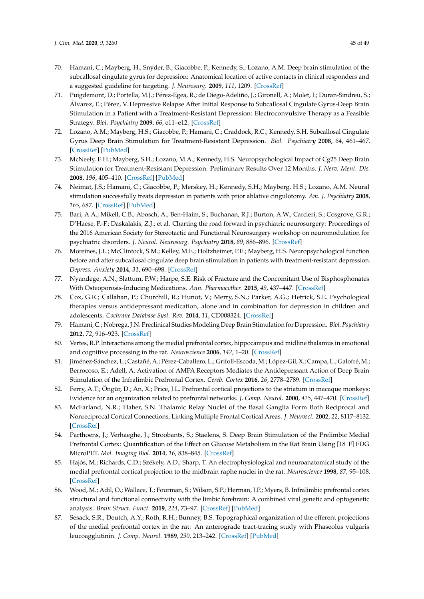- <span id="page-44-5"></span><span id="page-44-4"></span><span id="page-44-3"></span><span id="page-44-2"></span><span id="page-44-1"></span><span id="page-44-0"></span>70. Hamani, C.; Mayberg, H.; Snyder, B.; Giacobbe, P.; Kennedy, S.; Lozano, A.M. Deep brain stimulation of the subcallosal cingulate gyrus for depression: Anatomical location of active contacts in clinical responders and a suggested guideline for targeting. *J. Neurosurg.* **2009**, *111*, 1209. [\[CrossRef\]](http://dx.doi.org/10.3171/2008.10.JNS08763)
- <span id="page-44-6"></span>71. Puigdemont, D.; Portella, M.J.; Pérez-Egea, R.; de Diego-Adeliño, J.; Gironell, A.; Molet, J.; Duran-Sindreu, S.; Álvarez, E.; Pérez, V. Depressive Relapse After Initial Response to Subcallosal Cingulate Gyrus-Deep Brain Stimulation in a Patient with a Treatment-Resistant Depression: Electroconvulsive Therapy as a Feasible Strategy. *Biol. Psychiatry* **2009**, *66*, e11–e12. [\[CrossRef\]](http://dx.doi.org/10.1016/j.biopsych.2009.03.018)
- <span id="page-44-7"></span>72. Lozano, A.M.; Mayberg, H.S.; Giacobbe, P.; Hamani, C.; Craddock, R.C.; Kennedy, S.H. Subcallosal Cingulate Gyrus Deep Brain Stimulation for Treatment-Resistant Depression. *Biol. Psychiatry* **2008**, *64*, 461–467. [\[CrossRef\]](http://dx.doi.org/10.1016/j.biopsych.2008.05.034) [\[PubMed\]](http://www.ncbi.nlm.nih.gov/pubmed/18639234)
- <span id="page-44-8"></span>73. McNeely, E.H.; Mayberg, S.H.; Lozano, M.A.; Kennedy, H.S. Neuropsychological Impact of Cg25 Deep Brain Stimulation for Treatment-Resistant Depression: Preliminary Results Over 12 Months. *J. Nerv. Ment. Dis.* **2008**, *196*, 405–410. [\[CrossRef\]](http://dx.doi.org/10.1097/NMD.0b013e3181710927) [\[PubMed\]](http://www.ncbi.nlm.nih.gov/pubmed/18477883)
- <span id="page-44-21"></span><span id="page-44-9"></span>74. Neimat, J.S.; Hamani, C.; Giacobbe, P.; Merskey, H.; Kennedy, S.H.; Mayberg, H.S.; Lozano, A.M. Neural stimulation successfully treats depression in patients with prior ablative cingulotomy. *Am. J. Psychiatry* **2008**, *165*, 687. [\[CrossRef\]](http://dx.doi.org/10.1176/appi.ajp.2008.07081298) [\[PubMed\]](http://www.ncbi.nlm.nih.gov/pubmed/18519534)
- <span id="page-44-10"></span>75. Bari, A.A.; Mikell, C.B.; Abosch, A.; Ben-Haim, S.; Buchanan, R.J.; Burton, A.W.; Carcieri, S.; Cosgrove, G.R.; D'Haese, P.-F.; Daskalakis, Z.J.; et al. Charting the road forward in psychiatric neurosurgery: Proceedings of the 2016 American Society for Stereotactic and Functional Neurosurgery workshop on neuromodulation for psychiatric disorders. *J. Neurol. Neurosurg. Psychiatry* **2018**, *89*, 886–896. [\[CrossRef\]](http://dx.doi.org/10.1136/jnnp-2017-317082)
- <span id="page-44-11"></span>76. Moreines, J.L.; McClintock, S.M.; Kelley, M.E.; Holtzheimer, P.E.; Mayberg, H.S. Neuropsychological function before and after subcallosal cingulate deep brain stimulation in patients with treatment-resistant depression. *Depress. Anxiety* **2014**, *31*, 690–698. [\[CrossRef\]](http://dx.doi.org/10.1002/da.22263)
- <span id="page-44-12"></span>77. Nyandege, A.N.; Slattum, P.W.; Harpe, S.E. Risk of Fracture and the Concomitant Use of Bisphosphonates With Osteoporosis-Inducing Medications. *Ann. Pharmacother.* **2015**, *49*, 437–447. [\[CrossRef\]](http://dx.doi.org/10.1177/1060028015569594)
- <span id="page-44-13"></span>78. Cox, G.R.; Callahan, P.; Churchill, R.; Hunot, V.; Merry, S.N.; Parker, A.G.; Hetrick, S.E. Psychological therapies versus antidepressant medication, alone and in combination for depression in children and adolescents. *Cochrane Database Syst. Rev.* **2014**, *11*, CD008324. [\[CrossRef\]](http://dx.doi.org/10.1002/14651858.CD008324.pub3)
- <span id="page-44-14"></span>79. Hamani, C.; Nobrega, J.N. Preclinical Studies Modeling Deep Brain Stimulation for Depression. *Biol. Psychiatry* **2012**, *72*, 916–923. [\[CrossRef\]](http://dx.doi.org/10.1016/j.biopsych.2012.05.024)
- <span id="page-44-15"></span>80. Vertes, R.P. Interactions among the medial prefrontal cortex, hippocampus and midline thalamus in emotional and cognitive processing in the rat. *Neuroscience* **2006**, *142*, 1–20. [\[CrossRef\]](http://dx.doi.org/10.1016/j.neuroscience.2006.06.027)
- <span id="page-44-20"></span>81. Jiménez-Sánchez, L.; Castañé, A.; Pérez-Caballero, L.; Grifoll-Escoda,M.; López-Gil, X.; Campa, L.; Galofré,M.; Berrocoso, E.; Adell, A. Activation of AMPA Receptors Mediates the Antidepressant Action of Deep Brain Stimulation of the Infralimbic Prefrontal Cortex. *Cereb. Cortex* **2016**, *26*, 2778–2789. [\[CrossRef\]](http://dx.doi.org/10.1093/cercor/bhv133)
- 82. Ferry, A.T.; Öngür, D.; An, X.; Price, J.L. Prefrontal cortical projections to the striatum in macaque monkeys: Evidence for an organization related to prefrontal networks. *J. Comp. Neurol.* **2000**, *425*, 447–470. [\[CrossRef\]](http://dx.doi.org/10.1002/1096-9861(20000925)425:3<447::AID-CNE9>3.0.CO;2-V)
- <span id="page-44-16"></span>83. McFarland, N.R.; Haber, S.N. Thalamic Relay Nuclei of the Basal Ganglia Form Both Reciprocal and Nonreciprocal Cortical Connections, Linking Multiple Frontal Cortical Areas. *J. Neurosci.* **2002**, *22*, 8117–8132. [\[CrossRef\]](http://dx.doi.org/10.1523/JNEUROSCI.22-18-08117.2002)
- <span id="page-44-17"></span>84. Parthoens, J.; Verhaeghe, J.; Stroobants, S.; Staelens, S. Deep Brain Stimulation of the Prelimbic Medial Prefrontal Cortex: Quantification of the Effect on Glucose Metabolism in the Rat Brain Using [18 F] FDG MicroPET. *Mol. Imaging Biol.* **2014**, *16*, 838–845. [\[CrossRef\]](http://dx.doi.org/10.1007/s11307-014-0757-9)
- <span id="page-44-18"></span>85. Hajós, M.; Richards, C.D.; Székely, A.D.; Sharp, T. An electrophysiological and neuroanatomical study of the medial prefrontal cortical projection to the midbrain raphe nuclei in the rat. *Neuroscience* **1998**, *87*, 95–108. [\[CrossRef\]](http://dx.doi.org/10.1016/S0306-4522(98)00157-2)
- 86. Wood, M.; Adil, O.; Wallace, T.; Fourman, S.; Wilson, S.P.; Herman, J.P.; Myers, B. Infralimbic prefrontal cortex structural and functional connectivity with the limbic forebrain: A combined viral genetic and optogenetic analysis. *Brain Struct. Funct.* **2019**, *224*, 73–97. [\[CrossRef\]](http://dx.doi.org/10.1007/s00429-018-1762-6) [\[PubMed\]](http://www.ncbi.nlm.nih.gov/pubmed/30269223)
- <span id="page-44-19"></span>87. Sesack, S.R.; Deutch, A.Y.; Roth, R.H.; Bunney, B.S. Topographical organization of the efferent projections of the medial prefrontal cortex in the rat: An anterograde tract-tracing study with Phaseolus vulgaris leucoagglutinin. *J. Comp. Neurol.* **1989**, *290*, 213–242. [\[CrossRef\]](http://dx.doi.org/10.1002/cne.902900205) [\[PubMed\]](http://www.ncbi.nlm.nih.gov/pubmed/2592611)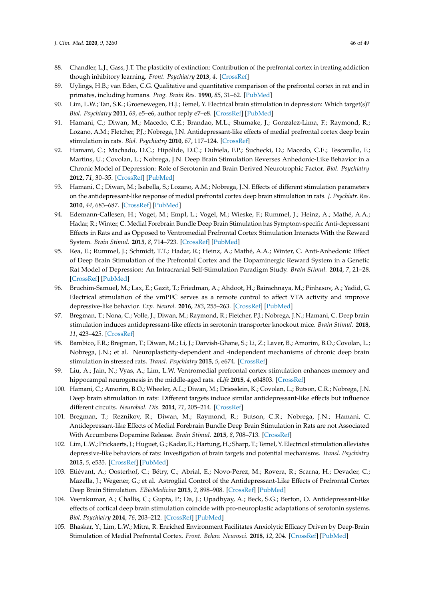- <span id="page-45-30"></span><span id="page-45-29"></span><span id="page-45-28"></span><span id="page-45-26"></span><span id="page-45-21"></span><span id="page-45-0"></span>88. Chandler, L.J.; Gass, J.T. The plasticity of extinction: Contribution of the prefrontal cortex in treating addiction though inhibitory learning. *Front. Psychiatry* **2013**, *4*. [\[CrossRef\]](http://dx.doi.org/10.3389/fpsyt.2013.00046)
- 89. Uylings, H.B.; van Eden, C.G. Qualitative and quantitative comparison of the prefrontal cortex in rat and in primates, including humans. *Prog. Brain Res.* **1990**, *85*, 31–62. [\[PubMed\]](http://www.ncbi.nlm.nih.gov/pubmed/2094901)
- <span id="page-45-19"></span><span id="page-45-1"></span>90. Lim, L.W.; Tan, S.K.; Groenewegen, H.J.; Temel, Y. Electrical brain stimulation in depression: Which target(s)? *Biol. Psychiatry* **2011**, *69*, e5–e6, author reply e7–e8. [\[CrossRef\]](http://dx.doi.org/10.1016/j.biopsych.2010.09.056) [\[PubMed\]](http://www.ncbi.nlm.nih.gov/pubmed/21145040)
- <span id="page-45-2"></span>91. Hamani, C.; Diwan, M.; Macedo, C.E.; Brandao, M.L.; Shumake, J.; Gonzalez-Lima, F.; Raymond, R.; Lozano, A.M.; Fletcher, P.J.; Nobrega, J.N. Antidepressant-like effects of medial prefrontal cortex deep brain stimulation in rats. *Biol. Psychiatry* **2010**, *67*, 117–124. [\[CrossRef\]](http://dx.doi.org/10.1016/j.biopsych.2009.08.025)
- <span id="page-45-20"></span><span id="page-45-18"></span><span id="page-45-3"></span>92. Hamani, C.; Machado, D.C.; Hipólide, D.C.; Dubiela, F.P.; Suchecki, D.; Macedo, C.E.; Tescarollo, F.; Martins, U.; Covolan, L.; Nobrega, J.N. Deep Brain Stimulation Reverses Anhedonic-Like Behavior in a Chronic Model of Depression: Role of Serotonin and Brain Derived Neurotrophic Factor. *Biol. Psychiatry* **2012**, *71*, 30–35. [\[CrossRef\]](http://dx.doi.org/10.1016/j.biopsych.2011.08.025) [\[PubMed\]](http://www.ncbi.nlm.nih.gov/pubmed/22000731)
- <span id="page-45-24"></span><span id="page-45-4"></span>93. Hamani, C.; Diwan, M.; Isabella, S.; Lozano, A.M.; Nobrega, J.N. Effects of different stimulation parameters on the antidepressant-like response of medial prefrontal cortex deep brain stimulation in rats. *J. Psychiatr. Res.* **2010**, *44*, 683–687. [\[CrossRef\]](http://dx.doi.org/10.1016/j.jpsychires.2009.12.010) [\[PubMed\]](http://www.ncbi.nlm.nih.gov/pubmed/20096858)
- <span id="page-45-25"></span><span id="page-45-5"></span>94. Edemann-Callesen, H.; Voget, M.; Empl, L.; Vogel, M.; Wieske, F.; Rummel, J.; Heinz, A.; Mathé, A.A.; Hadar, R.; Winter, C. Medial Forebrain Bundle Deep Brain Stimulation has Symptom-specific Anti-depressant Effects in Rats and as Opposed to Ventromedial Prefrontal Cortex Stimulation Interacts With the Reward System. *Brain Stimul.* **2015**, *8*, 714–723. [\[CrossRef\]](http://dx.doi.org/10.1016/j.brs.2015.02.009) [\[PubMed\]](http://www.ncbi.nlm.nih.gov/pubmed/25819024)
- <span id="page-45-23"></span><span id="page-45-6"></span>95. Rea, E.; Rummel, J.; Schmidt, T.T.; Hadar, R.; Heinz, A.; Mathé, A.A.; Winter, C. Anti-Anhedonic Effect of Deep Brain Stimulation of the Prefrontal Cortex and the Dopaminergic Reward System in a Genetic Rat Model of Depression: An Intracranial Self-Stimulation Paradigm Study. *Brain Stimul.* **2014**, *7*, 21–28. [\[CrossRef\]](http://dx.doi.org/10.1016/j.brs.2013.09.002) [\[PubMed\]](http://www.ncbi.nlm.nih.gov/pubmed/24139146)
- <span id="page-45-22"></span><span id="page-45-7"></span>96. Bruchim-Samuel, M.; Lax, E.; Gazit, T.; Friedman, A.; Ahdoot, H.; Bairachnaya, M.; Pinhasov, A.; Yadid, G. Electrical stimulation of the vmPFC serves as a remote control to affect VTA activity and improve depressive-like behavior. *Exp. Neurol.* **2016**, *283*, 255–263. [\[CrossRef\]](http://dx.doi.org/10.1016/j.expneurol.2016.05.016) [\[PubMed\]](http://www.ncbi.nlm.nih.gov/pubmed/27181412)
- <span id="page-45-27"></span><span id="page-45-8"></span>97. Bregman, T.; Nona, C.; Volle, J.; Diwan, M.; Raymond, R.; Fletcher, P.J.; Nobrega, J.N.; Hamani, C. Deep brain stimulation induces antidepressant-like effects in serotonin transporter knockout mice. *Brain Stimul.* **2018**, *11*, 423–425. [\[CrossRef\]](http://dx.doi.org/10.1016/j.brs.2017.11.008)
- <span id="page-45-17"></span><span id="page-45-9"></span>98. Bambico, F.R.; Bregman, T.; Diwan, M.; Li, J.; Darvish-Ghane, S.; Li, Z.; Laver, B.; Amorim, B.O.; Covolan, L.; Nobrega, J.N.; et al. Neuroplasticity-dependent and -independent mechanisms of chronic deep brain stimulation in stressed rats. *Transl. Psychiatry* **2015**, *5*, e674. [\[CrossRef\]](http://dx.doi.org/10.1038/tp.2015.166)
- <span id="page-45-10"></span>99. Liu, A.; Jain, N.; Vyas, A.; Lim, L.W. Ventromedial prefrontal cortex stimulation enhances memory and hippocampal neurogenesis in the middle-aged rats. *eLife* **2015**, *4*, e04803. [\[CrossRef\]](http://dx.doi.org/10.7554/eLife.04803)
- <span id="page-45-11"></span>100. Hamani, C.; Amorim, B.O.; Wheeler, A.L.; Diwan, M.; Driesslein, K.; Covolan, L.; Butson, C.R.; Nobrega, J.N. Deep brain stimulation in rats: Different targets induce similar antidepressant-like effects but influence different circuits. *Neurobiol. Dis.* **2014**, *71*, 205–214. [\[CrossRef\]](http://dx.doi.org/10.1016/j.nbd.2014.08.007)
- <span id="page-45-12"></span>101. Bregman, T.; Reznikov, R.; Diwan, M.; Raymond, R.; Butson, C.R.; Nobrega, J.N.; Hamani, C. Antidepressant-like Effects of Medial Forebrain Bundle Deep Brain Stimulation in Rats are not Associated With Accumbens Dopamine Release. *Brain Stimul.* **2015**, *8*, 708–713. [\[CrossRef\]](http://dx.doi.org/10.1016/j.brs.2015.02.007)
- <span id="page-45-13"></span>102. Lim, L.W.; Prickaerts, J.; Huguet, G.; Kadar, E.; Hartung, H.; Sharp, T.; Temel, Y. Electrical stimulation alleviates depressive-like behaviors of rats: Investigation of brain targets and potential mechanisms. *Transl. Psychiatry* **2015**, *5*, e535. [\[CrossRef\]](http://dx.doi.org/10.1038/tp.2015.24) [\[PubMed\]](http://www.ncbi.nlm.nih.gov/pubmed/25826110)
- <span id="page-45-14"></span>103. Etiévant, A.; Oosterhof, C.; Bétry, C.; Abrial, E.; Novo-Perez, M.; Rovera, R.; Scarna, H.; Devader, C.; Mazella, J.; Wegener, G.; et al. Astroglial Control of the Antidepressant-Like Effects of Prefrontal Cortex Deep Brain Stimulation. *EBioMedicine* **2015**, *2*, 898–908. [\[CrossRef\]](http://dx.doi.org/10.1016/j.ebiom.2015.06.023) [\[PubMed\]](http://www.ncbi.nlm.nih.gov/pubmed/26425697)
- <span id="page-45-15"></span>104. Veerakumar, A.; Challis, C.; Gupta, P.; Da, J.; Upadhyay, A.; Beck, S.G.; Berton, O. Antidepressant-like effects of cortical deep brain stimulation coincide with pro-neuroplastic adaptations of serotonin systems. *Biol. Psychiatry* **2014**, *76*, 203–212. [\[CrossRef\]](http://dx.doi.org/10.1016/j.biopsych.2013.12.009) [\[PubMed\]](http://www.ncbi.nlm.nih.gov/pubmed/24503468)
- <span id="page-45-16"></span>105. Bhaskar, Y.; Lim, L.W.; Mitra, R. Enriched Environment Facilitates Anxiolytic Efficacy Driven by Deep-Brain Stimulation of Medial Prefrontal Cortex. *Front. Behav. Neurosci.* **2018**, *12*, 204. [\[CrossRef\]](http://dx.doi.org/10.3389/fnbeh.2018.00204) [\[PubMed\]](http://www.ncbi.nlm.nih.gov/pubmed/30356891)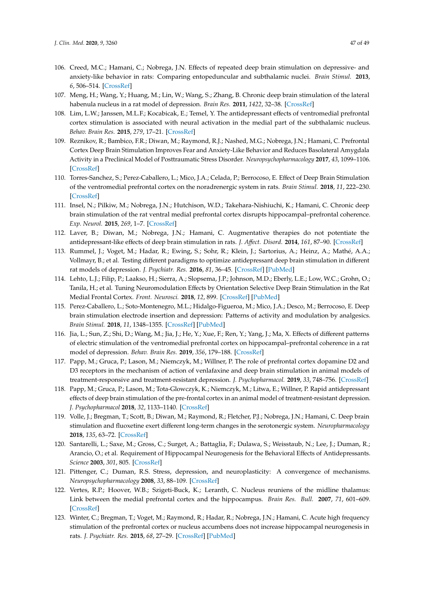- <span id="page-46-21"></span><span id="page-46-20"></span><span id="page-46-19"></span><span id="page-46-18"></span><span id="page-46-17"></span><span id="page-46-15"></span><span id="page-46-0"></span>106. Creed, M.C.; Hamani, C.; Nobrega, J.N. Effects of repeated deep brain stimulation on depressive- and anxiety-like behavior in rats: Comparing entopeduncular and subthalamic nuclei. *Brain Stimul.* **2013**, *6*, 506–514. [\[CrossRef\]](http://dx.doi.org/10.1016/j.brs.2012.09.012)
- <span id="page-46-12"></span><span id="page-46-1"></span>107. Meng, H.; Wang, Y.; Huang, M.; Lin, W.; Wang, S.; Zhang, B. Chronic deep brain stimulation of the lateral habenula nucleus in a rat model of depression. *Brain Res.* **2011**, *1422*, 32–38. [\[CrossRef\]](http://dx.doi.org/10.1016/j.brainres.2011.08.041)
- <span id="page-46-14"></span><span id="page-46-2"></span>108. Lim, L.W.; Janssen, M.L.F.; Kocabicak, E.; Temel, Y. The antidepressant effects of ventromedial prefrontal cortex stimulation is associated with neural activation in the medial part of the subthalamic nucleus. *Behav. Brain Res.* **2015**, *279*, 17–21. [\[CrossRef\]](http://dx.doi.org/10.1016/j.bbr.2014.11.008)
- <span id="page-46-10"></span><span id="page-46-3"></span>109. Reznikov, R.; Bambico, F.R.; Diwan, M.; Raymond, R.J.; Nashed, M.G.; Nobrega, J.N.; Hamani, C. Prefrontal Cortex Deep Brain Stimulation Improves Fear and Anxiety-Like Behavior and Reduces Basolateral Amygdala Activity in a Preclinical Model of Posttraumatic Stress Disorder. *Neuropsychopharmacology* **2017**, *43*, 1099–1106. [\[CrossRef\]](http://dx.doi.org/10.1038/npp.2017.207)
- <span id="page-46-11"></span><span id="page-46-4"></span>110. Torres-Sanchez, S.; Perez-Caballero, L.; Mico, J.A.; Celada, P.; Berrocoso, E. Effect of Deep Brain Stimulation of the ventromedial prefrontal cortex on the noradrenergic system in rats. *Brain Stimul.* **2018**, *11*, 222–230. [\[CrossRef\]](http://dx.doi.org/10.1016/j.brs.2017.10.003)
- <span id="page-46-13"></span><span id="page-46-5"></span>111. Insel, N.; Pilkiw, M.; Nobrega, J.N.; Hutchison, W.D.; Takehara-Nishiuchi, K.; Hamani, C. Chronic deep brain stimulation of the rat ventral medial prefrontal cortex disrupts hippocampal–prefrontal coherence. *Exp. Neurol.* **2015**, *269*, 1–7. [\[CrossRef\]](http://dx.doi.org/10.1016/j.expneurol.2015.03.023)
- <span id="page-46-16"></span><span id="page-46-6"></span>112. Laver, B.; Diwan, M.; Nobrega, J.N.; Hamani, C. Augmentative therapies do not potentiate the antidepressant-like effects of deep brain stimulation in rats. *J. A*ff*ect. Disord.* **2014**, *161*, 87–90. [\[CrossRef\]](http://dx.doi.org/10.1016/j.jad.2014.03.007)
- <span id="page-46-7"></span>113. Rummel, J.; Voget, M.; Hadar, R.; Ewing, S.; Sohr, R.; Klein, J.; Sartorius, A.; Heinz, A.; Mathé, A.A.; Vollmayr, B.; et al. Testing different paradigms to optimize antidepressant deep brain stimulation in different rat models of depression. *J. Psychiatr. Res.* **2016**, *81*, 36–45. [\[CrossRef\]](http://dx.doi.org/10.1016/j.jpsychires.2016.06.016) [\[PubMed\]](http://www.ncbi.nlm.nih.gov/pubmed/27367210)
- <span id="page-46-8"></span>114. Lehto, L.J.; Filip, P.; Laakso, H.; Sierra, A.; Slopsema, J.P.; Johnson, M.D.; Eberly, L.E.; Low, W.C.; Grohn, O.; Tanila, H.; et al. Tuning Neuromodulation Effects by Orientation Selective Deep Brain Stimulation in the Rat Medial Frontal Cortex. *Front. Neurosci.* **2018**, *12*, 899. [\[CrossRef\]](http://dx.doi.org/10.3389/fnins.2018.00899) [\[PubMed\]](http://www.ncbi.nlm.nih.gov/pubmed/30618544)
- <span id="page-46-9"></span>115. Perez-Caballero, L.; Soto-Montenegro, M.L.; Hidalgo-Figueroa, M.; Mico, J.A.; Desco, M.; Berrocoso, E. Deep brain stimulation electrode insertion and depression: Patterns of activity and modulation by analgesics. *Brain Stimul.* **2018**, *11*, 1348–1355. [\[CrossRef\]](http://dx.doi.org/10.1016/j.brs.2018.06.010) [\[PubMed\]](http://www.ncbi.nlm.nih.gov/pubmed/30001902)
- 116. Jia, L.; Sun, Z.; Shi, D.; Wang, M.; Jia, J.; He, Y.; Xue, F.; Ren, Y.; Yang, J.; Ma, X. Effects of different patterns of electric stimulation of the ventromedial prefrontal cortex on hippocampal–prefrontal coherence in a rat model of depression. *Behav. Brain Res.* **2019**, *356*, 179–188. [\[CrossRef\]](http://dx.doi.org/10.1016/j.bbr.2018.08.032)
- 117. Papp, M.; Gruca, P.; Lason, M.; Niemczyk, M.; Willner, P. The role of prefrontal cortex dopamine D2 and D3 receptors in the mechanism of action of venlafaxine and deep brain stimulation in animal models of treatment-responsive and treatment-resistant depression. *J. Psychopharmacol.* **2019**, *33*, 748–756. [\[CrossRef\]](http://dx.doi.org/10.1177/0269881119827889)
- 118. Papp, M.; Gruca, P.; Lason, M.; Tota-Glowczyk, K.; Niemczyk, M.; Litwa, E.; Willner, P. Rapid antidepressant effects of deep brain stimulation of the pre-frontal cortex in an animal model of treatment-resistant depression. *J. Psychopharmacol* **2018**, *32*, 1133–1140. [\[CrossRef\]](http://dx.doi.org/10.1177/0269881118791737)
- <span id="page-46-26"></span>119. Volle, J.; Bregman, T.; Scott, B.; Diwan, M.; Raymond, R.; Fletcher, P.J.; Nobrega, J.N.; Hamani, C. Deep brain stimulation and fluoxetine exert different long-term changes in the serotonergic system. *Neuropharmacology* **2018**, *135*, 63–72. [\[CrossRef\]](http://dx.doi.org/10.1016/j.neuropharm.2018.03.005)
- <span id="page-46-22"></span>120. Santarelli, L.; Saxe, M.; Gross, C.; Surget, A.; Battaglia, F.; Dulawa, S.; Weisstaub, N.; Lee, J.; Duman, R.; Arancio, O.; et al. Requirement of Hippocampal Neurogenesis for the Behavioral Effects of Antidepressants. *Science* **2003**, *301*, 805. [\[CrossRef\]](http://dx.doi.org/10.1126/science.1083328)
- <span id="page-46-23"></span>121. Pittenger, C.; Duman, R.S. Stress, depression, and neuroplasticity: A convergence of mechanisms. *Neuropsychopharmacology* **2008**, *33*, 88–109. [\[CrossRef\]](http://dx.doi.org/10.1038/sj.npp.1301574)
- <span id="page-46-24"></span>122. Vertes, R.P.; Hoover, W.B.; Szigeti-Buck, K.; Leranth, C. Nucleus reuniens of the midline thalamus: Link between the medial prefrontal cortex and the hippocampus. *Brain Res. Bull.* **2007**, *71*, 601–609. [\[CrossRef\]](http://dx.doi.org/10.1016/j.brainresbull.2006.12.002)
- <span id="page-46-25"></span>123. Winter, C.; Bregman, T.; Voget, M.; Raymond, R.; Hadar, R.; Nobrega, J.N.; Hamani, C. Acute high frequency stimulation of the prefrontal cortex or nucleus accumbens does not increase hippocampal neurogenesis in rats. *J. Psychiatr. Res.* **2015**, *68*, 27–29. [\[CrossRef\]](http://dx.doi.org/10.1016/j.jpsychires.2015.05.012) [\[PubMed\]](http://www.ncbi.nlm.nih.gov/pubmed/26228396)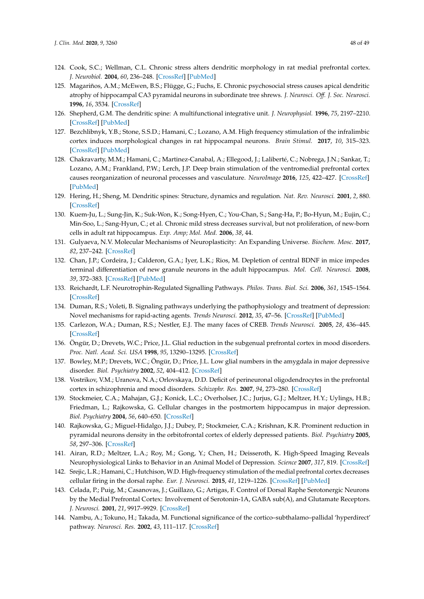- <span id="page-47-0"></span>124. Cook, S.C.; Wellman, C.L. Chronic stress alters dendritic morphology in rat medial prefrontal cortex. *J. Neurobiol.* **2004**, *60*, 236–248. [\[CrossRef\]](http://dx.doi.org/10.1002/neu.20025) [\[PubMed\]](http://www.ncbi.nlm.nih.gov/pubmed/15266654)
- <span id="page-47-1"></span>125. Magariños, A.M.; McEwen, B.S.; Flügge, G.; Fuchs, E. Chronic psychosocial stress causes apical dendritic atrophy of hippocampal CA3 pyramidal neurons in subordinate tree shrews. *J. Neurosci. O*ff*. J. Soc. Neurosci.* **1996**, *16*, 3534. [\[CrossRef\]](http://dx.doi.org/10.1523/JNEUROSCI.16-10-03534.1996)
- <span id="page-47-2"></span>126. Shepherd, G.M. The dendritic spine: A multifunctional integrative unit. *J. Neurophysiol.* **1996**, *75*, 2197–2210. [\[CrossRef\]](http://dx.doi.org/10.1152/jn.1996.75.6.2197) [\[PubMed\]](http://www.ncbi.nlm.nih.gov/pubmed/8793734)
- <span id="page-47-3"></span>127. Bezchlibnyk, Y.B.; Stone, S.S.D.; Hamani, C.; Lozano, A.M. High frequency stimulation of the infralimbic cortex induces morphological changes in rat hippocampal neurons. *Brain Stimul.* **2017**, *10*, 315–323. [\[CrossRef\]](http://dx.doi.org/10.1016/j.brs.2016.11.013) [\[PubMed\]](http://www.ncbi.nlm.nih.gov/pubmed/27964870)
- <span id="page-47-4"></span>128. Chakravarty, M.M.; Hamani, C.; Martinez-Canabal, A.; Ellegood, J.; Laliberté, C.; Nobrega, J.N.; Sankar, T.; Lozano, A.M.; Frankland, P.W.; Lerch, J.P. Deep brain stimulation of the ventromedial prefrontal cortex causes reorganization of neuronal processes and vasculature. *NeuroImage* **2016**, *125*, 422–427. [\[CrossRef\]](http://dx.doi.org/10.1016/j.neuroimage.2015.10.049) [\[PubMed\]](http://www.ncbi.nlm.nih.gov/pubmed/26525655)
- <span id="page-47-5"></span>129. Hering, H.; Sheng, M. Dendritic spines: Structure, dynamics and regulation. *Nat. Rev. Neurosci.* **2001**, *2*, 880. [\[CrossRef\]](http://dx.doi.org/10.1038/35104061)
- <span id="page-47-6"></span>130. Kuem-Ju, L.; Sung-Jin, K.; Suk-Won, K.; Song-Hyen, C.; You-Chan, S.; Sang-Ha, P.; Bo-Hyun, M.; Eujin, C.; Min-Soo, L.; Sang-Hyun, C.; et al. Chronic mild stress decreases survival, but not proliferation, of new-born cells in adult rat hippocampus. *Exp. Amp; Mol. Med.* **2006**, *38*, 44.
- 131. Gulyaeva, N.V. Molecular Mechanisms of Neuroplasticity: An Expanding Universe. *Biochem. Mosc.* **2017**, *82*, 237–242. [\[CrossRef\]](http://dx.doi.org/10.1134/S0006297917030014)
- <span id="page-47-7"></span>132. Chan, J.P.; Cordeira, J.; Calderon, G.A.; Iyer, L.K.; Rios, M. Depletion of central BDNF in mice impedes terminal differentiation of new granule neurons in the adult hippocampus. *Mol. Cell. Neurosci.* **2008**, *39*, 372–383. [\[CrossRef\]](http://dx.doi.org/10.1016/j.mcn.2008.07.017) [\[PubMed\]](http://www.ncbi.nlm.nih.gov/pubmed/18718867)
- <span id="page-47-8"></span>133. Reichardt, L.F. Neurotrophin-Regulated Signalling Pathways. *Philos. Trans. Biol. Sci.* **2006**, *361*, 1545–1564. [\[CrossRef\]](http://dx.doi.org/10.1098/rstb.2006.1894)
- <span id="page-47-9"></span>134. Duman, R.S.; Voleti, B. Signaling pathways underlying the pathophysiology and treatment of depression: Novel mechanisms for rapid-acting agents. *Trends Neurosci.* **2012**, *35*, 47–56. [\[CrossRef\]](http://dx.doi.org/10.1016/j.tins.2011.11.004) [\[PubMed\]](http://www.ncbi.nlm.nih.gov/pubmed/22217452)
- <span id="page-47-10"></span>135. Carlezon, W.A.; Duman, R.S.; Nestler, E.J. The many faces of CREB. *Trends Neurosci.* **2005**, *28*, 436–445. [\[CrossRef\]](http://dx.doi.org/10.1016/j.tins.2005.06.005)
- <span id="page-47-11"></span>136. Öngür, D.; Drevets, W.C.; Price, J.L. Glial reduction in the subgenual prefrontal cortex in mood disorders. *Proc. Natl. Acad. Sci. USA* **1998**, *95*, 13290–13295. [\[CrossRef\]](http://dx.doi.org/10.1073/pnas.95.22.13290)
- 137. Bowley, M.P.; Drevets, W.C.; Öngür, D.; Price, J.L. Low glial numbers in the amygdala in major depressive disorder. *Biol. Psychiatry* **2002**, *52*, 404–412. [\[CrossRef\]](http://dx.doi.org/10.1016/S0006-3223(02)01404-X)
- <span id="page-47-12"></span>138. Vostrikov, V.M.; Uranova, N.A.; Orlovskaya, D.D. Deficit of perineuronal oligodendrocytes in the prefrontal cortex in schizophrenia and mood disorders. *Schizophr. Res.* **2007**, *94*, 273–280. [\[CrossRef\]](http://dx.doi.org/10.1016/j.schres.2007.04.014)
- <span id="page-47-13"></span>139. Stockmeier, C.A.; Mahajan, G.J.; Konick, L.C.; Overholser, J.C.; Jurjus, G.J.; Meltzer, H.Y.; Uylings, H.B.; Friedman, L.; Rajkowska, G. Cellular changes in the postmortem hippocampus in major depression. *Biol. Psychiatry* **2004**, *56*, 640–650. [\[CrossRef\]](http://dx.doi.org/10.1016/j.biopsych.2004.08.022)
- <span id="page-47-14"></span>140. Rajkowska, G.; Miguel-Hidalgo, J.J.; Dubey, P.; Stockmeier, C.A.; Krishnan, K.R. Prominent reduction in pyramidal neurons density in the orbitofrontal cortex of elderly depressed patients. *Biol. Psychiatry* **2005**, *58*, 297–306. [\[CrossRef\]](http://dx.doi.org/10.1016/j.biopsych.2005.04.013)
- <span id="page-47-15"></span>141. Airan, R.D.; Meltzer, L.A.; Roy, M.; Gong, Y.; Chen, H.; Deisseroth, K. High-Speed Imaging Reveals Neurophysiological Links to Behavior in an Animal Model of Depression. *Science* **2007**, *317*, 819. [\[CrossRef\]](http://dx.doi.org/10.1126/science.1144400)
- <span id="page-47-16"></span>142. Srejic, L.R.; Hamani, C.; Hutchison, W.D. High-frequency stimulation of the medial prefrontal cortex decreases cellular firing in the dorsal raphe. *Eur. J. Neurosci.* **2015**, *41*, 1219–1226. [\[CrossRef\]](http://dx.doi.org/10.1111/ejn.12856) [\[PubMed\]](http://www.ncbi.nlm.nih.gov/pubmed/25712703)
- <span id="page-47-17"></span>143. Celada, P.; Puig, M.; Casanovas, J.; Guillazo, G.; Artigas, F. Control of Dorsal Raphe Serotonergic Neurons by the Medial Prefrontal Cortex: Involvement of Serotonin-1A, GABA sub(A), and Glutamate Receptors. *J. Neurosci.* **2001**, *21*, 9917–9929. [\[CrossRef\]](http://dx.doi.org/10.1523/JNEUROSCI.21-24-09917.2001)
- <span id="page-47-18"></span>144. Nambu, A.; Tokuno, H.; Takada, M. Functional significance of the cortico–subthalamo–pallidal 'hyperdirect' pathway. *Neurosci. Res.* **2002**, *43*, 111–117. [\[CrossRef\]](http://dx.doi.org/10.1016/S0168-0102(02)00027-5)